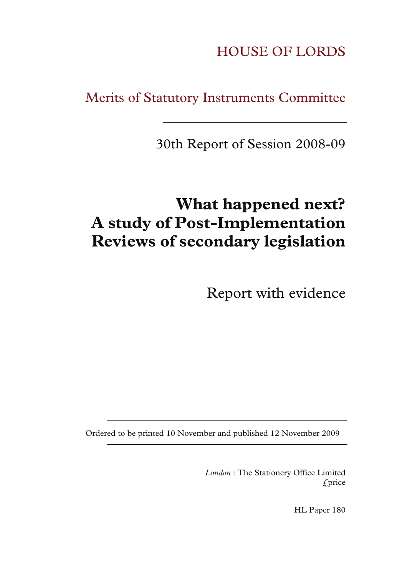HOUSE OF LORDS

Merits of Statutory Instruments Committee

30th Report of Session 2008-09

# **What happened next? A study of Post-Implementation Reviews of secondary legislation**

Report with evidence

Ordered to be printed 10 November and published 12 November 2009

*London* : The Stationery Office Limited £price

HL Paper 180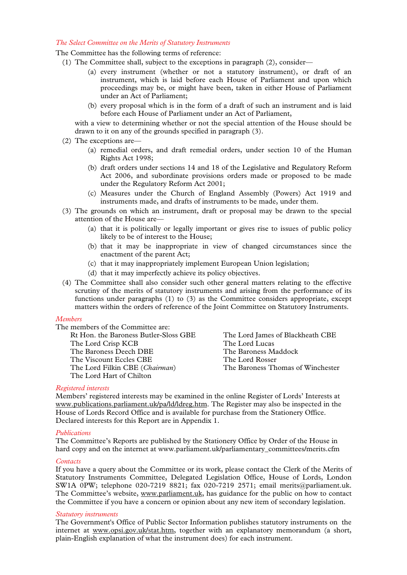#### *The Select Committee on the Merits of Statutory Instruments*

The Committee has the following terms of reference:

- (1) The Committee shall, subject to the exceptions in paragraph (2), consider—
	- (a) every instrument (whether or not a statutory instrument), or draft of an instrument, which is laid before each House of Parliament and upon which proceedings may be, or might have been, taken in either House of Parliament under an Act of Parliament;
	- (b) every proposal which is in the form of a draft of such an instrument and is laid before each House of Parliament under an Act of Parliament,

with a view to determining whether or not the special attention of the House should be drawn to it on any of the grounds specified in paragraph (3).

- (2) The exceptions are—
	- (a) remedial orders, and draft remedial orders, under section 10 of the Human Rights Act 1998;
	- (b) draft orders under sections 14 and 18 of the Legislative and Regulatory Reform Act 2006, and subordinate provisions orders made or proposed to be made under the Regulatory Reform Act 2001;
	- (c) Measures under the Church of England Assembly (Powers) Act 1919 and instruments made, and drafts of instruments to be made, under them.
- (3) The grounds on which an instrument, draft or proposal may be drawn to the special attention of the House are—
	- (a) that it is politically or legally important or gives rise to issues of public policy likely to be of interest to the House;
	- (b) that it may be inappropriate in view of changed circumstances since the enactment of the parent Act;
	- (c) that it may inappropriately implement European Union legislation;
	- (d) that it may imperfectly achieve its policy objectives.
- (4) The Committee shall also consider such other general matters relating to the effective scrutiny of the merits of statutory instruments and arising from the performance of its functions under paragraphs (1) to (3) as the Committee considers appropriate, except matters within the orders of reference of the Joint Committee on Statutory Instruments.

#### *Members*

The members of the Committee are:

Rt Hon. the Baroness Butler-Sloss GBE The Lord Crisp KCB The Baroness Deech DBE The Viscount Eccles CBE The Lord Filkin CBE (*Chairman*) The Lord Hart of Chilton

The Lord James of Blackheath CBE The Lord Lucas The Baroness Maddock The Lord Rosser The Baroness Thomas of Winchester

#### *Registered interests*

Members' registered interests may be examined in the online Register of Lords' Interests at www.publications.parliament.uk/pa/ld/ldreg.htm. The Register may also be inspected in the House of Lords Record Office and is available for purchase from the Stationery Office. Declared interests for this Report are in Appendix 1.

#### *Publications*

The Committee's Reports are published by the Stationery Office by Order of the House in hard copy and on the internet at www.parliament.uk/parliamentary\_committees/merits.cfm

#### *Contacts*

If you have a query about the Committee or its work, please contact the Clerk of the Merits of Statutory Instruments Committee, Delegated Legislation Office, House of Lords, London SW1A 0PW; telephone 020-7219 8821; fax 020-7219 2571; email merits@parliament.uk. The Committee's website, www.parliament.uk, has guidance for the public on how to contact the Committee if you have a concern or opinion about any new item of secondary legislation.

#### *Statutory instruments*

The Government's Office of Public Sector Information publishes statutory instruments on the internet at www.opsi.gov.uk/stat.htm, together with an explanatory memorandum (a short, plain-English explanation of what the instrument does) for each instrument.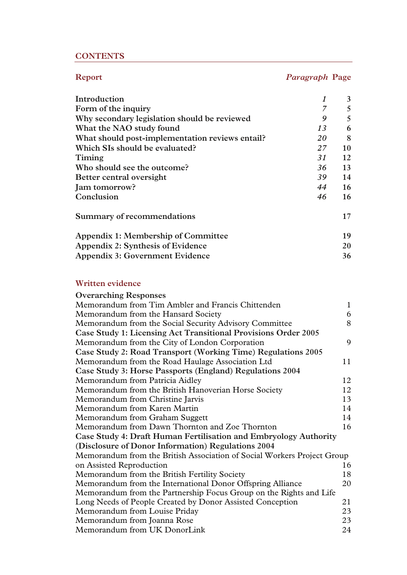# **CONTENTS**

# **Report** *Paragraph* **Page**

| Introduction                                    |    | 3  |
|-------------------------------------------------|----|----|
| Form of the inquiry                             | 7  | 5  |
| Why secondary legislation should be reviewed    | 9  | 5  |
| What the NAO study found                        | 13 | 6  |
| What should post-implementation reviews entail? | 20 | 8  |
| Which SIs should be evaluated?                  | 27 | 10 |
| Timing                                          | 31 | 12 |
| Who should see the outcome?                     | 36 | 13 |
| Better central oversight                        | 39 | 14 |
| Jam tomorrow?                                   | 44 | 16 |
| Conclusion                                      | 46 | 16 |
| Summary of recommendations                      |    | 17 |
| Appendix 1: Membership of Committee             |    | 19 |
| Appendix 2: Synthesis of Evidence               |    | 20 |
| Appendix 3: Government Evidence                 |    | 36 |

# **Written evidence**

| <b>Overarching Responses</b>                                            |    |  |
|-------------------------------------------------------------------------|----|--|
| Memorandum from Tim Ambler and Francis Chittenden                       |    |  |
| Memorandum from the Hansard Society                                     |    |  |
| Memorandum from the Social Security Advisory Committee                  |    |  |
| <b>Case Study 1: Licensing Act Transitional Provisions Order 2005</b>   |    |  |
| Memorandum from the City of London Corporation                          | 9  |  |
| Case Study 2: Road Transport (Working Time) Regulations 2005            |    |  |
| Memorandum from the Road Haulage Association Ltd                        | 11 |  |
| Case Study 3: Horse Passports (England) Regulations 2004                |    |  |
| Memorandum from Patricia Aidley                                         | 12 |  |
| Memorandum from the British Hanoverian Horse Society                    |    |  |
| Memorandum from Christine Jarvis                                        |    |  |
| Memorandum from Karen Martin                                            | 14 |  |
| Memorandum from Graham Suggett                                          | 14 |  |
| Memorandum from Dawn Thornton and Zoe Thornton                          | 16 |  |
| <b>Case Study 4: Draft Human Fertilisation and Embryology Authority</b> |    |  |
| (Disclosure of Donor Information) Regulations 2004                      |    |  |
| Memorandum from the British Association of Social Workers Project Group |    |  |
| on Assisted Reproduction                                                | 16 |  |
| Memorandum from the British Fertility Society                           | 18 |  |
| Memorandum from the International Donor Offspring Alliance              | 20 |  |
| Memorandum from the Partnership Focus Group on the Rights and Life      |    |  |
| Long Needs of People Created by Donor Assisted Conception               | 21 |  |
| Memorandum from Louise Priday                                           | 23 |  |
| Memorandum from Joanna Rose                                             |    |  |
| Memorandum from UK DonorLink                                            |    |  |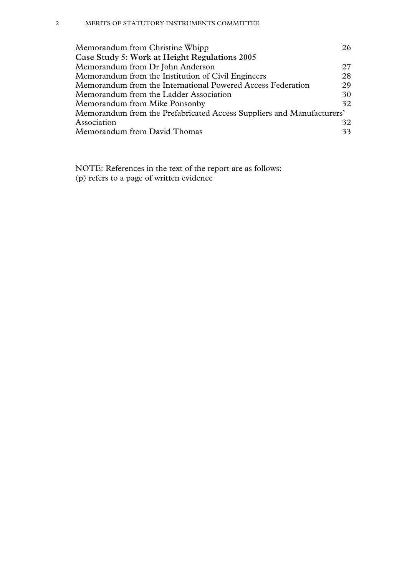| Memorandum from Christine Whipp                                       | 26. |  |
|-----------------------------------------------------------------------|-----|--|
| Case Study 5: Work at Height Regulations 2005                         |     |  |
| Memorandum from Dr John Anderson                                      | 27  |  |
| Memorandum from the Institution of Civil Engineers                    | 28  |  |
| Memorandum from the International Powered Access Federation           | 29  |  |
| Memorandum from the Ladder Association                                | 30  |  |
| Memorandum from Mike Ponsonby                                         | 32  |  |
| Memorandum from the Prefabricated Access Suppliers and Manufacturers' |     |  |
| Association                                                           | 32  |  |
| Memorandum from David Thomas                                          | 33  |  |

NOTE: References in the text of the report are as follows: (p) refers to a page of written evidence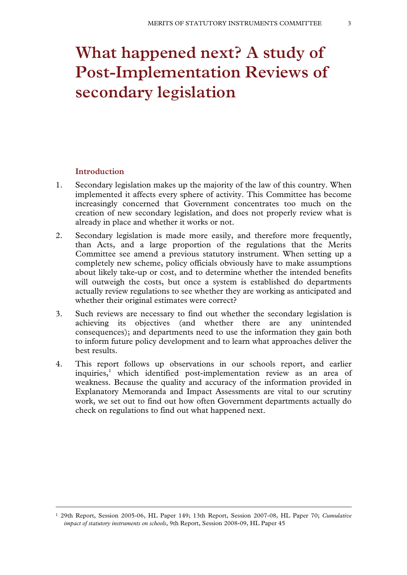# **What happened next? A study of Post-Implementation Reviews of secondary legislation**

# **Introduction**

- 1. Secondary legislation makes up the majority of the law of this country. When implemented it affects every sphere of activity. This Committee has become increasingly concerned that Government concentrates too much on the creation of new secondary legislation, and does not properly review what is already in place and whether it works or not.
- 2. Secondary legislation is made more easily, and therefore more frequently, than Acts, and a large proportion of the regulations that the Merits Committee see amend a previous statutory instrument. When setting up a completely new scheme, policy officials obviously have to make assumptions about likely take-up or cost, and to determine whether the intended benefits will outweigh the costs, but once a system is established do departments actually review regulations to see whether they are working as anticipated and whether their original estimates were correct?
- 3. Such reviews are necessary to find out whether the secondary legislation is achieving its objectives (and whether there are any unintended consequences); and departments need to use the information they gain both to inform future policy development and to learn what approaches deliver the best results.
- 4. This report follows up observations in our schools report, and earlier inquiries,<sup>1</sup> which identified post-implementation review as an area of weakness. Because the quality and accuracy of the information provided in Explanatory Memoranda and Impact Assessments are vital to our scrutiny work, we set out to find out how often Government departments actually do check on regulations to find out what happened next.

 <sup>1 29</sup>th Report, Session 2005-06, HL Paper 149; 13th Report, Session 2007-08, HL Paper 70; *Cumulative impact of statutory instruments on schools*, 9th Report, Session 2008-09, HL Paper 45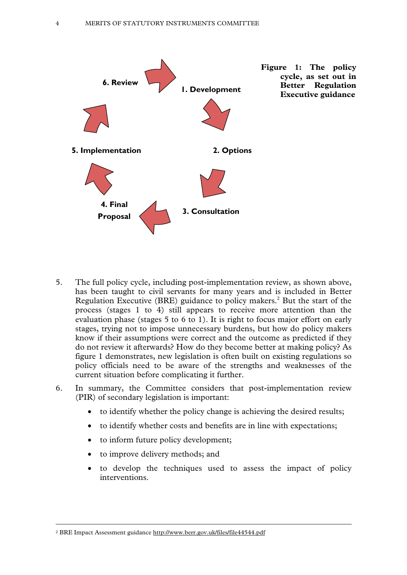

- 5. The full policy cycle, including post-implementation review, as shown above, has been taught to civil servants for many years and is included in Better Regulation Executive (BRE) guidance to policy makers.<sup>2</sup> But the start of the process (stages 1 to 4) still appears to receive more attention than the evaluation phase (stages 5 to 6 to 1). It is right to focus major effort on early stages, trying not to impose unnecessary burdens, but how do policy makers know if their assumptions were correct and the outcome as predicted if they do not review it afterwards? How do they become better at making policy? As figure 1 demonstrates, new legislation is often built on existing regulations so policy officials need to be aware of the strengths and weaknesses of the current situation before complicating it further.
- 6. In summary, the Committee considers that post-implementation review (PIR) of secondary legislation is important:
	- to identify whether the policy change is achieving the desired results;
	- to identify whether costs and benefits are in line with expectations;
	- to inform future policy development;
	- to improve delivery methods; and
	- to develop the techniques used to assess the impact of policy interventions.

2 BRE Impact Assessment guidance http://www.berr.gov.uk/files/file44544.pdf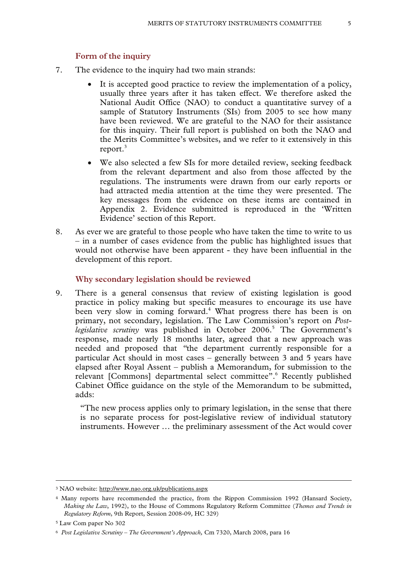# **Form of the inquiry**

- 7. The evidence to the inquiry had two main strands:
	- It is accepted good practice to review the implementation of a policy, usually three years after it has taken effect. We therefore asked the National Audit Office (NAO) to conduct a quantitative survey of a sample of Statutory Instruments (SIs) from 2005 to see how many have been reviewed. We are grateful to the NAO for their assistance for this inquiry. Their full report is published on both the NAO and the Merits Committee's websites, and we refer to it extensively in this report.<sup>3</sup>
	- We also selected a few SIs for more detailed review, seeking feedback from the relevant department and also from those affected by the regulations. The instruments were drawn from our early reports or had attracted media attention at the time they were presented. The key messages from the evidence on these items are contained in Appendix 2. Evidence submitted is reproduced in the 'Written Evidence' section of this Report.
- 8. As ever we are grateful to those people who have taken the time to write to us – in a number of cases evidence from the public has highlighted issues that would not otherwise have been apparent - they have been influential in the development of this report.

#### **Why secondary legislation should be reviewed**

9. There is a general consensus that review of existing legislation is good practice in policy making but specific measures to encourage its use have been very slow in coming forward.<sup>4</sup> What progress there has been is on primary, not secondary, legislation. The Law Commission's report on *Post*legislative scrutiny was published in October 2006.<sup>5</sup> The Government's response, made nearly 18 months later, agreed that a new approach was needed and proposed that *"*the department currently responsible for a particular Act should in most cases – generally between 3 and 5 years have elapsed after Royal Assent – publish a Memorandum, for submission to the relevant [Commons] departmental select committee".<sup>6</sup> Recently published Cabinet Office guidance on the style of the Memorandum to be submitted, adds:

"The new process applies only to primary legislation, in the sense that there is no separate process for post-legislative review of individual statutory instruments. However … the preliminary assessment of the Act would cover

 <sup>3</sup> NAO website: http://www.nao.org.uk/publications.aspx

<sup>4</sup> Many reports have recommended the practice, from the Rippon Commission 1992 (Hansard Society, *Making the Law*, 1992), to the House of Commons Regulatory Reform Committee (*Themes and Trends in Regulatory Reform*, 9th Report, Session 2008-09*,* HC 329)

<sup>5</sup> Law Com paper No 302

<sup>6</sup> *Post Legislative Scrutiny – The Government's Approach,* Cm 7320, March 2008, para 16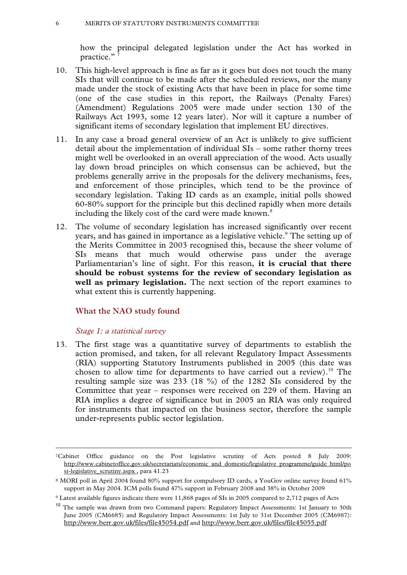how the principal delegated legislation under the Act has worked in practice."<sup>7</sup>

- 10. This high-level approach is fine as far as it goes but does not touch the many SIs that will continue to be made after the scheduled reviews, nor the many made under the stock of existing Acts that have been in place for some time (one of the case studies in this report, the Railways (Penalty Fares) (Amendment) Regulations 2005 were made under section 130 of the Railways Act 1993, some 12 years later). Nor will it capture a number of significant items of secondary legislation that implement EU directives.
- 11. In any case a broad general overview of an Act is unlikely to give sufficient detail about the implementation of individual SIs – some rather thorny trees might well be overlooked in an overall appreciation of the wood. Acts usually lay down broad principles on which consensus can be achieved, but the problems generally arrive in the proposals for the delivery mechanisms, fees, and enforcement of those principles, which tend to be the province of secondary legislation. Taking ID cards as an example, initial polls showed 60-80% support for the principle but this declined rapidly when more details including the likely cost of the card were made known.<sup>8</sup>
- 12. The volume of secondary legislation has increased significantly over recent years, and has gained in importance as a legislative vehicle.<sup>9</sup> The setting up of the Merits Committee in 2003 recognised this, because the sheer volume of SIs means that much would otherwise pass under the average Parliamentarian's line of sight. For this reason, **it is crucial that there should be robust systems for the review of secondary legislation as well as primary legislation.** The next section of the report examines to what extent this is currently happening.

# **What the NAO study found**

#### *Stage 1: a statistical survey*

13. The first stage was a quantitative survey of departments to establish the action promised, and taken, for all relevant Regulatory Impact Assessments (RIA) supporting Statutory Instruments published in 2005 (this date was chosen to allow time for departments to have carried out a review).<sup>10</sup> The resulting sample size was 233 (18 %) of the 1282 SIs considered by the Committee that year – responses were received on 229 of them. Having an RIA implies a degree of significance but in 2005 an RIA was only required for instruments that impacted on the business sector, therefore the sample under-represents public sector legislation.

 <sup>7</sup>Cabinet Office guidance on the Post legislative scrutiny of Acts posted 8 July 2009: http://www.cabinetoffice.gov.uk/secretariats/economic\_and\_domestic/legislative\_programme/guide\_html/po st-legislative\_scrutiny.aspx, para 41.23

<sup>8</sup> MORI poll in April 2004 found 80% support for compulsory ID cards, a YouGov online survey found 61% support in May 2004. ICM polls found 47% support in February 2008 and 38% in October 2009

<sup>9</sup> Latest available figures indicate there were 11,868 pages of SIs in 2005 compared to 2,712 pages of Acts

<sup>&</sup>lt;sup>10</sup> The sample was drawn from two Command papers: Regulatory Impact Assessments: 1st January to 30th June 2005 (CM6685) and Regulatory Impact Assessments: 1st July to 31st December 2005 (CM6987): http://www.berr.gov.uk/files/file45054.pdf and http://www.berr.gov.uk/files/file45055.pdf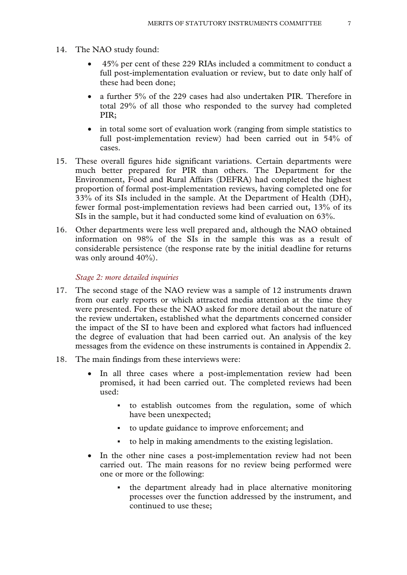- 14. The NAO study found:
	- 45% per cent of these 229 RIAs included a commitment to conduct a full post-implementation evaluation or review, but to date only half of these had been done;
	- a further 5% of the 229 cases had also undertaken PIR. Therefore in total 29% of all those who responded to the survey had completed PIR;
	- in total some sort of evaluation work (ranging from simple statistics to full post-implementation review) had been carried out in 54% of cases.
- 15. These overall figures hide significant variations. Certain departments were much better prepared for PIR than others. The Department for the Environment, Food and Rural Affairs (DEFRA) had completed the highest proportion of formal post-implementation reviews, having completed one for 33% of its SIs included in the sample. At the Department of Health (DH), fewer formal post-implementation reviews had been carried out, 13% of its SIs in the sample, but it had conducted some kind of evaluation on 63%.
- 16. Other departments were less well prepared and, although the NAO obtained information on 98% of the SIs in the sample this was as a result of considerable persistence (the response rate by the initial deadline for returns was only around 40%).

#### *Stage 2: more detailed inquiries*

- 17. The second stage of the NAO review was a sample of 12 instruments drawn from our early reports or which attracted media attention at the time they were presented. For these the NAO asked for more detail about the nature of the review undertaken, established what the departments concerned consider the impact of the SI to have been and explored what factors had influenced the degree of evaluation that had been carried out. An analysis of the key messages from the evidence on these instruments is contained in Appendix 2.
- 18. The main findings from these interviews were:
	- In all three cases where a post-implementation review had been promised, it had been carried out. The completed reviews had been used:
		- to establish outcomes from the regulation, some of which have been unexpected;
		- to update guidance to improve enforcement; and
		- to help in making amendments to the existing legislation.
	- In the other nine cases a post-implementation review had not been carried out. The main reasons for no review being performed were one or more or the following:
		- the department already had in place alternative monitoring processes over the function addressed by the instrument, and continued to use these;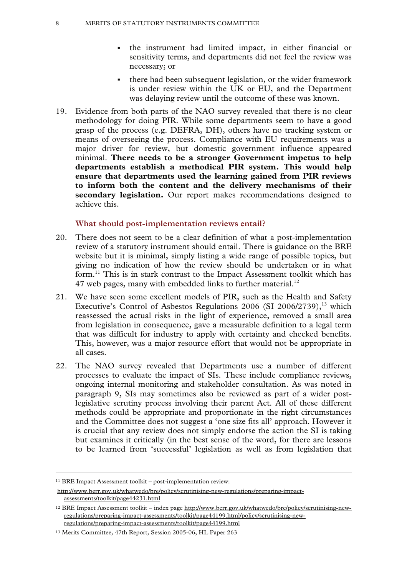- the instrument had limited impact, in either financial or sensitivity terms, and departments did not feel the review was necessary; or
- there had been subsequent legislation, or the wider framework is under review within the UK or EU, and the Department was delaying review until the outcome of these was known.
- 19. Evidence from both parts of the NAO survey revealed that there is no clear methodology for doing PIR. While some departments seem to have a good grasp of the process (e.g. DEFRA, DH), others have no tracking system or means of overseeing the process. Compliance with EU requirements was a major driver for review, but domestic government influence appeared minimal. **There needs to be a stronger Government impetus to help departments establish a methodical PIR system. This would help ensure that departments used the learning gained from PIR reviews to inform both the content and the delivery mechanisms of their secondary legislation.** Our report makes recommendations designed to achieve this.

#### **What should post-implementation reviews entail?**

- 20. There does not seem to be a clear definition of what a post-implementation review of a statutory instrument should entail. There is guidance on the BRE website but it is minimal, simply listing a wide range of possible topics, but giving no indication of how the review should be undertaken or in what form.<sup>11</sup> This is in stark contrast to the Impact Assessment toolkit which has 47 web pages, many with embedded links to further material. $^{12}$
- 21. We have seen some excellent models of PIR, such as the Health and Safety Executive's Control of Asbestos Regulations 2006 (SI 2006/2739), $^{13}$  which reassessed the actual risks in the light of experience, removed a small area from legislation in consequence, gave a measurable definition to a legal term that was difficult for industry to apply with certainty and checked benefits. This, however, was a major resource effort that would not be appropriate in all cases.
- 22. The NAO survey revealed that Departments use a number of different processes to evaluate the impact of SIs. These include compliance reviews, ongoing internal monitoring and stakeholder consultation. As was noted in paragraph 9, SIs may sometimes also be reviewed as part of a wider postlegislative scrutiny process involving their parent Act. All of these different methods could be appropriate and proportionate in the right circumstances and the Committee does not suggest a 'one size fits all' approach. However it is crucial that any review does not simply endorse the action the SI is taking but examines it critically (in the best sense of the word, for there are lessons to be learned from 'successful' legislation as well as from legislation that

 <sup>11</sup> BRE Impact Assessment toolkit – post-implementation review:

http://www.berr.gov.uk/whatwedo/bre/policy/scrutinising-new-regulations/preparing-impactassessments/toolkit/page44231.html

<sup>12</sup> BRE Impact Assessment toolkit – index page http://www.berr.gov.uk/whatwedo/bre/policy/scrutinising-newregulations/preparing-impact-assessments/toolkit/page44199.html/policy/scrutinising-newregulations/preparing-impact-assessments/toolkit/page44199.html

<sup>13</sup> Merits Committee, 47th Report, Session 2005-06, HL Paper 263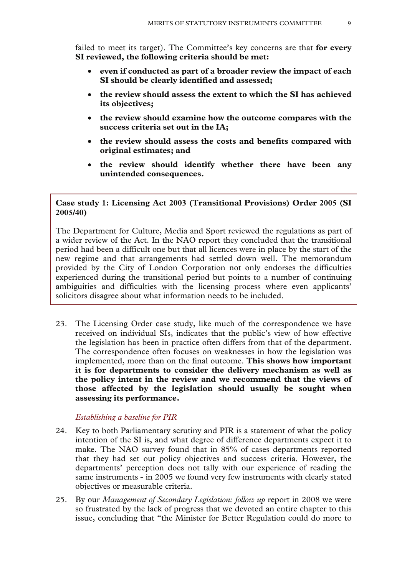failed to meet its target). The Committee's key concerns are that **for every SI reviewed, the following criteria should be met:**

- **even if conducted as part of a broader review the impact of each SI should be clearly identified and assessed;**
- **the review should assess the extent to which the SI has achieved its objectives;**
- **the review should examine how the outcome compares with the success criteria set out in the IA;**
- **the review should assess the costs and benefits compared with original estimates; and**
- **the review should identify whether there have been any unintended consequences.**

# **Case study 1: Licensing Act 2003 (Transitional Provisions) Order 2005 (SI 2005/40)**

The Department for Culture, Media and Sport reviewed the regulations as part of a wider review of the Act. In the NAO report they concluded that the transitional period had been a difficult one but that all licences were in place by the start of the new regime and that arrangements had settled down well. The memorandum provided by the City of London Corporation not only endorses the difficulties experienced during the transitional period but points to a number of continuing ambiguities and difficulties with the licensing process where even applicants' solicitors disagree about what information needs to be included.

23. The Licensing Order case study, like much of the correspondence we have received on individual SIs, indicates that the public's view of how effective the legislation has been in practice often differs from that of the department. The correspondence often focuses on weaknesses in how the legislation was implemented, more than on the final outcome. **This shows how important it is for departments to consider the delivery mechanism as well as the policy intent in the review and we recommend that the views of those affected by the legislation should usually be sought when assessing its performance.**

# *Establishing a baseline for PIR*

- 24. Key to both Parliamentary scrutiny and PIR is a statement of what the policy intention of the SI is, and what degree of difference departments expect it to make. The NAO survey found that in 85% of cases departments reported that they had set out policy objectives and success criteria. However, the departments' perception does not tally with our experience of reading the same instruments - in 2005 we found very few instruments with clearly stated objectives or measurable criteria.
- 25. By our *Management of Secondary Legislation: follow up* report in 2008 we were so frustrated by the lack of progress that we devoted an entire chapter to this issue, concluding that "the Minister for Better Regulation could do more to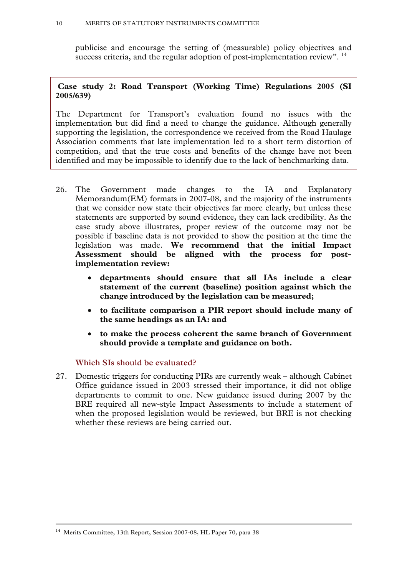publicise and encourage the setting of (measurable) policy objectives and success criteria, and the regular adoption of post-implementation review". <sup>14</sup>

# **Case study 2: Road Transport (Working Time) Regulations 2005 (SI 2005/639)**

The Department for Transport's evaluation found no issues with the implementation but did find a need to change the guidance. Although generally supporting the legislation, the correspondence we received from the Road Haulage Association comments that late implementation led to a short term distortion of competition, and that the true costs and benefits of the change have not been identified and may be impossible to identify due to the lack of benchmarking data.

- 26. The Government made changes to the IA and Explanatory Memorandum(EM) formats in 2007-08, and the majority of the instruments that we consider now state their objectives far more clearly, but unless these statements are supported by sound evidence, they can lack credibility. As the case study above illustrates, proper review of the outcome may not be possible if baseline data is not provided to show the position at the time the legislation was made. **We recommend that the initial Impact Assessment should be aligned with the process for postimplementation review:** 
	- **departments should ensure that all IAs include a clear statement of the current (baseline) position against which the change introduced by the legislation can be measured;**
	- **to facilitate comparison a PIR report should include many of the same headings as an IA: and**
	- **to make the process coherent the same branch of Government should provide a template and guidance on both.**

# **Which SIs should be evaluated?**

27. Domestic triggers for conducting PIRs are currently weak – although Cabinet Office guidance issued in 2003 stressed their importance, it did not oblige departments to commit to one. New guidance issued during 2007 by the BRE required all new-style Impact Assessments to include a statement of when the proposed legislation would be reviewed, but BRE is not checking whether these reviews are being carried out.

<sup>&</sup>lt;sup>14</sup> Merits Committee, 13th Report, Session 2007-08, HL Paper 70, para 38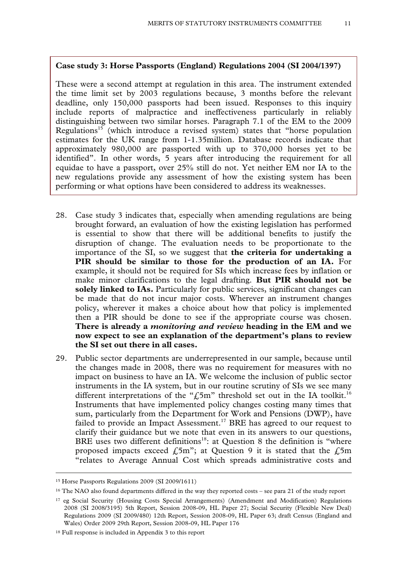## **Case study 3: Horse Passports (England) Regulations 2004 (SI 2004/1397)**

These were a second attempt at regulation in this area. The instrument extended the time limit set by 2003 regulations because, 3 months before the relevant deadline, only 150,000 passports had been issued. Responses to this inquiry include reports of malpractice and ineffectiveness particularly in reliably distinguishing between two similar horses. Paragraph 7.1 of the EM to the 2009 Regulations<sup>15</sup> (which introduce a revised system) states that "horse population estimates for the UK range from 1-1.35million. Database records indicate that approximately 980,000 are passported with up to 370,000 horses yet to be identified". In other words, 5 years after introducing the requirement for all equidae to have a passport, over 25% still do not. Yet neither EM nor IA to the new regulations provide any assessment of how the existing system has been performing or what options have been considered to address its weaknesses.

- 28. Case study 3 indicates that, especially when amending regulations are being brought forward, an evaluation of how the existing legislation has performed is essential to show that there will be additional benefits to justify the disruption of change. The evaluation needs to be proportionate to the importance of the SI, so we suggest that **the criteria for undertaking a**  PIR should be similar to those for the production of an IA. For example, it should not be required for SIs which increase fees by inflation or make minor clarifications to the legal drafting. **But PIR should not be solely linked to IAs.** Particularly for public services, significant changes can be made that do not incur major costs. Wherever an instrument changes policy, wherever it makes a choice about how that policy is implemented then a PIR should be done to see if the appropriate course was chosen. **There is already a** *monitoring and review* **heading in the EM and we now expect to see an explanation of the department's plans to review the SI set out there in all cases.**
- 29. Public sector departments are underrepresented in our sample, because until the changes made in 2008, there was no requirement for measures with no impact on business to have an IA. We welcome the inclusion of public sector instruments in the IA system, but in our routine scrutiny of SIs we see many different interpretations of the " $\text{\AA}$ 5m" threshold set out in the IA toolkit.<sup>16</sup> Instruments that have implemented policy changes costing many times that sum, particularly from the Department for Work and Pensions (DWP), have failed to provide an Impact Assessment.<sup>17</sup> BRE has agreed to our request to clarify their guidance but we note that even in its answers to our questions, BRE uses two different definitions<sup>18</sup>: at Question 8 the definition is "where proposed impacts exceed  $f_{\text{5m}}$ "; at Question 9 it is stated that the  $f_{\text{5m}}$ "relates to Average Annual Cost which spreads administrative costs and

 <sup>15</sup> Horse Passports Regulations 2009 (SI 2009/1611)

<sup>16</sup> The NAO also found departments differed in the way they reported costs – see para 21 of the study report

<sup>17</sup> eg Social Security (Housing Costs Special Arrangements) (Amendment and Modification) Regulations 2008 (SI 2008/3195) 5th Report, Session 2008-09, HL Paper 27; Social Security (Flexible New Deal) Regulations 2009 (SI 2009/480) 12th Report, Session 2008-09, HL Paper 63; draft Census (England and Wales) Order 2009 29th Report, Session 2008-09, HL Paper 176

<sup>18</sup> Full response is included in Appendix 3 to this report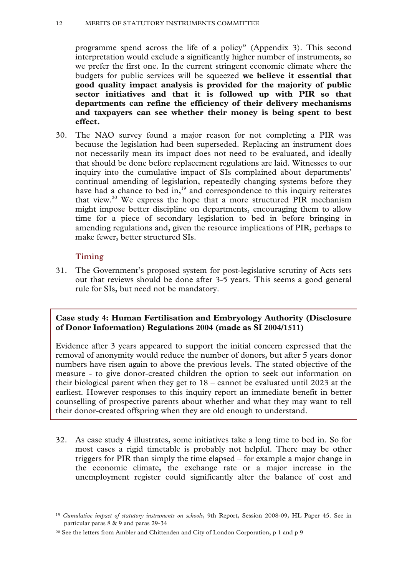#### 12 MERITS OF STATUTORY INSTRUMENTS COMMITTEE

programme spend across the life of a policy" (Appendix 3). This second interpretation would exclude a significantly higher number of instruments, so we prefer the first one. In the current stringent economic climate where the budgets for public services will be squeezed **we believe it essential that good quality impact analysis is provided for the majority of public sector initiatives and that it is followed up with PIR so that departments can refine the efficiency of their delivery mechanisms and taxpayers can see whether their money is being spent to best effect.**

30. The NAO survey found a major reason for not completing a PIR was because the legislation had been superseded. Replacing an instrument does not necessarily mean its impact does not need to be evaluated, and ideally that should be done before replacement regulations are laid. Witnesses to our inquiry into the cumulative impact of SIs complained about departments' continual amending of legislation, repeatedly changing systems before they have had a chance to bed in, $19$  and correspondence to this inquiry reiterates that view.<sup>20</sup> We express the hope that a more structured PIR mechanism might impose better discipline on departments, encouraging them to allow time for a piece of secondary legislation to bed in before bringing in amending regulations and, given the resource implications of PIR, perhaps to make fewer, better structured SIs.

# **Timing**

31. The Government's proposed system for post-legislative scrutiny of Acts sets out that reviews should be done after 3-5 years. This seems a good general rule for SIs, but need not be mandatory.

# **Case study 4: Human Fertilisation and Embryology Authority (Disclosure of Donor Information) Regulations 2004 (made as SI 2004/1511)**

Evidence after 3 years appeared to support the initial concern expressed that the removal of anonymity would reduce the number of donors, but after 5 years donor numbers have risen again to above the previous levels. The stated objective of the measure - to give donor-created children the option to seek out information on their biological parent when they get to 18 – cannot be evaluated until 2023 at the earliest. However responses to this inquiry report an immediate benefit in better counselling of prospective parents about whether and what they may want to tell their donor-created offspring when they are old enough to understand.

32. As case study 4 illustrates, some initiatives take a long time to bed in. So for most cases a rigid timetable is probably not helpful. There may be other triggers for PIR than simply the time elapsed – for example a major change in the economic climate, the exchange rate or a major increase in the unemployment register could significantly alter the balance of cost and

 <sup>19</sup> *Cumulative impact of statutory instruments on schools*, 9th Report, Session 2008-09, HL Paper 45. See in particular paras 8 & 9 and paras 29-34

<sup>&</sup>lt;sup>20</sup> See the letters from Ambler and Chittenden and City of London Corporation, p 1 and p 9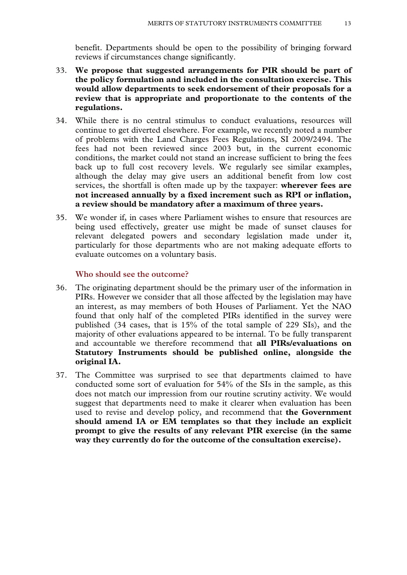benefit. Departments should be open to the possibility of bringing forward reviews if circumstances change significantly.

- 33. **We propose that suggested arrangements for PIR should be part of the policy formulation and included in the consultation exercise. This would allow departments to seek endorsement of their proposals for a review that is appropriate and proportionate to the contents of the regulations.**
- 34. While there is no central stimulus to conduct evaluations, resources will continue to get diverted elsewhere. For example, we recently noted a number of problems with the Land Charges Fees Regulations, SI 2009/2494. The fees had not been reviewed since 2003 but, in the current economic conditions, the market could not stand an increase sufficient to bring the fees back up to full cost recovery levels. We regularly see similar examples, although the delay may give users an additional benefit from low cost services, the shortfall is often made up by the taxpayer: **wherever fees are not increased annually by a fixed increment such as RPI or inflation, a review should be mandatory after a maximum of three years.**
- 35. We wonder if, in cases where Parliament wishes to ensure that resources are being used effectively, greater use might be made of sunset clauses for relevant delegated powers and secondary legislation made under it, particularly for those departments who are not making adequate efforts to evaluate outcomes on a voluntary basis.

# **Who should see the outcome?**

- 36. The originating department should be the primary user of the information in PIRs. However we consider that all those affected by the legislation may have an interest, as may members of both Houses of Parliament. Yet the NAO found that only half of the completed PIRs identified in the survey were published (34 cases, that is 15% of the total sample of 229 SIs), and the majority of other evaluations appeared to be internal. To be fully transparent and accountable we therefore recommend that **all PIRs/evaluations on Statutory Instruments should be published online, alongside the original IA.**
- 37. The Committee was surprised to see that departments claimed to have conducted some sort of evaluation for 54% of the SIs in the sample, as this does not match our impression from our routine scrutiny activity. We would suggest that departments need to make it clearer when evaluation has been used to revise and develop policy, and recommend that **the Government should amend IA or EM templates so that they include an explicit prompt to give the results of any relevant PIR exercise (in the same way they currently do for the outcome of the consultation exercise).**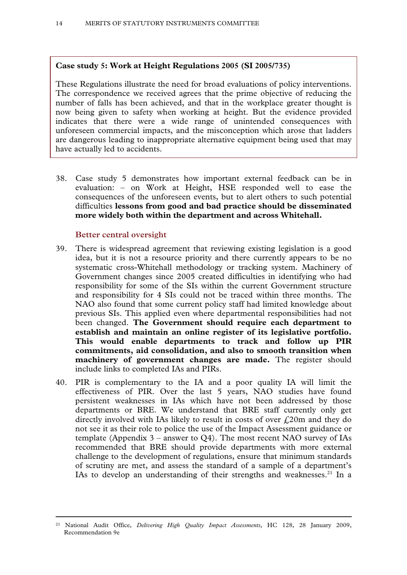# **Case study 5: Work at Height Regulations 2005 (SI 2005/735)**

These Regulations illustrate the need for broad evaluations of policy interventions. The correspondence we received agrees that the prime objective of reducing the number of falls has been achieved, and that in the workplace greater thought is now being given to safety when working at height. But the evidence provided indicates that there were a wide range of unintended consequences with unforeseen commercial impacts, and the misconception which arose that ladders are dangerous leading to inappropriate alternative equipment being used that may have actually led to accidents.

38. Case study 5 demonstrates how important external feedback can be in evaluation: – on Work at Height, HSE responded well to ease the consequences of the unforeseen events, but to alert others to such potential difficulties **lessons from good and bad practice should be disseminated more widely both within the department and across Whitehall.**

# **Better central oversight**

- 39. There is widespread agreement that reviewing existing legislation is a good idea, but it is not a resource priority and there currently appears to be no systematic cross-Whitehall methodology or tracking system. Machinery of Government changes since 2005 created difficulties in identifying who had responsibility for some of the SIs within the current Government structure and responsibility for 4 SIs could not be traced within three months. The NAO also found that some current policy staff had limited knowledge about previous SIs. This applied even where departmental responsibilities had not been changed. **The Government should require each department to establish and maintain an online register of its legislative portfolio. This would enable departments to track and follow up PIR commitments, aid consolidation, and also to smooth transition when machinery of government changes are made.** The register should include links to completed IAs and PIRs.
- 40. PIR is complementary to the IA and a poor quality IA will limit the effectiveness of PIR. Over the last 5 years, NAO studies have found persistent weaknesses in IAs which have not been addressed by those departments or BRE. We understand that BRE staff currently only get directly involved with IAs likely to result in costs of over  $\hat{L}$  20m and they do not see it as their role to police the use of the Impact Assessment guidance or template (Appendix  $3$  – answer to Q4). The most recent NAO survey of IAs recommended that BRE should provide departments with more external challenge to the development of regulations, ensure that minimum standards of scrutiny are met, and assess the standard of a sample of a department's IAs to develop an understanding of their strengths and weaknesses.<sup>21</sup> In a

 <sup>21</sup> National Audit Office, *Delivering High Quality Impact Assessments,* HC 128, 28 January 2009, Recommendation 9e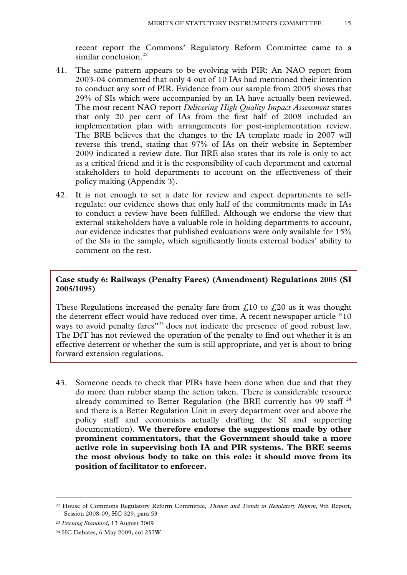recent report the Commons' Regulatory Reform Committee came to a similar conclusion.<sup>22</sup>

- 41. The same pattern appears to be evolving with PIR: An NAO report from 2003-04 commented that only 4 out of 10 IAs had mentioned their intention to conduct any sort of PIR. Evidence from our sample from 2005 shows that 29% of SIs which were accompanied by an IA have actually been reviewed. The most recent NAO report *Delivering High Quality Impact Assessment* states that only 20 per cent of IAs from the first half of 2008 included an implementation plan with arrangements for post-implementation review. The BRE believes that the changes to the IA template made in 2007 will reverse this trend, stating that 97% of IAs on their website in September 2009 indicated a review date. But BRE also states that its role is only to act as a critical friend and it is the responsibility of each department and external stakeholders to hold departments to account on the effectiveness of their policy making (Appendix 3).
- 42. It is not enough to set a date for review and expect departments to selfregulate: our evidence shows that only half of the commitments made in IAs to conduct a review have been fulfilled. Although we endorse the view that external stakeholders have a valuable role in holding departments to account, our evidence indicates that published evaluations were only available for 15% of the SIs in the sample, which significantly limits external bodies' ability to comment on the rest.

# **Case study 6: Railways (Penalty Fares) (Amendment) Regulations 2005 (SI 2005/1095)**

These Regulations increased the penalty fare from  $\mathcal{L}^{10}$  to  $\mathcal{L}^{20}$  as it was thought the deterrent effect would have reduced over time. A recent newspaper article "10 ways to avoid penalty fares<sup>"23</sup> does not indicate the presence of good robust law. The DfT has not reviewed the operation of the penalty to find out whether it is an effective deterrent or whether the sum is still appropriate, and yet is about to bring forward extension regulations.

43. Someone needs to check that PIRs have been done when due and that they do more than rubber stamp the action taken. There is considerable resource already committed to Better Regulation (the BRE currently has 99 staff  $24$ ) and there is a Better Regulation Unit in every department over and above the policy staff and economists actually drafting the SI and supporting documentation). **We therefore endorse the suggestions made by other prominent commentators, that the Government should take a more active role in supervising both IA and PIR systems. The BRE seems the most obvious body to take on this role: it should move from its position of facilitator to enforcer.** 

 <sup>22</sup> House of Commons Regulatory Reform Committee, *Themes and Trends in Regulatory Reform*, 9th Report, Session 2008-09*,* HC 329, para 53

<sup>23</sup> *Evening Standard*, 13 August 2009

<sup>24</sup> HC Debates, 6 May 2009, col 257W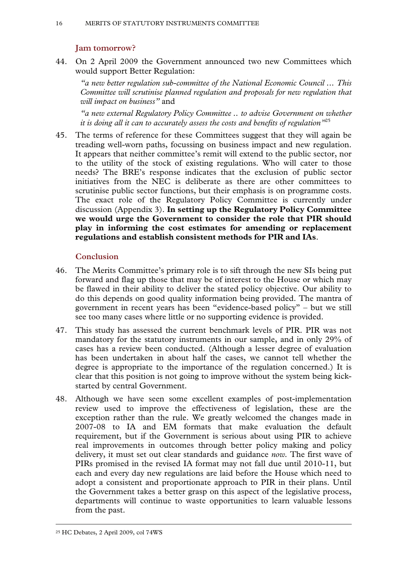# **Jam tomorrow?**

44. On 2 April 2009 the Government announced two new Committees which would support Better Regulation:

*"a new better regulation sub-committee of the National Economic Council ... This Committee will scrutinise planned regulation and proposals for new regulation that will impact on business"* and

*"a new external Regulatory Policy Committee .. to advise Government on whether it is doing all it can to accurately assess the costs and benefits of regulation"*<sup>25</sup>

45. The terms of reference for these Committees suggest that they will again be treading well-worn paths, focussing on business impact and new regulation. It appears that neither committee's remit will extend to the public sector, nor to the utility of the stock of existing regulations. Who will cater to those needs? The BRE's response indicates that the exclusion of public sector initiatives from the NEC is deliberate as there are other committees to scrutinise public sector functions, but their emphasis is on programme costs. The exact role of the Regulatory Policy Committee is currently under discussion (Appendix 3). **In setting up the Regulatory Policy Committee we would urge the Government to consider the role that PIR should play in informing the cost estimates for amending or replacement regulations and establish consistent methods for PIR and IAs**.

# **Conclusion**

- 46. The Merits Committee's primary role is to sift through the new SIs being put forward and flag up those that may be of interest to the House or which may be flawed in their ability to deliver the stated policy objective. Our ability to do this depends on good quality information being provided. The mantra of government in recent years has been "evidence-based policy" – but we still see too many cases where little or no supporting evidence is provided.
- 47. This study has assessed the current benchmark levels of PIR. PIR was not mandatory for the statutory instruments in our sample, and in only 29% of cases has a review been conducted. (Although a lesser degree of evaluation has been undertaken in about half the cases, we cannot tell whether the degree is appropriate to the importance of the regulation concerned.) It is clear that this position is not going to improve without the system being kickstarted by central Government.
- 48. Although we have seen some excellent examples of post-implementation review used to improve the effectiveness of legislation, these are the exception rather than the rule. We greatly welcomed the changes made in 2007-08 to IA and EM formats that make evaluation the default requirement, but if the Government is serious about using PIR to achieve real improvements in outcomes through better policy making and policy delivery, it must set out clear standards and guidance *now.* The first wave of PIRs promised in the revised IA format may not fall due until 2010-11, but each and every day new regulations are laid before the House which need to adopt a consistent and proportionate approach to PIR in their plans. Until the Government takes a better grasp on this aspect of the legislative process, departments will continue to waste opportunities to learn valuable lessons from the past.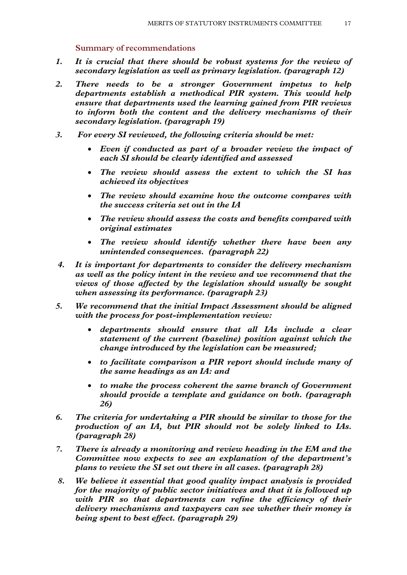# **Summary of recommendations**

- *1. It is crucial that there should be robust systems for the review of secondary legislation as well as primary legislation. (paragraph 12)*
- *2. There needs to be a stronger Government impetus to help departments establish a methodical PIR system. This would help ensure that departments used the learning gained from PIR reviews to inform both the content and the delivery mechanisms of their secondary legislation. (paragraph 19)*
- *3. For every SI reviewed, the following criteria should be met:* 
	- *Even if conducted as part of a broader review the impact of each SI should be clearly identified and assessed*
	- *The review should assess the extent to which the SI has achieved its objectives*
	- *The review should examine how the outcome compares with the success criteria set out in the IA*
	- *The review should assess the costs and benefits compared with original estimates*
	- *The review should identify whether there have been any unintended consequences. (paragraph 22)*
- *4. It is important for departments to consider the delivery mechanism as well as the policy intent in the review and we recommend that the views of those affected by the legislation should usually be sought when assessing its performance. (paragraph 23)*
- *5. We recommend that the initial Impact Assessment should be aligned with the process for post-implementation review:* 
	- *departments should ensure that all IAs include a clear statement of the current (baseline) position against which the change introduced by the legislation can be measured;*
	- *to facilitate comparison a PIR report should include many of the same headings as an IA: and*
	- *to make the process coherent the same branch of Government should provide a template and guidance on both. (paragraph 26)*
- *6. The criteria for undertaking a PIR should be similar to those for the production of an IA, but PIR should not be solely linked to IAs. (paragraph 28)*
- *7. There is already a monitoring and review heading in the EM and the Committee now expects to see an explanation of the department's plans to review the SI set out there in all cases. (paragraph 28)*
- *8. We believe it essential that good quality impact analysis is provided for the majority of public sector initiatives and that it is followed up with PIR so that departments can refine the efficiency of their delivery mechanisms and taxpayers can see whether their money is being spent to best effect. (paragraph 29)*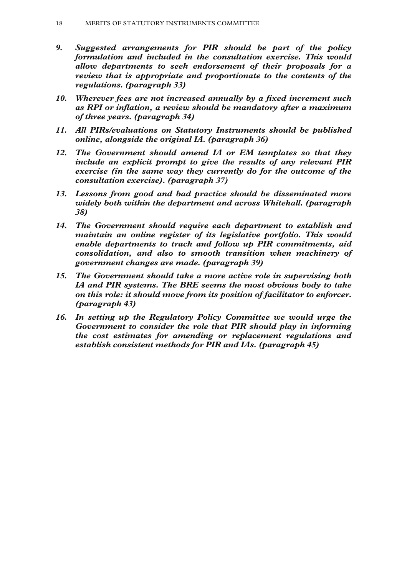- *9. Suggested arrangements for PIR should be part of the policy formulation and included in the consultation exercise. This would allow departments to seek endorsement of their proposals for a review that is appropriate and proportionate to the contents of the regulations. (paragraph 33)*
- *10. Wherever fees are not increased annually by a fixed increment such as RPI or inflation, a review should be mandatory after a maximum of three years. (paragraph 34)*
- *11. All PIRs/evaluations on Statutory Instruments should be published online, alongside the original IA. (paragraph 36)*
- *12. The Government should amend IA or EM templates so that they include an explicit prompt to give the results of any relevant PIR exercise (in the same way they currently do for the outcome of the consultation exercise). (paragraph 37)*
- *13. Lessons from good and bad practice should be disseminated more widely both within the department and across Whitehall. (paragraph 38)*
- *14. The Government should require each department to establish and maintain an online register of its legislative portfolio. This would enable departments to track and follow up PIR commitments, aid consolidation, and also to smooth transition when machinery of government changes are made. (paragraph 39)*
- *15. The Government should take a more active role in supervising both IA and PIR systems. The BRE seems the most obvious body to take on this role: it should move from its position of facilitator to enforcer. (paragraph 43)*
- *16. In setting up the Regulatory Policy Committee we would urge the Government to consider the role that PIR should play in informing the cost estimates for amending or replacement regulations and establish consistent methods for PIR and IAs. (paragraph 45)*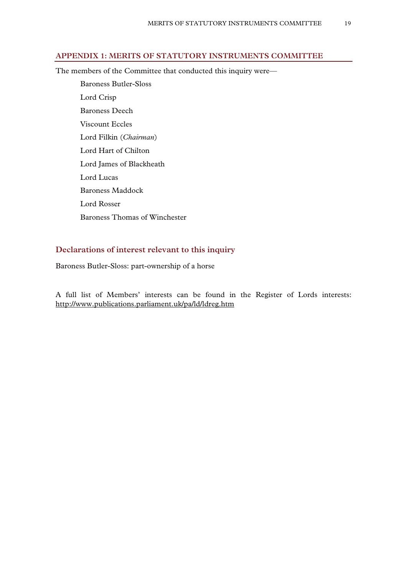# **APPENDIX 1: MERITS OF STATUTORY INSTRUMENTS COMMITTEE**

The members of the Committee that conducted this inquiry were—

 Baroness Butler-Sloss Lord Crisp Baroness Deech Viscount Eccles Lord Filkin (*Chairman*) Lord Hart of Chilton Lord James of Blackheath Lord Lucas Baroness Maddock Lord Rosser Baroness Thomas of Winchester

# **Declarations of interest relevant to this inquiry**

Baroness Butler-Sloss: part-ownership of a horse

A full list of Members' interests can be found in the Register of Lords interests: http://www.publications.parliament.uk/pa/ld/ldreg.htm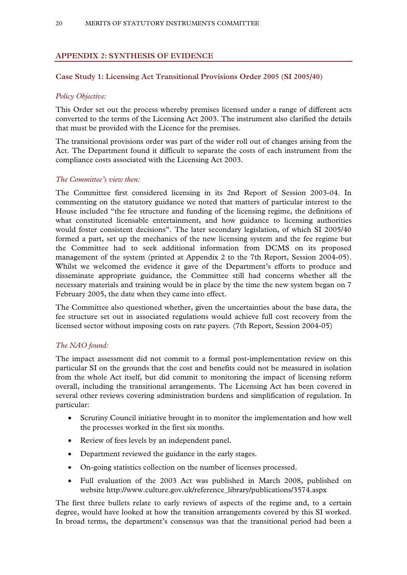# **APPENDIX 2: SYNTHESIS OF EVIDENCE**

# **Case Study 1: Licensing Act Transitional Provisions Order 2005 (SI 2005/40)**

# *Policy Objective:*

This Order set out the process whereby premises licensed under a range of different acts converted to the terms of the Licensing Act 2003. The instrument also clarified the details that must be provided with the Licence for the premises.

The transitional provisions order was part of the wider roll out of changes arising from the Act. The Department found it difficult to separate the costs of each instrument from the compliance costs associated with the Licensing Act 2003.

#### *The Committee's view then:*

The Committee first considered licensing in its 2nd Report of Session 2003-04. In commenting on the statutory guidance we noted that matters of particular interest to the House included "the fee structure and funding of the licensing regime, the definitions of what constituted licensable entertainment, and how guidance to licensing authorities would foster consistent decisions". The later secondary legislation, of which SI 2005/40 formed a part, set up the mechanics of the new licensing system and the fee regime but the Committee had to seek additional information from DCMS on its proposed management of the system (printed at Appendix 2 to the 7th Report, Session 2004-05). Whilst we welcomed the evidence it gave of the Department's efforts to produce and disseminate appropriate guidance, the Committee still had concerns whether all the necessary materials and training would be in place by the time the new system began on 7 February 2005, the date when they came into effect.

The Committee also questioned whether, given the uncertainties about the base data, the fee structure set out in associated regulations would achieve full cost recovery from the licensed sector without imposing costs on rate payers. (7th Report, Session 2004-05)

# *The NAO found:*

The impact assessment did not commit to a formal post-implementation review on this particular SI on the grounds that the cost and benefits could not be measured in isolation from the whole Act itself, but did commit to monitoring the impact of licensing reform overall, including the transitional arrangements. The Licensing Act has been covered in several other reviews covering administration burdens and simplification of regulation. In particular:

- Scrutiny Council initiative brought in to monitor the implementation and how well the processes worked in the first six months.
- Review of fees levels by an independent panel.
- Department reviewed the guidance in the early stages.
- On-going statistics collection on the number of licenses processed.
- Full evaluation of the 2003 Act was published in March 2008, published on website http://www.culture.gov.uk/reference\_library/publications/3574.aspx

The first three bullets relate to early reviews of aspects of the regime and, to a certain degree, would have looked at how the transition arrangements covered by this SI worked. In broad terms, the department's consensus was that the transitional period had been a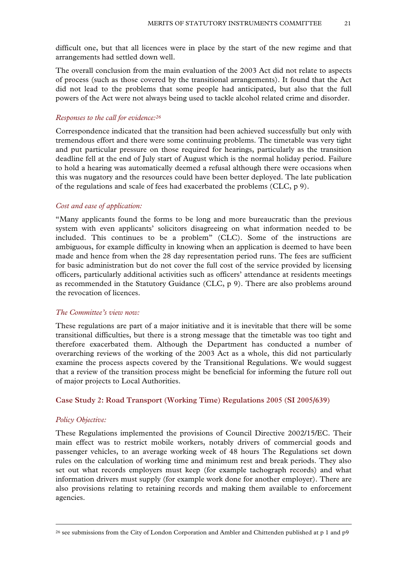difficult one, but that all licences were in place by the start of the new regime and that arrangements had settled down well.

The overall conclusion from the main evaluation of the 2003 Act did not relate to aspects of process (such as those covered by the transitional arrangements). It found that the Act did not lead to the problems that some people had anticipated, but also that the full powers of the Act were not always being used to tackle alcohol related crime and disorder.

#### *Responses to the call for evidence:26*

Correspondence indicated that the transition had been achieved successfully but only with tremendous effort and there were some continuing problems. The timetable was very tight and put particular pressure on those required for hearings, particularly as the transition deadline fell at the end of July start of August which is the normal holiday period. Failure to hold a hearing was automatically deemed a refusal although there were occasions when this was nugatory and the resources could have been better deployed. The late publication of the regulations and scale of fees had exacerbated the problems (CLC, p 9).

#### *Cost and ease of application:*

"Many applicants found the forms to be long and more bureaucratic than the previous system with even applicants' solicitors disagreeing on what information needed to be included. This continues to be a problem" (CLC). Some of the instructions are ambiguous, for example difficulty in knowing when an application is deemed to have been made and hence from when the 28 day representation period runs. The fees are sufficient for basic administration but do not cover the full cost of the service provided by licensing officers, particularly additional activities such as officers' attendance at residents meetings as recommended in the Statutory Guidance (CLC, p 9). There are also problems around the revocation of licences.

#### *The Committee's view now:*

These regulations are part of a major initiative and it is inevitable that there will be some transitional difficulties, but there is a strong message that the timetable was too tight and therefore exacerbated them. Although the Department has conducted a number of overarching reviews of the working of the 2003 Act as a whole, this did not particularly examine the process aspects covered by the Transitional Regulations. We would suggest that a review of the transition process might be beneficial for informing the future roll out of major projects to Local Authorities.

#### **Case Study 2: Road Transport (Working Time) Regulations 2005 (SI 2005/639)**

#### *Policy Objective:*

These Regulations implemented the provisions of Council Directive 2002/15/EC. Their main effect was to restrict mobile workers, notably drivers of commercial goods and passenger vehicles, to an average working week of 48 hours The Regulations set down rules on the calculation of working time and minimum rest and break periods. They also set out what records employers must keep (for example tachograph records) and what information drivers must supply (for example work done for another employer). There are also provisions relating to retaining records and making them available to enforcement agencies.

<sup>&</sup>lt;sup>26</sup> see submissions from the City of London Corporation and Ambler and Chittenden published at p 1 and p9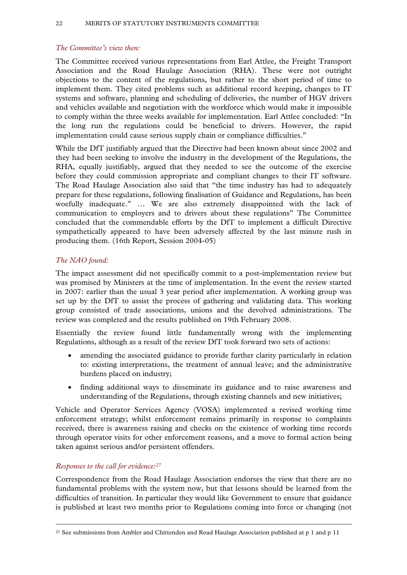# *The Committee's view then:*

The Committee received various representations from Earl Attlee, the Freight Transport Association and the Road Haulage Association (RHA). These were not outright objections to the content of the regulations, but rather to the short period of time to implement them. They cited problems such as additional record keeping, changes to IT systems and software, planning and scheduling of deliveries, the number of HGV drivers and vehicles available and negotiation with the workforce which would make it impossible to comply within the three weeks available for implementation. Earl Attlee concluded: "In the long run the regulations could be beneficial to drivers. However, the rapid implementation could cause serious supply chain or compliance difficulties."

While the DfT justifiably argued that the Directive had been known about since 2002 and they had been seeking to involve the industry in the development of the Regulations, the RHA, equally justifiably, argued that they needed to see the outcome of the exercise before they could commission appropriate and compliant changes to their IT software. The Road Haulage Association also said that "the time industry has had to adequately prepare for these regulations, following finalisation of Guidance and Regulations, has been woefully inadequate." … We are also extremely disappointed with the lack of communication to employers and to drivers about these regulations" The Committee concluded that the commendable efforts by the DfT to implement a difficult Directive sympathetically appeared to have been adversely affected by the last minute rush in producing them. (16th Report, Session 2004-05)

# *The NAO found:*

The impact assessment did not specifically commit to a post-implementation review but was promised by Ministers at the time of implementation. In the event the review started in 2007: earlier than the usual 3 year period after implementation. A working group was set up by the DfT to assist the process of gathering and validating data. This working group consisted of trade associations, unions and the devolved administrations. The review was completed and the results published on 19th February 2008.

Essentially the review found little fundamentally wrong with the implementing Regulations, although as a result of the review DfT took forward two sets of actions:

- amending the associated guidance to provide further clarity particularly in relation to: existing interpretations, the treatment of annual leave; and the administrative burdens placed on industry;
- finding additional ways to disseminate its guidance and to raise awareness and understanding of the Regulations, through existing channels and new initiatives;

Vehicle and Operator Services Agency (VOSA) implemented a revised working time enforcement strategy; whilst enforcement remains primarily in response to complaints received, there is awareness raising and checks on the existence of working time records through operator visits for other enforcement reasons, and a move to formal action being taken against serious and/or persistent offenders.

# *Responses to the call for evidence:27*

Correspondence from the Road Haulage Association endorses the view that there are no fundamental problems with the system now, but that lessons should be learned from the difficulties of transition. In particular they would like Government to ensure that guidance is published at least two months prior to Regulations coming into force or changing (not

<sup>&</sup>lt;sup>27</sup> See submissions from Ambler and Chittenden and Road Haulage Association published at p 1 and p 11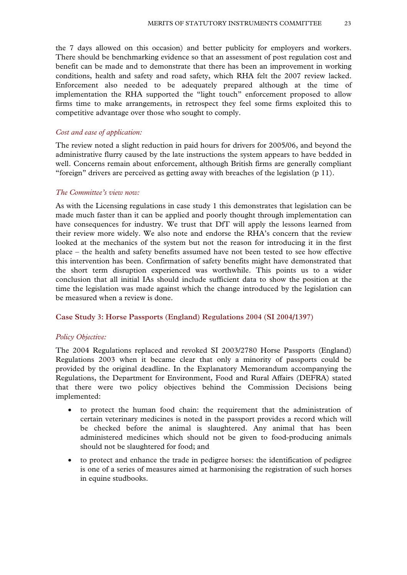the 7 days allowed on this occasion) and better publicity for employers and workers. There should be benchmarking evidence so that an assessment of post regulation cost and benefit can be made and to demonstrate that there has been an improvement in working conditions, health and safety and road safety, which RHA felt the 2007 review lacked. Enforcement also needed to be adequately prepared although at the time of implementation the RHA supported the "light touch" enforcement proposed to allow firms time to make arrangements, in retrospect they feel some firms exploited this to competitive advantage over those who sought to comply.

#### *Cost and ease of application:*

The review noted a slight reduction in paid hours for drivers for 2005/06, and beyond the administrative flurry caused by the late instructions the system appears to have bedded in well. Concerns remain about enforcement, although British firms are generally compliant "foreign" drivers are perceived as getting away with breaches of the legislation (p 11).

#### *The Committee's view now:*

As with the Licensing regulations in case study 1 this demonstrates that legislation can be made much faster than it can be applied and poorly thought through implementation can have consequences for industry. We trust that DfT will apply the lessons learned from their review more widely. We also note and endorse the RHA's concern that the review looked at the mechanics of the system but not the reason for introducing it in the first place – the health and safety benefits assumed have not been tested to see how effective this intervention has been. Confirmation of safety benefits might have demonstrated that the short term disruption experienced was worthwhile. This points us to a wider conclusion that all initial IAs should include sufficient data to show the position at the time the legislation was made against which the change introduced by the legislation can be measured when a review is done.

#### **Case Study 3: Horse Passports (England) Regulations 2004 (SI 2004/1397)**

#### *Policy Objective:*

The 2004 Regulations replaced and revoked SI 2003/2780 Horse Passports (England) Regulations 2003 when it became clear that only a minority of passports could be provided by the original deadline. In the Explanatory Memorandum accompanying the Regulations, the Department for Environment, Food and Rural Affairs (DEFRA) stated that there were two policy objectives behind the Commission Decisions being implemented:

- to protect the human food chain: the requirement that the administration of certain veterinary medicines is noted in the passport provides a record which will be checked before the animal is slaughtered. Any animal that has been administered medicines which should not be given to food-producing animals should not be slaughtered for food; and
- to protect and enhance the trade in pedigree horses: the identification of pedigree is one of a series of measures aimed at harmonising the registration of such horses in equine studbooks.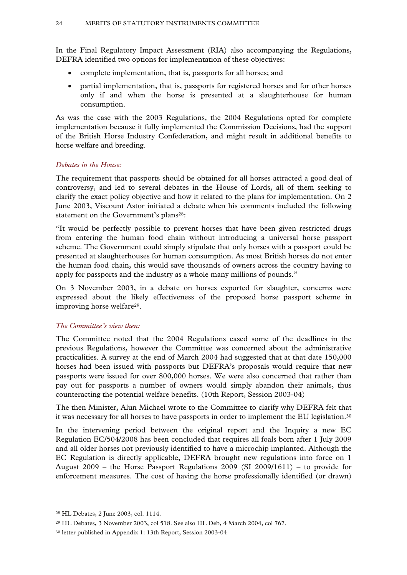In the Final Regulatory Impact Assessment (RIA) also accompanying the Regulations, DEFRA identified two options for implementation of these objectives:

- complete implementation, that is, passports for all horses; and
- partial implementation, that is, passports for registered horses and for other horses only if and when the horse is presented at a slaughterhouse for human consumption.

As was the case with the 2003 Regulations, the 2004 Regulations opted for complete implementation because it fully implemented the Commission Decisions, had the support of the British Horse Industry Confederation, and might result in additional benefits to horse welfare and breeding.

# *Debates in the House:*

The requirement that passports should be obtained for all horses attracted a good deal of controversy, and led to several debates in the House of Lords, all of them seeking to clarify the exact policy objective and how it related to the plans for implementation. On 2 June 2003, Viscount Astor initiated a debate when his comments included the following statement on the Government's plans<sup>28</sup>:

"It would be perfectly possible to prevent horses that have been given restricted drugs from entering the human food chain without introducing a universal horse passport scheme. The Government could simply stipulate that only horses with a passport could be presented at slaughterhouses for human consumption. As most British horses do not enter the human food chain, this would save thousands of owners across the country having to apply for passports and the industry as a whole many millions of pounds."

On 3 November 2003, in a debate on horses exported for slaughter, concerns were expressed about the likely effectiveness of the proposed horse passport scheme in improving horse welfare29.

# *The Committee's view then:*

The Committee noted that the 2004 Regulations eased some of the deadlines in the previous Regulations, however the Committee was concerned about the administrative practicalities. A survey at the end of March 2004 had suggested that at that date 150,000 horses had been issued with passports but DEFRA's proposals would require that new passports were issued for over 800,000 horses. We were also concerned that rather than pay out for passports a number of owners would simply abandon their animals, thus counteracting the potential welfare benefits. (10th Report, Session 2003-04)

The then Minister, Alun Michael wrote to the Committee to clarify why DEFRA felt that it was necessary for all horses to have passports in order to implement the EU legislation.30

In the intervening period between the original report and the Inquiry a new EC Regulation EC/504/2008 has been concluded that requires all foals born after 1 July 2009 and all older horses not previously identified to have a microchip implanted. Although the EC Regulation is directly applicable, DEFRA brought new regulations into force on 1 August 2009 – the Horse Passport Regulations 2009 (SI 2009/1611) – to provide for enforcement measures. The cost of having the horse professionally identified (or drawn)

 <sup>28</sup> HL Debates, 2 June 2003, col. 1114.

<sup>29</sup> HL Debates, 3 November 2003, col 518. See also HL Deb, 4 March 2004, col 767.

<sup>30</sup> letter published in Appendix 1: 13th Report, Session 2003-04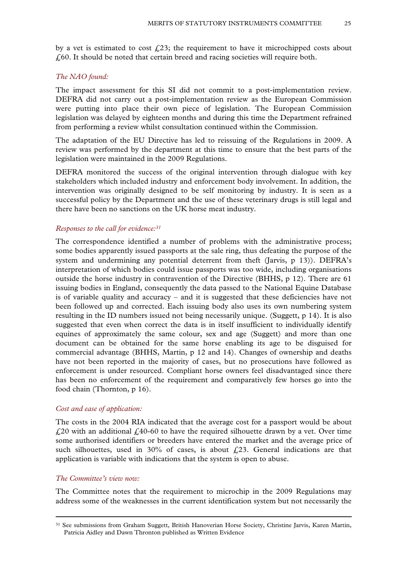by a vet is estimated to cost  $\mathcal{L}^{23}$ ; the requirement to have it microchipped costs about  $\ell$ , 60. It should be noted that certain breed and racing societies will require both.

#### *The NAO found:*

The impact assessment for this SI did not commit to a post-implementation review. DEFRA did not carry out a post-implementation review as the European Commission were putting into place their own piece of legislation. The European Commission legislation was delayed by eighteen months and during this time the Department refrained from performing a review whilst consultation continued within the Commission.

The adaptation of the EU Directive has led to reissuing of the Regulations in 2009. A review was performed by the department at this time to ensure that the best parts of the legislation were maintained in the 2009 Regulations.

DEFRA monitored the success of the original intervention through dialogue with key stakeholders which included industry and enforcement body involvement. In addition, the intervention was originally designed to be self monitoring by industry. It is seen as a successful policy by the Department and the use of these veterinary drugs is still legal and there have been no sanctions on the UK horse meat industry.

#### *Responses to the call for evidence:31*

The correspondence identified a number of problems with the administrative process; some bodies apparently issued passports at the sale ring, thus defeating the purpose of the system and undermining any potential deterrent from theft (Jarvis, p 13)). DEFRA's interpretation of which bodies could issue passports was too wide, including organisations outside the horse industry in contravention of the Directive (BHHS, p 12). There are 61 issuing bodies in England, consequently the data passed to the National Equine Database is of variable quality and accuracy – and it is suggested that these deficiencies have not been followed up and corrected. Each issuing body also uses its own numbering system resulting in the ID numbers issued not being necessarily unique. (Suggett, p 14). It is also suggested that even when correct the data is in itself insufficient to individually identify equines of approximately the same colour, sex and age (Suggett) and more than one document can be obtained for the same horse enabling its age to be disguised for commercial advantage (BHHS, Martin, p 12 and 14). Changes of ownership and deaths have not been reported in the majority of cases, but no prosecutions have followed as enforcement is under resourced. Compliant horse owners feel disadvantaged since there has been no enforcement of the requirement and comparatively few horses go into the food chain (Thornton, p 16).

#### *Cost and ease of application:*

The costs in the 2004 RIA indicated that the average cost for a passport would be about  $\angle$  £20 with an additional £40-60 to have the required silhouette drawn by a vet. Over time some authorised identifiers or breeders have entered the market and the average price of such silhouettes, used in 30% of cases, is about  $\hat{L}$  23. General indications are that application is variable with indications that the system is open to abuse.

#### *The Committee's view now:*

The Committee notes that the requirement to microchip in the 2009 Regulations may address some of the weaknesses in the current identification system but not necessarily the

 <sup>31</sup> See submissions from Graham Suggett, British Hanoverian Horse Society, Christine Jarvis, Karen Martin, Patricia Aidley and Dawn Thronton published as Written Evidence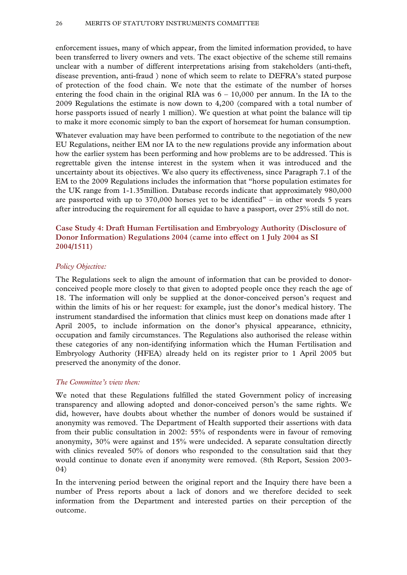enforcement issues, many of which appear, from the limited information provided, to have been transferred to livery owners and vets. The exact objective of the scheme still remains unclear with a number of different interpretations arising from stakeholders (anti-theft, disease prevention, anti-fraud ) none of which seem to relate to DEFRA's stated purpose of protection of the food chain. We note that the estimate of the number of horses entering the food chain in the original RIA was  $6 - 10,000$  per annum. In the IA to the 2009 Regulations the estimate is now down to 4,200 (compared with a total number of horse passports issued of nearly 1 million). We question at what point the balance will tip to make it more economic simply to ban the export of horsemeat for human consumption.

Whatever evaluation may have been performed to contribute to the negotiation of the new EU Regulations, neither EM nor IA to the new regulations provide any information about how the earlier system has been performing and how problems are to be addressed. This is regrettable given the intense interest in the system when it was introduced and the uncertainty about its objectives. We also query its effectiveness, since Paragraph 7.1 of the EM to the 2009 Regulations includes the information that "horse population estimates for the UK range from 1-1.35million. Database records indicate that approximately 980,000 are passported with up to  $370,000$  horses yet to be identified" – in other words 5 years after introducing the requirement for all equidae to have a passport, over 25% still do not.

# **Case Study 4: Draft Human Fertilisation and Embryology Authority (Disclosure of Donor Information) Regulations 2004 (came into effect on 1 July 2004 as SI 2004/1511)**

#### *Policy Objective:*

The Regulations seek to align the amount of information that can be provided to donorconceived people more closely to that given to adopted people once they reach the age of 18. The information will only be supplied at the donor-conceived person's request and within the limits of his or her request: for example, just the donor's medical history. The instrument standardised the information that clinics must keep on donations made after 1 April 2005, to include information on the donor's physical appearance, ethnicity, occupation and family circumstances. The Regulations also authorised the release within these categories of any non-identifying information which the Human Fertilisation and Embryology Authority (HFEA) already held on its register prior to 1 April 2005 but preserved the anonymity of the donor.

#### *The Committee's view then:*

We noted that these Regulations fulfilled the stated Government policy of increasing transparency and allowing adopted and donor-conceived person's the same rights. We did, however, have doubts about whether the number of donors would be sustained if anonymity was removed. The Department of Health supported their assertions with data from their public consultation in 2002: 55% of respondents were in favour of removing anonymity, 30% were against and 15% were undecided. A separate consultation directly with clinics revealed 50% of donors who responded to the consultation said that they would continue to donate even if anonymity were removed. (8th Report, Session 2003- 04)

In the intervening period between the original report and the Inquiry there have been a number of Press reports about a lack of donors and we therefore decided to seek information from the Department and interested parties on their perception of the outcome.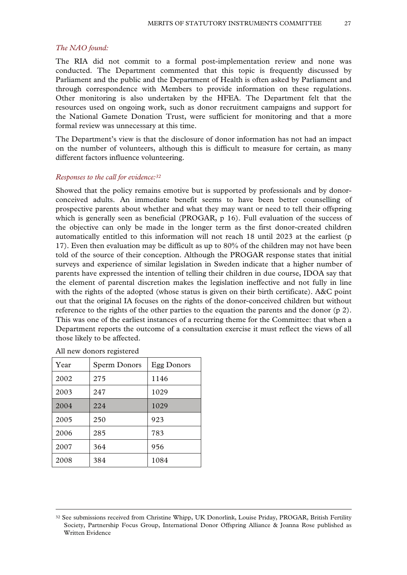#### *The NAO found:*

The RIA did not commit to a formal post-implementation review and none was conducted. The Department commented that this topic is frequently discussed by Parliament and the public and the Department of Health is often asked by Parliament and through correspondence with Members to provide information on these regulations. Other monitoring is also undertaken by the HFEA. The Department felt that the resources used on ongoing work, such as donor recruitment campaigns and support for the National Gamete Donation Trust, were sufficient for monitoring and that a more formal review was unnecessary at this time.

The Department's view is that the disclosure of donor information has not had an impact on the number of volunteers, although this is difficult to measure for certain, as many different factors influence volunteering.

#### *Responses to the call for evidence:32*

Showed that the policy remains emotive but is supported by professionals and by donorconceived adults. An immediate benefit seems to have been better counselling of prospective parents about whether and what they may want or need to tell their offspring which is generally seen as beneficial (PROGAR, p 16). Full evaluation of the success of the objective can only be made in the longer term as the first donor-created children automatically entitled to this information will not reach 18 until 2023 at the earliest (p 17). Even then evaluation may be difficult as up to 80% of the children may not have been told of the source of their conception. Although the PROGAR response states that initial surveys and experience of similar legislation in Sweden indicate that a higher number of parents have expressed the intention of telling their children in due course, IDOA say that the element of parental discretion makes the legislation ineffective and not fully in line with the rights of the adopted (whose status is given on their birth certificate). A&C point out that the original IA focuses on the rights of the donor-conceived children but without reference to the rights of the other parties to the equation the parents and the donor (p 2). This was one of the earliest instances of a recurring theme for the Committee: that when a Department reports the outcome of a consultation exercise it must reflect the views of all those likely to be affected.

| Year | Sperm Donors | Egg Donors |
|------|--------------|------------|
| 2002 | 275          | 1146       |
| 2003 | 247          | 1029       |
| 2004 | 224          | 1029       |
| 2005 | 250          | 923        |
| 2006 | 285          | 783        |
| 2007 | 364          | 956        |
| 2008 | 384          | 1084       |

All new donors registered

 <sup>32</sup> See submissions received from Christine Whipp, UK Donorlink, Louise Priday, PROGAR, British Fertility Society, Partnership Focus Group, International Donor Offspring Alliance & Joanna Rose published as Written Evidence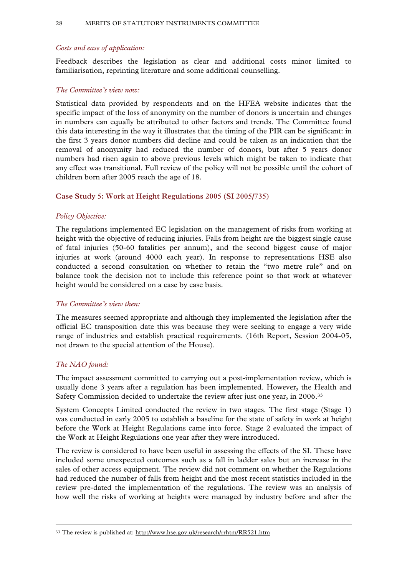# *Costs and ease of application:*

Feedback describes the legislation as clear and additional costs minor limited to familiarisation, reprinting literature and some additional counselling.

# *The Committee's view now:*

Statistical data provided by respondents and on the HFEA website indicates that the specific impact of the loss of anonymity on the number of donors is uncertain and changes in numbers can equally be attributed to other factors and trends. The Committee found this data interesting in the way it illustrates that the timing of the PIR can be significant: in the first 3 years donor numbers did decline and could be taken as an indication that the removal of anonymity had reduced the number of donors, but after 5 years donor numbers had risen again to above previous levels which might be taken to indicate that any effect was transitional. Full review of the policy will not be possible until the cohort of children born after 2005 reach the age of 18.

# **Case Study 5: Work at Height Regulations 2005 (SI 2005/735)**

# *Policy Objective:*

The regulations implemented EC legislation on the management of risks from working at height with the objective of reducing injuries. Falls from height are the biggest single cause of fatal injuries (50-60 fatalities per annum), and the second biggest cause of major injuries at work (around 4000 each year). In response to representations HSE also conducted a second consultation on whether to retain the "two metre rule" and on balance took the decision not to include this reference point so that work at whatever height would be considered on a case by case basis.

# *The Committee's view then:*

The measures seemed appropriate and although they implemented the legislation after the official EC transposition date this was because they were seeking to engage a very wide range of industries and establish practical requirements. (16th Report, Session 2004-05, not drawn to the special attention of the House).

# *The NAO found:*

The impact assessment committed to carrying out a post-implementation review, which is usually done 3 years after a regulation has been implemented. However, the Health and Safety Commission decided to undertake the review after just one year, in 2006.33

System Concepts Limited conducted the review in two stages. The first stage (Stage 1) was conducted in early 2005 to establish a baseline for the state of safety in work at height before the Work at Height Regulations came into force. Stage 2 evaluated the impact of the Work at Height Regulations one year after they were introduced.

The review is considered to have been useful in assessing the effects of the SI. These have included some unexpected outcomes such as a fall in ladder sales but an increase in the sales of other access equipment. The review did not comment on whether the Regulations had reduced the number of falls from height and the most recent statistics included in the review pre-dated the implementation of the regulations. The review was an analysis of how well the risks of working at heights were managed by industry before and after the

 <sup>33</sup> The review is published at: http://www.hse.gov.uk/research/rrhtm/RR521.htm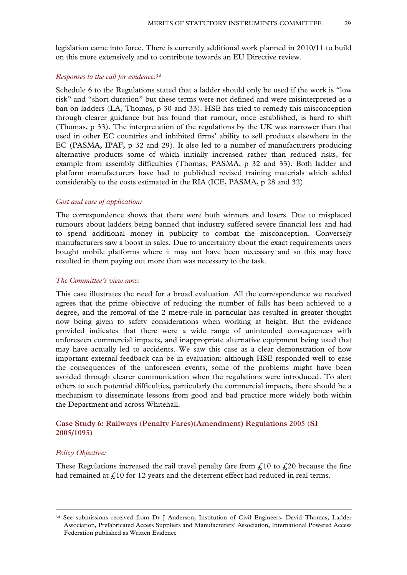legislation came into force. There is currently additional work planned in 2010/11 to build on this more extensively and to contribute towards an EU Directive review.

#### *Responses to the call for evidence:34*

Schedule 6 to the Regulations stated that a ladder should only be used if the work is "low risk" and "short duration" but these terms were not defined and were misinterpreted as a ban on ladders (LA, Thomas, p 30 and 33). HSE has tried to remedy this misconception through clearer guidance but has found that rumour, once established, is hard to shift (Thomas, p 33). The interpretation of the regulations by the UK was narrower than that used in other EC countries and inhibited firms' ability to sell products elsewhere in the EC (PASMA, IPAF, p 32 and 29). It also led to a number of manufacturers producing alternative products some of which initially increased rather than reduced risks, for example from assembly difficulties (Thomas, PASMA, p 32 and 33). Both ladder and platform manufacturers have had to published revised training materials which added considerably to the costs estimated in the RIA (ICE, PASMA, p 28 and 32).

#### *Cost and ease of application:*

The correspondence shows that there were both winners and losers. Due to misplaced rumours about ladders being banned that industry suffered severe financial loss and had to spend additional money in publicity to combat the misconception. Conversely manufacturers saw a boost in sales. Due to uncertainty about the exact requirements users bought mobile platforms where it may not have been necessary and so this may have resulted in them paying out more than was necessary to the task.

#### *The Committee's view now:*

This case illustrates the need for a broad evaluation. All the correspondence we received agrees that the prime objective of reducing the number of falls has been achieved to a degree, and the removal of the 2 metre-rule in particular has resulted in greater thought now being given to safety considerations when working at height. But the evidence provided indicates that there were a wide range of unintended consequences with unforeseen commercial impacts, and inappropriate alternative equipment being used that may have actually led to accidents. We saw this case as a clear demonstration of how important external feedback can be in evaluation: although HSE responded well to ease the consequences of the unforeseen events, some of the problems might have been avoided through clearer communication when the regulations were introduced. To alert others to such potential difficulties, particularly the commercial impacts, there should be a mechanism to disseminate lessons from good and bad practice more widely both within the Department and across Whitehall.

### **Case Study 6: Railways (Penalty Fares)(Amendment) Regulations 2005 (SI 2005/1095)**

#### *Policy Objective:*

These Regulations increased the rail travel penalty fare from  $\mathcal{L}^{10}$  to  $\mathcal{L}^{20}$  because the fine had remained at  $\hat{L}$  10 for 12 years and the deterrent effect had reduced in real terms.

 <sup>34</sup> See submissions received from Dr J Anderson, Institution of Civil Engineers, David Thomas, Ladder Association, Prefabricated Access Suppliers and Manufacturers' Association, International Powered Access Federation published as Written Evidence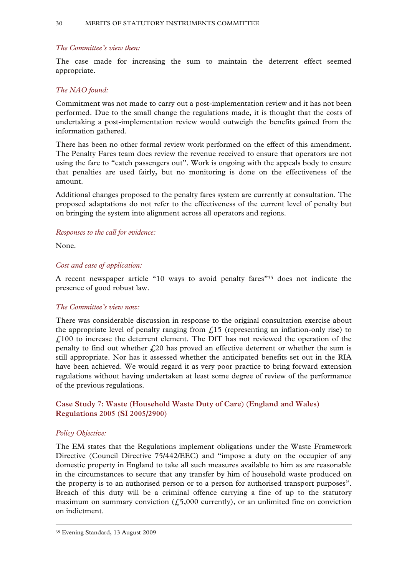# *The Committee's view then:*

The case made for increasing the sum to maintain the deterrent effect seemed appropriate.

# *The NAO found:*

Commitment was not made to carry out a post-implementation review and it has not been performed. Due to the small change the regulations made, it is thought that the costs of undertaking a post-implementation review would outweigh the benefits gained from the information gathered.

There has been no other formal review work performed on the effect of this amendment. The Penalty Fares team does review the revenue received to ensure that operators are not using the fare to "catch passengers out". Work is ongoing with the appeals body to ensure that penalties are used fairly, but no monitoring is done on the effectiveness of the amount.

Additional changes proposed to the penalty fares system are currently at consultation. The proposed adaptations do not refer to the effectiveness of the current level of penalty but on bringing the system into alignment across all operators and regions.

# *Responses to the call for evidence:*

None.

# *Cost and ease of application:*

A recent newspaper article "10 ways to avoid penalty fares"35 does not indicate the presence of good robust law.

# *The Committee's view now:*

There was considerable discussion in response to the original consultation exercise about the appropriate level of penalty ranging from  $\mathcal{L}^{15}$  (representing an inflation-only rise) to  $£100$  to increase the deterrent element. The DfT has not reviewed the operation of the penalty to find out whether  $\mathcal{L}20$  has proved an effective deterrent or whether the sum is still appropriate. Nor has it assessed whether the anticipated benefits set out in the RIA have been achieved. We would regard it as very poor practice to bring forward extension regulations without having undertaken at least some degree of review of the performance of the previous regulations.

# **Case Study 7: Waste (Household Waste Duty of Care) (England and Wales) Regulations 2005 (SI 2005/2900)**

# *Policy Objective:*

The EM states that the Regulations implement obligations under the Waste Framework Directive (Council Directive 75/442/EEC) and "impose a duty on the occupier of any domestic property in England to take all such measures available to him as are reasonable in the circumstances to secure that any transfer by him of household waste produced on the property is to an authorised person or to a person for authorised transport purposes". Breach of this duty will be a criminal offence carrying a fine of up to the statutory maximum on summary conviction  $(\text{\textsterling}5,000$  currently), or an unlimited fine on conviction on indictment.

 <sup>35</sup> Evening Standard, 13 August 2009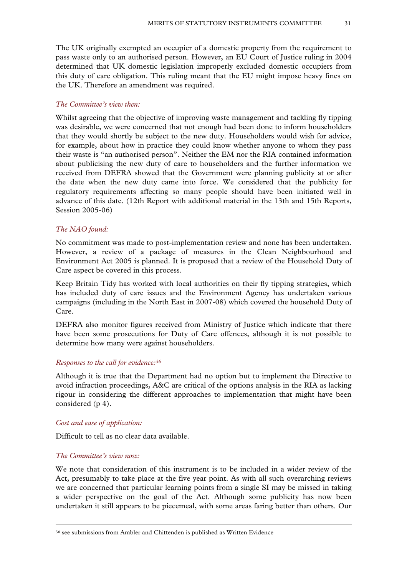The UK originally exempted an occupier of a domestic property from the requirement to pass waste only to an authorised person. However, an EU Court of Justice ruling in 2004 determined that UK domestic legislation improperly excluded domestic occupiers from this duty of care obligation. This ruling meant that the EU might impose heavy fines on the UK. Therefore an amendment was required.

#### *The Committee's view then:*

Whilst agreeing that the objective of improving waste management and tackling fly tipping was desirable, we were concerned that not enough had been done to inform householders that they would shortly be subject to the new duty. Householders would wish for advice, for example, about how in practice they could know whether anyone to whom they pass their waste is "an authorised person". Neither the EM nor the RIA contained information about publicising the new duty of care to householders and the further information we received from DEFRA showed that the Government were planning publicity at or after the date when the new duty came into force. We considered that the publicity for regulatory requirements affecting so many people should have been initiated well in advance of this date. (12th Report with additional material in the 13th and 15th Reports, Session 2005-06)

### *The NAO found:*

No commitment was made to post-implementation review and none has been undertaken. However, a review of a package of measures in the Clean Neighbourhood and Environment Act 2005 is planned. It is proposed that a review of the Household Duty of Care aspect be covered in this process.

Keep Britain Tidy has worked with local authorities on their fly tipping strategies, which has included duty of care issues and the Environment Agency has undertaken various campaigns (including in the North East in 2007-08) which covered the household Duty of Care.

DEFRA also monitor figures received from Ministry of Justice which indicate that there have been some prosecutions for Duty of Care offences, although it is not possible to determine how many were against householders.

#### *Responses to the call for evidence:36*

Although it is true that the Department had no option but to implement the Directive to avoid infraction proceedings, A&C are critical of the options analysis in the RIA as lacking rigour in considering the different approaches to implementation that might have been considered (p 4).

#### *Cost and ease of application:*

Difficult to tell as no clear data available.

#### *The Committee's view now:*

We note that consideration of this instrument is to be included in a wider review of the Act, presumably to take place at the five year point. As with all such overarching reviews we are concerned that particular learning points from a single SI may be missed in taking a wider perspective on the goal of the Act. Although some publicity has now been undertaken it still appears to be piecemeal, with some areas faring better than others. Our

 <sup>36</sup> see submissions from Ambler and Chittenden is published as Written Evidence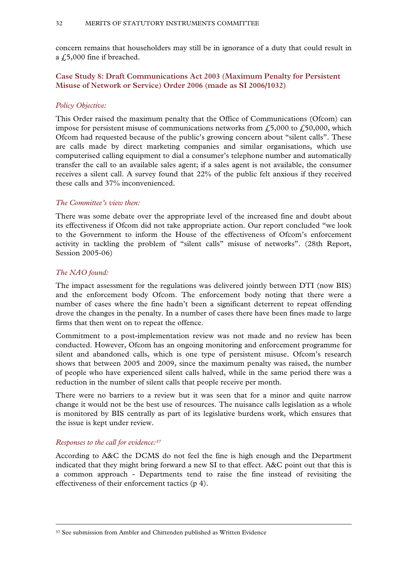concern remains that householders may still be in ignorance of a duty that could result in a £5,000 fine if breached.

**Case Study 8: Draft Communications Act 2003 (Maximum Penalty for Persistent Misuse of Network or Service) Order 2006 (made as SI 2006/1032)** 

# *Policy Objective:*

This Order raised the maximum penalty that the Office of Communications (Ofcom) can impose for persistent misuse of communications networks from  $\sqrt{250,000}$ , which Ofcom had requested because of the public's growing concern about "silent calls". These are calls made by direct marketing companies and similar organisations, which use computerised calling equipment to dial a consumer's telephone number and automatically transfer the call to an available sales agent; if a sales agent is not available, the consumer receives a silent call. A survey found that 22% of the public felt anxious if they received these calls and 37% inconvenienced.

#### *The Committee's view then:*

There was some debate over the appropriate level of the increased fine and doubt about its effectiveness if Ofcom did not take appropriate action. Our report concluded "we look to the Government to inform the House of the effectiveness of Ofcom's enforcement activity in tackling the problem of "silent calls" misuse of networks". (28th Report, Session 2005-06)

#### *The NAO found:*

The impact assessment for the regulations was delivered jointly between DTI (now BIS) and the enforcement body Ofcom. The enforcement body noting that there were a number of cases where the fine hadn't been a significant deterrent to repeat offending drove the changes in the penalty. In a number of cases there have been fines made to large firms that then went on to repeat the offence.

Commitment to a post-implementation review was not made and no review has been conducted. However, Ofcom has an ongoing monitoring and enforcement programme for silent and abandoned calls, which is one type of persistent misuse. Ofcom's research shows that between 2005 and 2009, since the maximum penalty was raised, the number of people who have experienced silent calls halved, while in the same period there was a reduction in the number of silent calls that people receive per month.

There were no barriers to a review but it was seen that for a minor and quite narrow change it would not be the best use of resources. The nuisance calls legislation as a whole is monitored by BIS centrally as part of its legislative burdens work, which ensures that the issue is kept under review.

#### *Responses to the call for evidence:37*

According to A&C the DCMS do not feel the fine is high enough and the Department indicated that they might bring forward a new SI to that effect. A&C point out that this is a common approach - Departments tend to raise the fine instead of revisiting the effectiveness of their enforcement tactics (p 4).

<sup>&</sup>lt;sup>37</sup> See submission from Ambler and Chittenden published as Written Evidence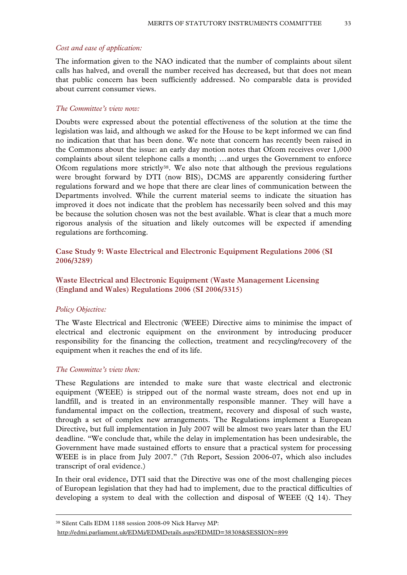#### *Cost and ease of application:*

The information given to the NAO indicated that the number of complaints about silent calls has halved, and overall the number received has decreased, but that does not mean that public concern has been sufficiently addressed. No comparable data is provided about current consumer views.

#### *The Committee's view now:*

Doubts were expressed about the potential effectiveness of the solution at the time the legislation was laid, and although we asked for the House to be kept informed we can find no indication that that has been done. We note that concern has recently been raised in the Commons about the issue: an early day motion notes that Ofcom receives over 1,000 complaints about silent telephone calls a month; …and urges the Government to enforce Ofcom regulations more strictly38. We also note that although the previous regulations were brought forward by DTI (now BIS), DCMS are apparently considering further regulations forward and we hope that there are clear lines of communication between the Departments involved. While the current material seems to indicate the situation has improved it does not indicate that the problem has necessarily been solved and this may be because the solution chosen was not the best available. What is clear that a much more rigorous analysis of the situation and likely outcomes will be expected if amending regulations are forthcoming.

**Case Study 9: Waste Electrical and Electronic Equipment Regulations 2006 (SI 2006/3289)** 

# **Waste Electrical and Electronic Equipment (Waste Management Licensing (England and Wales) Regulations 2006 (SI 2006/3315)**

#### *Policy Objective:*

The Waste Electrical and Electronic (WEEE) Directive aims to minimise the impact of electrical and electronic equipment on the environment by introducing producer responsibility for the financing the collection, treatment and recycling/recovery of the equipment when it reaches the end of its life.

#### *The Committee's view then:*

These Regulations are intended to make sure that waste electrical and electronic equipment (WEEE) is stripped out of the normal waste stream, does not end up in landfill, and is treated in an environmentally responsible manner. They will have a fundamental impact on the collection, treatment, recovery and disposal of such waste, through a set of complex new arrangements. The Regulations implement a European Directive, but full implementation in July 2007 will be almost two years later than the EU deadline. "We conclude that, while the delay in implementation has been undesirable, the Government have made sustained efforts to ensure that a practical system for processing WEEE is in place from July 2007." (7th Report, Session 2006-07, which also includes transcript of oral evidence.)

In their oral evidence, DTI said that the Directive was one of the most challenging pieces of European legislation that they had had to implement, due to the practical difficulties of developing a system to deal with the collection and disposal of WEEE (Q 14). They

 <sup>38</sup> Silent Calls EDM 1188 session 2008-09 Nick Harvey MP:

http://edmi.parliament.uk/EDMi/EDMDetails.aspx?EDMID=38308&SESSION=899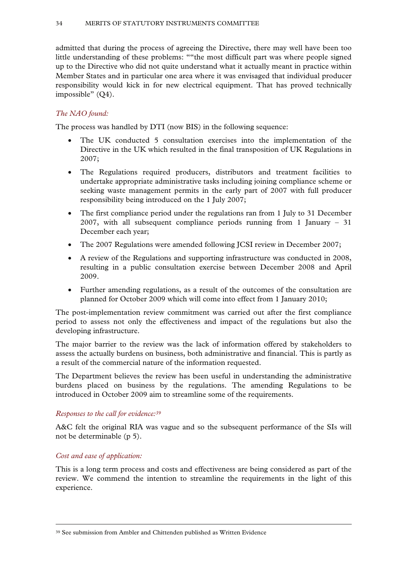admitted that during the process of agreeing the Directive, there may well have been too little understanding of these problems: ""the most difficult part was where people signed up to the Directive who did not quite understand what it actually meant in practice within Member States and in particular one area where it was envisaged that individual producer responsibility would kick in for new electrical equipment. That has proved technically impossible" (Q4).

# *The NAO found:*

The process was handled by DTI (now BIS) in the following sequence:

- The UK conducted 5 consultation exercises into the implementation of the Directive in the UK which resulted in the final transposition of UK Regulations in 2007;
- The Regulations required producers, distributors and treatment facilities to undertake appropriate administrative tasks including joining compliance scheme or seeking waste management permits in the early part of 2007 with full producer responsibility being introduced on the 1 July 2007;
- The first compliance period under the regulations ran from 1 July to 31 December 2007, with all subsequent compliance periods running from 1 January – 31 December each year;
- The 2007 Regulations were amended following JCSI review in December 2007;
- A review of the Regulations and supporting infrastructure was conducted in 2008, resulting in a public consultation exercise between December 2008 and April 2009.
- Further amending regulations, as a result of the outcomes of the consultation are planned for October 2009 which will come into effect from 1 January 2010;

The post-implementation review commitment was carried out after the first compliance period to assess not only the effectiveness and impact of the regulations but also the developing infrastructure.

The major barrier to the review was the lack of information offered by stakeholders to assess the actually burdens on business, both administrative and financial. This is partly as a result of the commercial nature of the information requested.

The Department believes the review has been useful in understanding the administrative burdens placed on business by the regulations. The amending Regulations to be introduced in October 2009 aim to streamline some of the requirements.

# *Responses to the call for evidence:39*

A&C felt the original RIA was vague and so the subsequent performance of the SIs will not be determinable (p 5).

# *Cost and ease of application:*

This is a long term process and costs and effectiveness are being considered as part of the review. We commend the intention to streamline the requirements in the light of this experience.

 <sup>39</sup> See submission from Ambler and Chittenden published as Written Evidence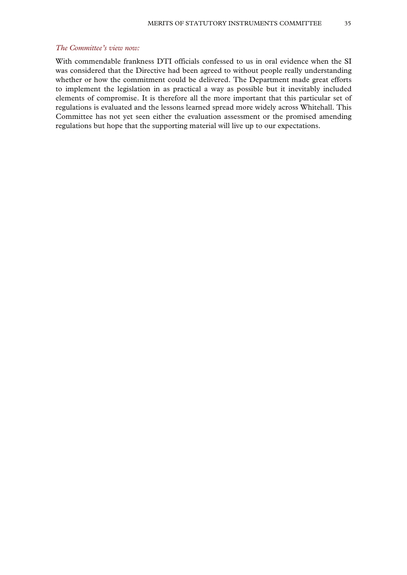# *The Committee's view now:*

With commendable frankness DTI officials confessed to us in oral evidence when the SI was considered that the Directive had been agreed to without people really understanding whether or how the commitment could be delivered. The Department made great efforts to implement the legislation in as practical a way as possible but it inevitably included elements of compromise. It is therefore all the more important that this particular set of regulations is evaluated and the lessons learned spread more widely across Whitehall. This Committee has not yet seen either the evaluation assessment or the promised amending regulations but hope that the supporting material will live up to our expectations.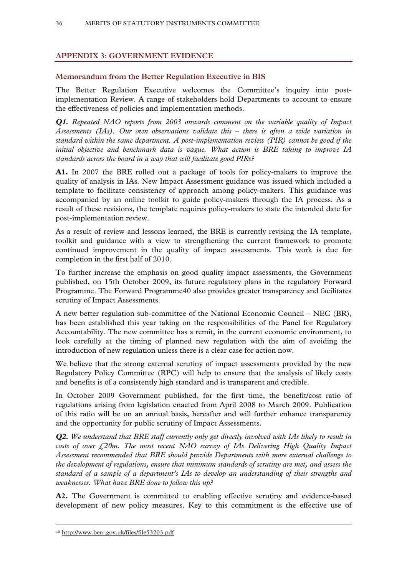# **APPENDIX 3: GOVERNMENT EVIDENCE**

# **Memorandum from the Better Regulation Executive in BIS**

The Better Regulation Executive welcomes the Committee's inquiry into postimplementation Review. A range of stakeholders hold Departments to account to ensure the effectiveness of policies and implementation methods.

*Q1. Repeated NAO reports from 2003 onwards comment on the variable quality of Impact Assessments (IAs). Our own observations validate this – there is often a wide variation in standard within the same department. A post-implementation review (PIR) cannot be good if the initial objective and benchmark data is vague. What action is BRE taking to improve IA standards across the board in a way that will facilitate good PIRs?* 

**A1.** In 2007 the BRE rolled out a package of tools for policy-makers to improve the quality of analysis in IAs. New Impact Assessment guidance was issued which included a template to facilitate consistency of approach among policy-makers. This guidance was accompanied by an online toolkit to guide policy-makers through the IA process. As a result of these revisions, the template requires policy-makers to state the intended date for post-implementation review.

As a result of review and lessons learned, the BRE is currently revising the IA template, toolkit and guidance with a view to strengthening the current framework to promote continued improvement in the quality of impact assessments. This work is due for completion in the first half of 2010.

To further increase the emphasis on good quality impact assessments, the Government published, on 15th October 2009, its future regulatory plans in the regulatory Forward Programme. The Forward Programme40 also provides greater transparency and facilitates scrutiny of Impact Assessments.

A new better regulation sub-committee of the National Economic Council – NEC (BR), has been established this year taking on the responsibilities of the Panel for Regulatory Accountability. The new committee has a remit, in the current economic environment, to look carefully at the timing of planned new regulation with the aim of avoiding the introduction of new regulation unless there is a clear case for action now.

We believe that the strong external scrutiny of impact assessments provided by the new Regulatory Policy Committee (RPC) will help to ensure that the analysis of likely costs and benefits is of a consistently high standard and is transparent and credible.

In October 2009 Government published, for the first time, the benefit/cost ratio of regulations arising from legislation enacted from April 2008 to March 2009. Publication of this ratio will be on an annual basis, hereafter and will further enhance transparency and the opportunity for public scrutiny of Impact Assessments.

*Q2. We understand that BRE staff currently only get directly involved with IAs likely to result in costs of over £20m. The most recent NAO survey of IAs Delivering High Quality Impact Assessment recommended that BRE should provide Departments with more external challenge to the development of regulations, ensure that minimum standards of scrutiny are met, and assess the standard of a sample of a department's IAs to develop an understanding of their strengths and weaknesses. What have BRE done to follow this up?* 

**A2.** The Government is committed to enabling effective scrutiny and evidence-based development of new policy measures. Key to this commitment is the effective use of

40 http://www.berr.gov.uk/files/file53203.pdf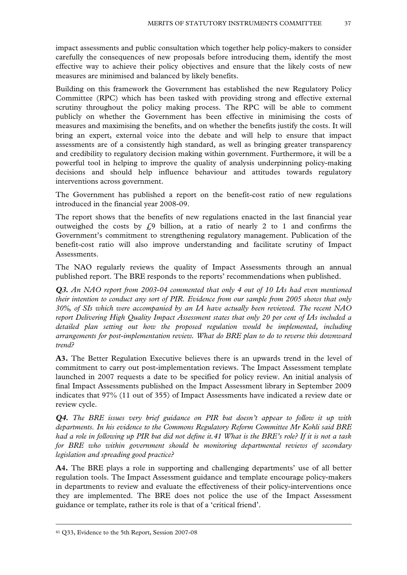impact assessments and public consultation which together help policy-makers to consider carefully the consequences of new proposals before introducing them, identify the most effective way to achieve their policy objectives and ensure that the likely costs of new measures are minimised and balanced by likely benefits.

Building on this framework the Government has established the new Regulatory Policy Committee (RPC) which has been tasked with providing strong and effective external scrutiny throughout the policy making process. The RPC will be able to comment publicly on whether the Government has been effective in minimising the costs of measures and maximising the benefits, and on whether the benefits justify the costs. It will bring an expert, external voice into the debate and will help to ensure that impact assessments are of a consistently high standard, as well as bringing greater transparency and credibility to regulatory decision making within government. Furthermore, it will be a powerful tool in helping to improve the quality of analysis underpinning policy-making decisions and should help influence behaviour and attitudes towards regulatory interventions across government.

The Government has published a report on the benefit-cost ratio of new regulations introduced in the financial year 2008-09.

The report shows that the benefits of new regulations enacted in the last financial year outweighed the costs by  $\zeta$ 9 billion, at a ratio of nearly 2 to 1 and confirms the Government's commitment to strengthening regulatory management. Publication of the benefit-cost ratio will also improve understanding and facilitate scrutiny of Impact Assessments.

The NAO regularly reviews the quality of Impact Assessments through an annual published report. The BRE responds to the reports' recommendations when published.

*Q3. An NAO report from 2003-04 commented that only 4 out of 10 IAs had even mentioned their intention to conduct any sort of PIR. Evidence from our sample from 2005 shows that only 30%, of SIs which were accompanied by an IA have actually been reviewed. The recent NAO report Delivering High Quality Impact Assessment states that only 20 per cent of IAs included a detailed plan setting out how the proposed regulation would be implemented, including arrangements for post-implementation review. What do BRE plan to do to reverse this downward trend?* 

**A3.** The Better Regulation Executive believes there is an upwards trend in the level of commitment to carry out post-implementation reviews. The Impact Assessment template launched in 2007 requests a date to be specified for policy review. An initial analysis of final Impact Assessments published on the Impact Assessment library in September 2009 indicates that 97% (11 out of 355) of Impact Assessments have indicated a review date or review cycle.

*Q4. The BRE issues very brief guidance on PIR but doesn't appear to follow it up with departments. In his evidence to the Commons Regulatory Reform Committee Mr Kohli said BRE had a role in following up PIR but did not define it.41 What is the BRE's role? If it is not a task for BRE who within government should be monitoring departmental reviews of secondary legislation and spreading good practice?* 

**A4.** The BRE plays a role in supporting and challenging departments' use of all better regulation tools. The Impact Assessment guidance and template encourage policy-makers in departments to review and evaluate the effectiveness of their policy-interventions once they are implemented. The BRE does not police the use of the Impact Assessment guidance or template, rather its role is that of a 'critical friend'.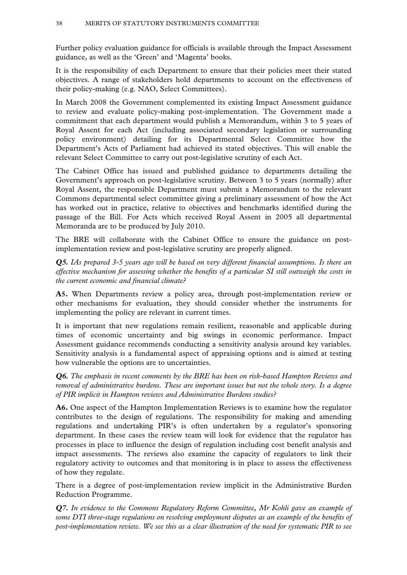Further policy evaluation guidance for officials is available through the Impact Assessment guidance, as well as the 'Green' and 'Magenta' books.

It is the responsibility of each Department to ensure that their policies meet their stated objectives. A range of stakeholders hold departments to account on the effectiveness of their policy-making (e.g. NAO, Select Committees).

In March 2008 the Government complemented its existing Impact Assessment guidance to review and evaluate policy-making post-implementation. The Government made a commitment that each department would publish a Memorandum, within 3 to 5 years of Royal Assent for each Act (including associated secondary legislation or surrounding policy environment) detailing for its Departmental Select Committee how the Department's Acts of Parliament had achieved its stated objectives. This will enable the relevant Select Committee to carry out post-legislative scrutiny of each Act.

The Cabinet Office has issued and published guidance to departments detailing the Government's approach on post-legislative scrutiny. Between 3 to 5 years (normally) after Royal Assent, the responsible Department must submit a Memorandum to the relevant Commons departmental select committee giving a preliminary assessment of how the Act has worked out in practice, relative to objectives and benchmarks identified during the passage of the Bill. For Acts which received Royal Assent in 2005 all departmental Memoranda are to be produced by July 2010.

The BRE will collaborate with the Cabinet Office to ensure the guidance on postimplementation review and post-legislative scrutiny are properly aligned.

*Q5. IAs prepared 3-5 years ago will be based on very different financial assumptions. Is there an effective mechanism for assessing whether the benefits of a particular SI still outweigh the costs in the current economic and financial climate?* 

**A5.** When Departments review a policy area, through post-implementation review or other mechanisms for evaluation, they should consider whether the instruments for implementing the policy are relevant in current times.

It is important that new regulations remain resilient, reasonable and applicable during times of economic uncertainty and big swings in economic performance. Impact Assessment guidance recommends conducting a sensitivity analysis around key variables. Sensitivity analysis is a fundamental aspect of appraising options and is aimed at testing how vulnerable the options are to uncertainties.

*Q6. The emphasis in recent comments by the BRE has been on risk-based Hampton Reviews and removal of administrative burdens. These are important issues but not the whole story. Is a degree of PIR implicit in Hampton reviews and Administrative Burdens studies?* 

**A6.** One aspect of the Hampton Implementation Reviews is to examine how the regulator contributes to the design of regulations. The responsibility for making and amending regulations and undertaking PIR's is often undertaken by a regulator's sponsoring department. In these cases the review team will look for evidence that the regulator has processes in place to influence the design of regulation including cost benefit analysis and impact assessments. The reviews also examine the capacity of regulators to link their regulatory activity to outcomes and that monitoring is in place to assess the effectiveness of how they regulate.

There is a degree of post-implementation review implicit in the Administrative Burden Reduction Programme.

*Q7. In evidence to the Commons Regulatory Reform Committee, Mr Kohli gave an example of some DTI three-stage regulations on resolving employment disputes as an example of the benefits of post-implementation review. We see this as a clear illustration of the need for systematic PIR to see*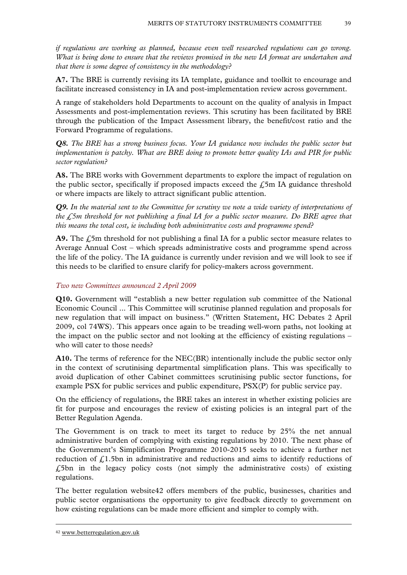*if regulations are working as planned, because even well researched regulations can go wrong. What is being done to ensure that the reviews promised in the new IA format are undertaken and that there is some degree of consistency in the methodology?* 

**A7.** The BRE is currently revising its IA template, guidance and toolkit to encourage and facilitate increased consistency in IA and post-implementation review across government.

A range of stakeholders hold Departments to account on the quality of analysis in Impact Assessments and post-implementation reviews. This scrutiny has been facilitated by BRE through the publication of the Impact Assessment library, the benefit/cost ratio and the Forward Programme of regulations.

*Q8. The BRE has a strong business focus. Your IA guidance now includes the public sector but implementation is patchy. What are BRE doing to promote better quality IAs and PIR for public sector regulation?* 

**A8.** The BRE works with Government departments to explore the impact of regulation on the public sector, specifically if proposed impacts exceed the  $\angle$ 5m IA guidance threshold or where impacts are likely to attract significant public attention.

*Q9. In the material sent to the Committee for scrutiny we note a wide variety of interpretations of the £5m threshold for not publishing a final IA for a public sector measure. Do BRE agree that this means the total cost, ie including both administrative costs and programme spend?* 

**A9.** The £5m threshold for not publishing a final IA for a public sector measure relates to Average Annual Cost – which spreads administrative costs and programme spend across the life of the policy. The IA guidance is currently under revision and we will look to see if this needs to be clarified to ensure clarify for policy-makers across government.

# *Two new Committees announced 2 April 2009*

**Q10.** Government will "establish a new better regulation sub committee of the National Economic Council ... This Committee will scrutinise planned regulation and proposals for new regulation that will impact on business." (Written Statement, HC Debates 2 April 2009, col 74WS). This appears once again to be treading well-worn paths, not looking at the impact on the public sector and not looking at the efficiency of existing regulations – who will cater to those needs?

**A10.** The terms of reference for the NEC(BR) intentionally include the public sector only in the context of scrutinising departmental simplification plans. This was specifically to avoid duplication of other Cabinet committees scrutinising public sector functions, for example PSX for public services and public expenditure, PSX(P) for public service pay.

On the efficiency of regulations, the BRE takes an interest in whether existing policies are fit for purpose and encourages the review of existing policies is an integral part of the Better Regulation Agenda.

The Government is on track to meet its target to reduce by 25% the net annual administrative burden of complying with existing regulations by 2010. The next phase of the Government's Simplification Programme 2010-2015 seeks to achieve a further net reduction of  $f<sub>i</sub>1.5$ bn in administrative and reductions and aims to identify reductions of  $£5$ bn in the legacy policy costs (not simply the administrative costs) of existing regulations.

The better regulation website42 offers members of the public, businesses, charities and public sector organisations the opportunity to give feedback directly to government on how existing regulations can be made more efficient and simpler to comply with.

 <sup>42</sup> www.betterregulation.gov.uk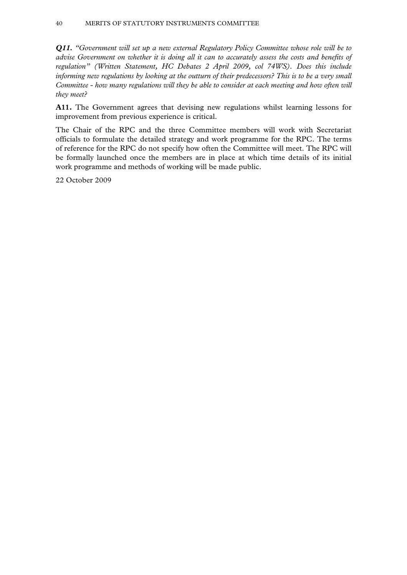# 40 MERITS OF STATUTORY INSTRUMENTS COMMITTEE

*Q11. "Government will set up a new external Regulatory Policy Committee whose role will be to advise Government on whether it is doing all it can to accurately assess the costs and benefits of regulation" (Written Statement, HC Debates 2 April 2009, col 74WS). Does this include informing new regulations by looking at the outturn of their predecessors? This is to be a very small Committee - how many regulations will they be able to consider at each meeting and how often will they meet?* 

**A11.** The Government agrees that devising new regulations whilst learning lessons for improvement from previous experience is critical.

The Chair of the RPC and the three Committee members will work with Secretariat officials to formulate the detailed strategy and work programme for the RPC. The terms of reference for the RPC do not specify how often the Committee will meet. The RPC will be formally launched once the members are in place at which time details of its initial work programme and methods of working will be made public.

22 October 2009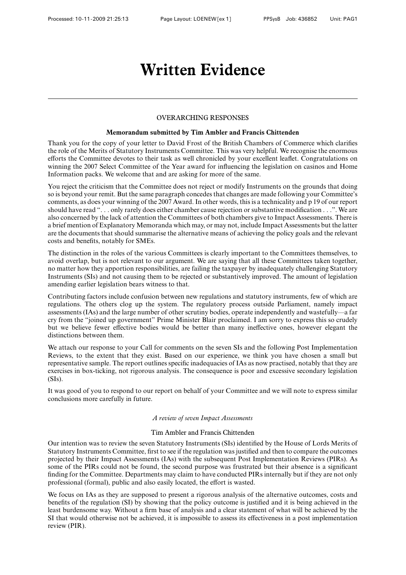# OVERARCHING RESPONSES

### **Memorandum submitted by Tim Ambler and Francis Chittenden**

Thank you for the copy of your letter to David Frost of the British Chambers of Commerce which clarifies the role of the Merits of Statutory Instruments Committee. This was very helpful. We recognise the enormous efforts the Committee devotes to their task as well chronicled by your excellent leaflet. Congratulations on winning the 2007 Select Committee of the Year award for influencing the legislation on casinos and Home Information packs. We welcome that and are asking for more of the same.

You reject the criticism that the Committee does not reject or modify Instruments on the grounds that doing so is beyond your remit. But the same paragraph concedes that changes are made following your Committee's comments, as does your winning of the 2007 Award. In other words, this is a technicality and p 19 of our report should have read ". . . only rarely does either chamber cause rejection or substantive modification . . .". We are also concerned by the lack of attention the Committees of both chambers give to Impact Assessments. There is a brief mention of Explanatory Memoranda which may, or may not, include Impact Assessments but the latter are the documents that should summarise the alternative means of achieving the policy goals and the relevant costs and benefits, notably for SMEs.

The distinction in the roles of the various Committees is clearly important to the Committees themselves, to avoid overlap, but is not relevant to our argument. We are saying that all these Committees taken together, no matter how they apportion responsibilities, are failing the taxpayer by inadequately challenging Statutory Instruments (SIs) and not causing them to be rejected or substantively improved. The amount of legislation amending earlier legislation bears witness to that.

Contributing factors include confusion between new regulations and statutory instruments, few of which are regulations. The others clog up the system. The regulatory process outside Parliament, namely impact assessments (IAs) and the large number of other scrutiny bodies, operate independently and wastefully—a far cry from the "joined up government" Prime Minister Blair proclaimed. I am sorry to express this so crudely but we believe fewer effective bodies would be better than many ineffective ones, however elegant the distinctions between them.

We attach our response to your Call for comments on the seven SIs and the following Post Implementation Reviews, to the extent that they exist. Based on our experience, we think you have chosen a small but representative sample. The report outlines specific inadequacies of IAs as now practised, notably that they are exercises in box-ticking, not rigorous analysis. The consequence is poor and excessive secondary legislation (SIs).

It was good of you to respond to our report on behalf of your Committee and we will note to express similar conclusions more carefully in future.

# *A review of seven Impact Assessments*

### Tim Ambler and Francis Chittenden

Our intention was to review the seven Statutory Instruments (SIs) identified by the House of Lords Merits of Statutory Instruments Committee, first to see if the regulation was justified and then to compare the outcomes projected by their Impact Assessments (IAs) with the subsequent Post Implementation Reviews (PIRs). As some of the PIRs could not be found, the second purpose was frustrated but their absence is a significant finding for the Committee. Departments may claim to have conducted PIRs internally but if they are not only professional (formal), public and also easily located, the effort is wasted.

We focus on IAs as they are supposed to present a rigorous analysis of the alternative outcomes, costs and benefits of the regulation (SI) by showing that the policy outcome is justified and it is being achieved in the least burdensome way. Without a firm base of analysis and a clear statement of what will be achieved by the SI that would otherwise not be achieved, it is impossible to assess its effectiveness in a post implementation review (PIR).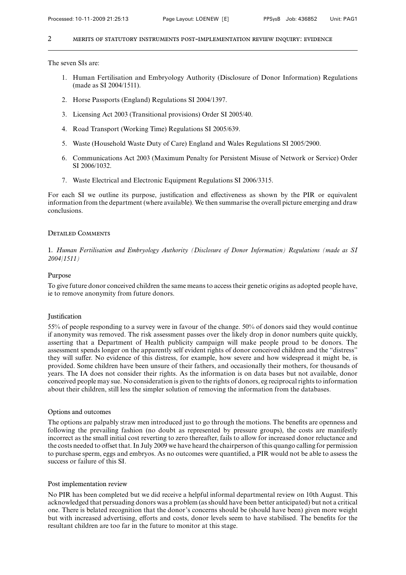The seven SIs are:

- 1. Human Fertilisation and Embryology Authority (Disclosure of Donor Information) Regulations (made as SI 2004/1511).
- 2. Horse Passports (England) Regulations SI 2004/1397.
- 3. Licensing Act 2003 (Transitional provisions) Order SI 2005/40.
- 4. Road Transport (Working Time) Regulations SI 2005/639.
- 5. Waste (Household Waste Duty of Care) England and Wales Regulations SI 2005/2900.
- 6. Communications Act 2003 (Maximum Penalty for Persistent Misuse of Network or Service) Order SI 2006/1032.
- 7. Waste Electrical and Electronic Equipment Regulations SI 2006/3315.

For each SI we outline its purpose, justification and effectiveness as shown by the PIR or equivalent information from the department (where available). We then summarise the overall picture emerging and draw conclusions.

# Detailed Comments

1. *Human Fertilisation and Embryology Authority (Disclosure of Donor Information) Regulations (made as SI 2004/1511)*

# Purpose

To give future donor conceived children the same means to access their genetic origins as adopted people have, ie to remove anonymity from future donors.

# **Justification**

55% of people responding to a survey were in favour of the change. 50% of donors said they would continue if anonymity was removed. The risk assessment passes over the likely drop in donor numbers quite quickly, asserting that a Department of Health publicity campaign will make people proud to be donors. The assessment spends longer on the apparently self evident rights of donor conceived children and the "distress" they will suffer. No evidence of this distress, for example, how severe and how widespread it might be, is provided. Some children have been unsure of their fathers, and occasionally their mothers, for thousands of years. The IA does not consider their rights. As the information is on data bases but not available, donor conceived people may sue. No consideration is given to the rights of donors, eg reciprocal rights to information about their children, still less the simpler solution of removing the information from the databases.

### Options and outcomes

The options are palpably straw men introduced just to go through the motions. The benefits are openness and following the prevailing fashion (no doubt as represented by pressure groups), the costs are manifestly incorrect as the small initial cost reverting to zero thereafter, fails to allow for increased donor reluctance and the costs needed to offset that. In July 2009 we have heard the chairperson of this quango calling for permission to purchase sperm, eggs and embryos. As no outcomes were quantified, a PIR would not be able to assess the success or failure of this SI.

# Post implementation review

No PIR has been completed but we did receive a helpful informal departmental review on 10th August. This acknowledged that persuading donors was a problem (as should have been better anticipated) but not a critical one. There is belated recognition that the donor's concerns should be (should have been) given more weight but with increased advertising, efforts and costs, donor levels seem to have stabilised. The benefits for the resultant children are too far in the future to monitor at this stage.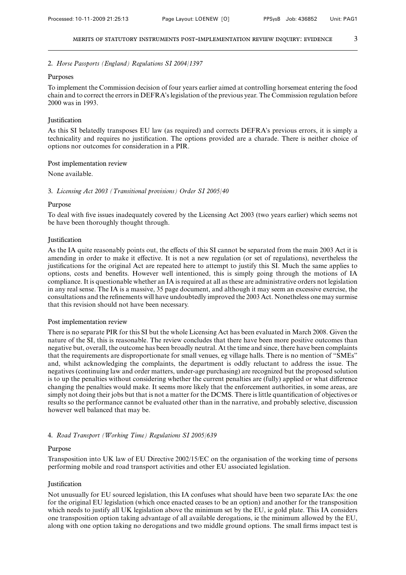### 2. *Horse Passports (England) Regulations SI 2004/1397*

#### Purposes

To implement the Commission decision of four years earlier aimed at controlling horsemeat entering the food chain and to correct the errors in DEFRA's legislation of the previous year. The Commission regulation before 2000 was in 1993.

### Justification

As this SI belatedly transposes EU law (as required) and corrects DEFRA's previous errors, it is simply a technicality and requires no justification. The options provided are a charade. There is neither choice of options nor outcomes for consideration in a PIR.

#### Post implementation review

### None available.

#### 3. *Licensing Act 2003 (Transitional provisions) Order SI 2005/40*

### Purpose

To deal with five issues inadequately covered by the Licensing Act 2003 (two years earlier) which seems not be have been thoroughly thought through.

#### **Iustification**

As the IA quite reasonably points out, the effects of this SI cannot be separated from the main 2003 Act it is amending in order to make it effective. It is not a new regulation (or set of regulations), nevertheless the justifications for the original Act are repeated here to attempt to justify this SI. Much the same applies to options, costs and benefits. However well intentioned, this is simply going through the motions of IA compliance. It is questionable whether an IA is required at all as these are administrative orders not legislation in any real sense. The IA is a massive, 35 page document, and although it may seem an excessive exercise, the consultations and the refinements will have undoubtedly improved the 2003 Act. Nonetheless one may surmise that this revision should not have been necessary.

# Post implementation review

There is no separate PIR for this SI but the whole Licensing Act has been evaluated in March 2008. Given the nature of the SI, this is reasonable. The review concludes that there have been more positive outcomes than negative but, overall, the outcome has been broadly neutral. At the time and since, there have been complaints that the requirements are disproportionate for small venues, eg village halls. There is no mention of "SMEs" and, whilst acknowledging the complaints, the department is oddly reluctant to address the issue. The negatives (continuing law and order matters, under-age purchasing) are recognized but the proposed solution is to up the penalties without considering whether the current penalties are (fully) applied or what difference changing the penalties would make. It seems more likely that the enforcement authorities, in some areas, are simply not doing their jobs but that is not a matter for the DCMS. There is little quantification of objectives or results so the performance cannot be evaluated other than in the narrative, and probably selective, discussion however well balanced that may be.

### 4. *Road Transport (Working Time) Regulations SI 2005/639*

#### Purpose

Transposition into UK law of EU Directive 2002/15/EC on the organisation of the working time of persons performing mobile and road transport activities and other EU associated legislation.

#### Justification

Not unusually for EU sourced legislation, this IA confuses what should have been two separate IAs: the one for the original EU legislation (which once enacted ceases to be an option) and another for the transposition which needs to justify all UK legislation above the minimum set by the EU, ie gold plate. This IA considers one transposition option taking advantage of all available derogations, ie the minimum allowed by the EU, along with one option taking no derogations and two middle ground options. The small firms impact test is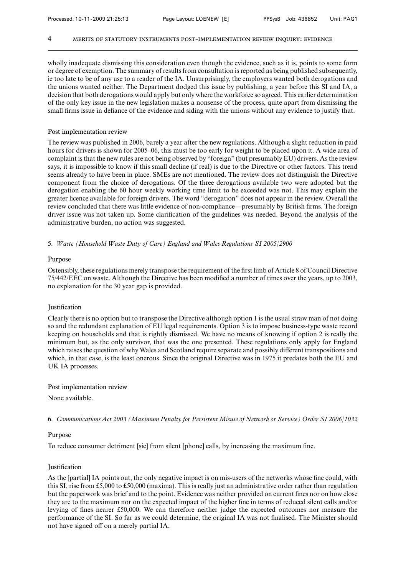wholly inadequate dismissing this consideration even though the evidence, such as it is, points to some form or degree of exemption. The summary of results from consultation is reported as being published subsequently, ie too late to be of any use to a reader of the IA. Unsurprisingly, the employers wanted both derogations and the unions wanted neither. The Department dodged this issue by publishing, a year before this SI and IA, a decision that both derogations would apply but only where the workforce so agreed. This earlier determination of the only key issue in the new legislation makes a nonsense of the process, quite apart from dismissing the small firms issue in defiance of the evidence and siding with the unions without any evidence to justify that.

# Post implementation review

The review was published in 2006, barely a year after the new regulations. Although a slight reduction in paid hours for drivers is shown for 2005–06, this must be too early for weight to be placed upon it. A wide area of complaint is that the new rules are not being observed by "foreign" (but presumably EU) drivers. As the review says, it is impossible to know if this small decline (if real) is due to the Directive or other factors. This trend seems already to have been in place. SMEs are not mentioned. The review does not distinguish the Directive component from the choice of derogations. Of the three derogations available two were adopted but the derogation enabling the 60 hour weekly working time limit to be exceeded was not. This may explain the greater licence available for foreign drivers. The word "derogation" does not appear in the review. Overall the review concluded that there was little evidence of non-compliance—presumably by British firms. The foreign driver issue was not taken up. Some clarification of the guidelines was needed. Beyond the analysis of the administrative burden, no action was suggested.

5. *Waste (Household Waste Duty of Care) England and Wales Regulations SI 2005/2900*

### Purpose

Ostensibly, these regulations merely transpose the requirement of the first limb of Article 8 of Council Directive 75/442/EEC on waste. Although the Directive has been modified a number of times over the years, up to 2003, no explanation for the 30 year gap is provided.

# Justification

Clearly there is no option but to transpose the Directive although option 1 is the usual straw man of not doing so and the redundant explanation of EU legal requirements. Option 3 is to impose business-type waste record keeping on households and that is rightly dismissed. We have no means of knowing if option 2 is really the minimum but, as the only survivor, that was the one presented. These regulations only apply for England which raises the question of why Wales and Scotland require separate and possibly different transpositions and which, in that case, is the least onerous. Since the original Directive was in 1975 it predates both the EU and UK IA processes.

### Post implementation review

None available.

6. *Communications Act 2003 (Maximum Penalty for Persistent Misuse of Network or Service) Order SI 2006/1032*

## Purpose

To reduce consumer detriment [sic] from silent [phone] calls, by increasing the maximum fine.

#### **Justification**

As the [partial] IA points out, the only negative impact is on mis-users of the networks whose fine could, with this SI, rise from £5,000 to £50,000 (maxima). This is really just an administrative order rather than regulation but the paperwork was brief and to the point. Evidence was neither provided on current fines nor on how close they are to the maximum nor on the expected impact of the higher fine in terms of reduced silent calls and/or levying of fines nearer £50,000. We can therefore neither judge the expected outcomes nor measure the performance of the SI. So far as we could determine, the original IA was not finalised. The Minister should not have signed off on a merely partial IA.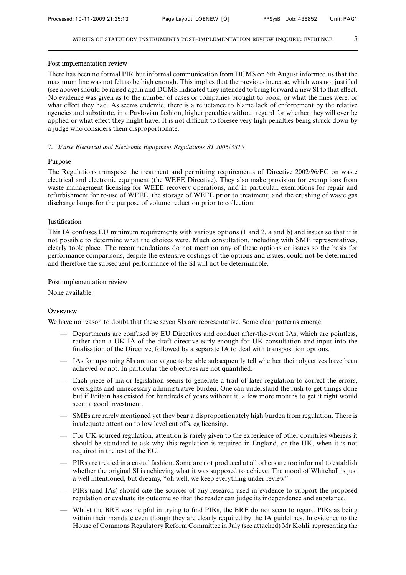#### Post implementation review

There has been no formal PIR but informal communication from DCMS on 6th August informed us that the maximum fine was not felt to be high enough. This implies that the previous increase, which was not justified (see above) should be raised again and DCMS indicated they intended to bring forward a new SI to that effect. No evidence was given as to the number of cases or companies brought to book, or what the fines were, or what effect they had. As seems endemic, there is a reluctance to blame lack of enforcement by the relative agencies and substitute, in a Pavlovian fashion, higher penalties without regard for whether they will ever be applied or what effect they might have. It is not difficult to foresee very high penalties being struck down by a judge who considers them disproportionate.

### 7. *Waste Electrical and Electronic Equipment Regulations SI 2006/3315*

## Purpose

The Regulations transpose the treatment and permitting requirements of Directive 2002/96/EC on waste electrical and electronic equipment (the WEEE Directive). They also make provision for exemptions from waste management licensing for WEEE recovery operations, and in particular, exemptions for repair and refurbishment for re-use of WEEE; the storage of WEEE prior to treatment; and the crushing of waste gas discharge lamps for the purpose of volume reduction prior to collection.

### **Iustification**

This IA confuses EU minimum requirements with various options (1 and 2, a and b) and issues so that it is not possible to determine what the choices were. Much consultation, including with SME representatives, clearly took place. The recommendations do not mention any of these options or issues so the basis for performance comparisons, despite the extensive costings of the options and issues, could not be determined and therefore the subsequent performance of the SI will not be determinable.

#### Post implementation review

None available.

# **OVERVIEW**

We have no reason to doubt that these seven SIs are representative. Some clear patterns emerge:

- Departments are confused by EU Directives and conduct after-the-event IAs, which are pointless, rather than a UK IA of the draft directive early enough for UK consultation and input into the finalisation of the Directive, followed by a separate IA to deal with transposition options.
- IAs for upcoming SIs are too vague to be able subsequently tell whether their objectives have been achieved or not. In particular the objectives are not quantified.
- Each piece of major legislation seems to generate a trail of later regulation to correct the errors, oversights and unnecessary administrative burden. One can understand the rush to get things done but if Britain has existed for hundreds of years without it, a few more months to get it right would seem a good investment.
- SMEs are rarely mentioned yet they bear a disproportionately high burden from regulation. There is inadequate attention to low level cut offs, eg licensing.
- For UK sourced regulation, attention is rarely given to the experience of other countries whereas it should be standard to ask why this regulation is required in England, or the UK, when it is not required in the rest of the EU.
- PIRs are treated in a casual fashion. Some are not produced at all others are too informal to establish whether the original SI is achieving what it was supposed to achieve. The mood of Whitehall is just a well intentioned, but dreamy, "oh well, we keep everything under review".
- PIRs (and IAs) should cite the sources of any research used in evidence to support the proposed regulation or evaluate its outcome so that the reader can judge its independence and substance.
- Whilst the BRE was helpful in trying to find PIRs, the BRE do not seem to regard PIRs as being within their mandate even though they are clearly required by the IA guidelines. In evidence to the House of Commons Regulatory Reform Committee in July (see attached) Mr Kohli, representing the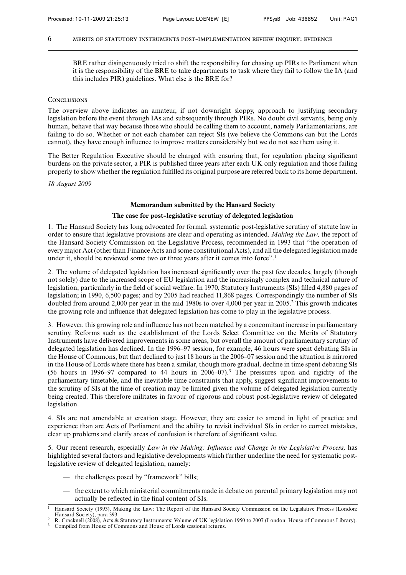BRE rather disingenuously tried to shift the responsibility for chasing up PIRs to Parliament when it is the responsibility of the BRE to take departments to task where they fail to follow the IA (and this includes PIR) guidelines. What else is the BRE for?

#### **CONCLUSIONS**

The overview above indicates an amateur, if not downright sloppy, approach to justifying secondary legislation before the event through IAs and subsequently through PIRs. No doubt civil servants, being only human, behave that way because those who should be calling them to account, namely Parliamentarians, are failing to do so. Whether or not each chamber can reject SIs (we believe the Commons can but the Lords cannot), they have enough influence to improve matters considerably but we do not see them using it.

The Better Regulation Executive should be charged with ensuring that, for regulation placing significant burdens on the private sector, a PIR is published three years after each UK only regulation and those failing properly to show whether the regulation fulfilled its original purpose are referred back to its home department.

*18 August 2009*

### **Memorandum submitted by the Hansard Society**

#### **The case for post-legislative scrutiny of delegated legislation**

1. The Hansard Society has long advocated for formal, systematic post-legislative scrutiny of statute law in order to ensure that legislative provisions are clear and operating as intended. *Making the Law,* the report of the Hansard Society Commission on the Legislative Process, recommended in 1993 that "the operation of every major Act (other than Finance Acts and some constitutional Acts), and all the delegated legislation made under it, should be reviewed some two or three years after it comes into force".<sup>1</sup>

2. The volume of delegated legislation has increased significantly over the past few decades, largely (though not solely) due to the increased scope of EU legislation and the increasingly complex and technical nature of legislation, particularly in the field of social welfare. In 1970, Statutory Instruments (SIs) filled 4,880 pages of legislation; in 1990, 6,500 pages; and by 2005 had reached 11,868 pages. Correspondingly the number of SIs doubled from around 2,000 per year in the mid 1980s to over 4,000 per year in 2005.2 This growth indicates the growing role and influence that delegated legislation has come to play in the legislative process.

3. However, this growing role and influence has not been matched by a concomitant increase in parliamentary scrutiny. Reforms such as the establishment of the Lords Select Committee on the Merits of Statutory Instruments have delivered improvements in some areas, but overall the amount of parliamentary scrutiny of delegated legislation has declined. In the 1996–97 session, for example, 46 hours were spent debating SIs in the House of Commons, but that declined to just 18 hours in the 2006–07 session and the situation is mirrored in the House of Lords where there has been a similar, though more gradual, decline in time spent debating SIs (56 hours in 1996–97 compared to 44 hours in 2006–07).3 The pressures upon and rigidity of the parliamentary timetable, and the inevitable time constraints that apply, suggest significant improvements to the scrutiny of SIs at the time of creation may be limited given the volume of delegated legislation currently being created. This therefore militates in favour of rigorous and robust post-legislative review of delegated legislation.

4. SIs are not amendable at creation stage. However, they are easier to amend in light of practice and experience than are Acts of Parliament and the ability to revisit individual SIs in order to correct mistakes, clear up problems and clarify areas of confusion is therefore of significant value.

5. Our recent research, especially *Law in the Making: Influence and Change in the Legislative Process,* has highlighted several factors and legislative developments which further underline the need for systematic postlegislative review of delegated legislation, namely:

- the challenges posed by "framework" bills;
- the extent to which ministerial commitments made in debate on parental primary legislation may not actually be reflected in the final content of SIs.

<sup>1</sup> Hansard Society (1993), Making the Law: The Report of the Hansard Society Commission on the Legislative Process (London: Hansard Society), para 393.

<sup>2</sup> R. Cracknell (2008), Acts & Statutory Instruments: Volume of UK legislation 1950 to 2007 (London: House of Commons Library).

Compiled from House of Commons and House of Lords sessional returns.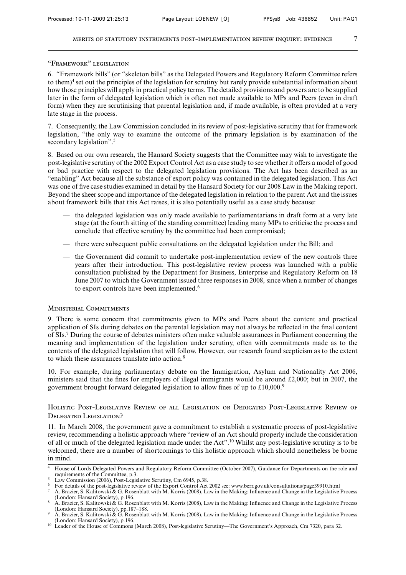### "Framework" legislation

6. "Framework bills" (or "skeleton bills" as the Delegated Powers and Regulatory Reform Committee refers to them)<sup>4</sup> set out the principles of the legislation for scrutiny but rarely provide substantial information about how those principles will apply in practical policy terms. The detailed provisions and powers are to be supplied later in the form of delegated legislation which is often not made available to MPs and Peers (even in draft form) when they are scrutinising that parental legislation and, if made available, is often provided at a very late stage in the process.

7. Consequently, the Law Commission concluded in its review of post-legislative scrutiny that for framework legislation, "the only way to examine the outcome of the primary legislation is by examination of the secondary legislation".<sup>5</sup>

8. Based on our own research, the Hansard Society suggests that the Committee may wish to investigate the post-legislative scrutiny of the 2002 Export Control Act as a case study to see whether it offers a model of good or bad practice with respect to the delegated legislation provisions. The Act has been described as an "enabling" Act because all the substance of export policy was contained in the delegated legislation. This Act was one of five case studies examined in detail by the Hansard Society for our 2008 Law in the Making report. Beyond the sheer scope and importance of the delegated legislation in relation to the parent Act and the issues about framework bills that this Act raises, it is also potentially useful as a case study because:

- the delegated legislation was only made available to parliamentarians in draft form at a very late stage (at the fourth sitting of the standing committee) leading many MPs to criticise the process and conclude that effective scrutiny by the committee had been compromised;
- there were subsequent public consultations on the delegated legislation under the Bill; and
- the Government did commit to undertake post-implementation review of the new controls three years after their introduction. This post-legislative review process was launched with a public consultation published by the Department for Business, Enterprise and Regulatory Reform on 18 June 2007 to which the Government issued three responses in 2008, since when a number of changes to export controls have been implemented.<sup>6</sup>

# Ministerial Commitments

9. There is some concern that commitments given to MPs and Peers about the content and practical application of SIs during debates on the parental legislation may not always be reflected in the final content of SIs.7 During the course of debates ministers often make valuable assurances in Parliament concerning the meaning and implementation of the legislation under scrutiny, often with commitments made as to the contents of the delegated legislation that will follow. However, our research found scepticism as to the extent to which these assurances translate into action.8

10. For example, during parliamentary debate on the Immigration, Asylum and Nationality Act 2006, ministers said that the fines for employers of illegal immigrants would be around £2,000; but in 2007, the government brought forward delegated legislation to allow fines of up to £10,000.9

# Holistic Post-Legislative Review of all Legislation or Dedicated Post-Legislative Review of Delegated Legislation?

11. In March 2008, the government gave a commitment to establish a systematic process of post-legislative review, recommending a holistic approach where "review of an Act should properly include the consideration of all or much of the delegated legislation made under the Act".10 Whilst any post-legislative scrutiny is to be welcomed, there are a number of shortcomings to this holistic approach which should nonetheless be borne in mind.

<sup>4</sup> House of Lords Delegated Powers and Regulatory Reform Committee (October 2007), Guidance for Departments on the role and requirements of the Committee, p.3.

<sup>5</sup> Law Commission (2006), Post-Legislative Scrutiny, Cm 6945, p.38.

<sup>6</sup> For details of the post-legislative review of the Export Control Act 2002 see: www.berr.gov.uk/consultations/page39910.html

<sup>7</sup> A. Brazier, S. Kalitowski & G. Rosenblatt with M. Korris (2008), Law in the Making: Influence and Change in the Legislative Process (London: Hansard Society), p.196. <sup>8</sup> A. Brazier, S. Kalitowski & G. Rosenblatt with M. Korris (2008), Law in the Making: Influence and Change in the Legislative Process

<sup>(</sup>London: Hansard Society), pp.187–188. <sup>9</sup> A. Brazier, S. Kalitowski & G. Rosenblatt with M. Korris (2008), Law in the Making: Influence and Change in the Legislative Process

<sup>(</sup>London: Hansard Society), p.196.

<sup>&</sup>lt;sup>10</sup> Leader of the House of Commons (March 2008), Post-legislative Scrutiny—The Government's Approach, Cm 7320, para 32.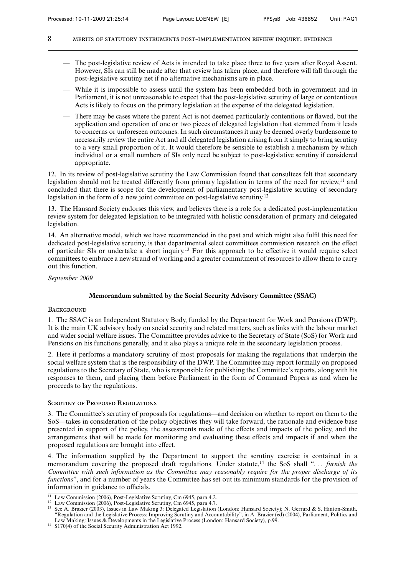- The post-legislative review of Acts is intended to take place three to five years after Royal Assent. However, SIs can still be made after that review has taken place, and therefore will fall through the post-legislative scrutiny net if no alternative mechanisms are in place.
- While it is impossible to assess until the system has been embedded both in government and in Parliament, it is not unreasonable to expect that the post-legislative scrutiny of large or contentious Acts is likely to focus on the primary legislation at the expense of the delegated legislation.
- There may be cases where the parent Act is not deemed particularly contentious or flawed, but the application and operation of one or two pieces of delegated legislation that stemmed from it leads to concerns or unforeseen outcomes. In such circumstances it may be deemed overly burdensome to necessarily review the entire Act and all delegated legislation arising from it simply to bring scrutiny to a very small proportion of it. It would therefore be sensible to establish a mechanism by which individual or a small numbers of SIs only need be subject to post-legislative scrutiny if considered appropriate.

12. In its review of post-legislative scrutiny the Law Commission found that consultees felt that secondary legislation should not be treated differently from primary legislation in terms of the need for review,<sup>11</sup> and concluded that there is scope for the development of parliamentary post-legislative scrutiny of secondary legislation in the form of a new joint committee on post-legislative scrutiny.<sup>12</sup>

13. The Hansard Society endorses this view, and believes there is a role for a dedicated post-implementation review system for delegated legislation to be integrated with holistic consideration of primary and delegated legislation.

14. An alternative model, which we have recommended in the past and which might also fulfil this need for dedicated post-legislative scrutiny, is that departmental select committees commission research on the effect of particular SIs or undertake a short inquiry.<sup>13</sup> For this approach to be effective it would require select committees to embrace a new strand of working and a greater commitment of resources to allow them to carry out this function.

*September 2009*

# **Memorandum submitted by the Social Security Advisory Committee (SSAC)**

# **BACKGROUND**

1. The SSAC is an Independent Statutory Body, funded by the Department for Work and Pensions (DWP). It is the main UK advisory body on social security and related matters, such as links with the labour market and wider social welfare issues. The Committee provides advice to the Secretary of State (SoS) for Work and Pensions on his functions generally, and it also plays a unique role in the secondary legislation process.

2. Here it performs a mandatory scrutiny of most proposals for making the regulations that underpin the social welfare system that is the responsibility of the DWP. The Committee may report formally on proposed regulations to the Secretary of State, who is responsible for publishing the Committee's reports, along with his responses to them, and placing them before Parliament in the form of Command Papers as and when he proceeds to lay the regulations.

# SCRUTINY OF PROPOSED REGULATIONS

3. The Committee's scrutiny of proposals for regulations—and decision on whether to report on them to the SoS—takes in consideration of the policy objectives they will take forward, the rationale and evidence base presented in support of the policy, the assessments made of the effects and impacts of the policy, and the arrangements that will be made for monitoring and evaluating these effects and impacts if and when the proposed regulations are brought into effect.

4. The information supplied by the Department to support the scrutiny exercise is contained in a memorandum covering the proposed draft regulations. Under statute,<sup>14</sup> the SoS shall "... *furnish the Committee with such information as the Committee may reasonably require for the proper discharge of its functions*", and for a number of years the Committee has set out its minimum standards for the provision of information in guidance to officials.

<sup>&</sup>lt;sup>11</sup> Law Commission (2006), Post-Legislative Scrutiny, Cm 6945, para 4.2.

<sup>12</sup> Law Commission (2006), Post-Legislative Scrutiny, Cm 6945, para 4.7.

<sup>&</sup>lt;sup>13</sup> See A. Brazier (2003), Issues in Law Making 3: Delegated Legislation (London: Hansard Society); N. Gerrard & S. Hinton-Smith, "Regulation and the Legislative Process: Improving Scrutiny and Accountability", in A. Brazier (ed) (2004), Parliament, Politics and Law Making: Issues & Developments in the Legislative Process (London: Hansard Society), p.99.

<sup>14</sup> S170(4) of the Social Security Administration Act 1992.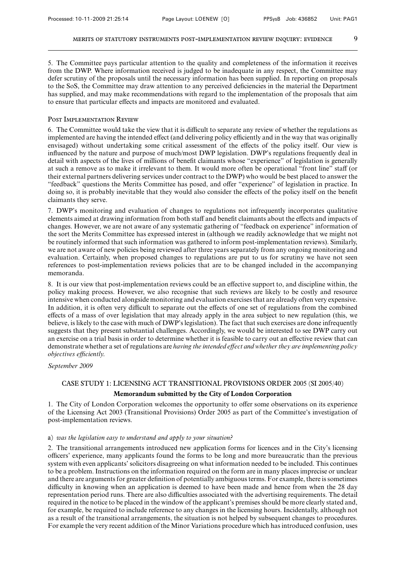5. The Committee pays particular attention to the quality and completeness of the information it receives from the DWP. Where information received is judged to be inadequate in any respect, the Committee may defer scrutiny of the proposals until the necessary information has been supplied. In reporting on proposals to the SoS, the Committee may draw attention to any perceived deficiencies in the material the Department has supplied, and may make recommendations with regard to the implementation of the proposals that aim to ensure that particular effects and impacts are monitored and evaluated.

## Post Implementation Review

6. The Committee would take the view that it is difficult to separate any review of whether the regulations as implemented are having the intended effect (and delivering policy efficiently and in the way that was originally envisaged) without undertaking some critical assessment of the effects of the policy itself. Our view is influenced by the nature and purpose of much/most DWP legislation. DWP's regulations frequently deal in detail with aspects of the lives of millions of benefit claimants whose "experience" of legislation is generally at such a remove as to make it irrelevant to them. It would more often be operational "front line" staff (or their external partners delivering services under contract to the DWP) who would be best placed to answer the "feedback" questions the Merits Committee has posed, and offer "experience" of legislation in practice. In doing so, it is probably inevitable that they would also consider the effects of the policy itself on the benefit claimants they serve.

7. DWP's monitoring and evaluation of changes to regulations not infrequently incorporates qualitative elements aimed at drawing information from both staff and benefit claimants about the effects and impacts of changes. However, we are not aware of any systematic gathering of "feedback on experience" information of the sort the Merits Committee has expressed interest in (although we readily acknowledge that we might not be routinely informed that such information was gathered to inform post-implementation reviews). Similarly, we are not aware of new policies being reviewed after three years separately from any ongoing monitoring and evaluation. Certainly, when proposed changes to regulations are put to us for scrutiny we have not seen references to post-implementation reviews policies that are to be changed included in the accompanying memoranda.

8. It is our view that post-implementation reviews could be an effective support to, and discipline within, the policy making process. However, we also recognise that such reviews are likely to be costly and resource intensive when conducted alongside monitoring and evaluation exercises that are already often very expensive. In addition, it is often very difficult to separate out the effects of one set of regulations from the combined effects of a mass of over legislation that may already apply in the area subject to new regulation (this, we believe, is likely to the case with much of DWP's legislation). The fact that such exercises are done infrequently suggests that they present substantial challenges. Accordingly, we would be interested to see DWP carry out an exercise on a trial basis in order to determine whether it is feasible to carry out an effective review that can demonstrate whether a set of regulations are *having the intended effect and whether they are implementing policy*  $objectives efficiently.$ 

*September 2009*

# CASE STUDY 1: LICENSING ACT TRANSITIONAL PROVISIONS ORDER 2005 (SI 2005/40)

# **Memorandum submitted by the City of London Corporation**

1. The City of London Corporation welcomes the opportunity to offer some observations on its experience of the Licensing Act 2003 (Transitional Provisions) Order 2005 as part of the Committee's investigation of post-implementation reviews.

### a) *was the legislation easy to understand and apply to your situation?*

2. The transitional arrangements introduced new application forms for licences and in the City's licensing officers' experience, many applicants found the forms to be long and more bureaucratic than the previous system with even applicants' solicitors disagreeing on what information needed to be included. This continues to be a problem. Instructions on the information required on the form are in many places imprecise or unclear and there are arguments for greater definition of potentially ambiguous terms. For example, there is sometimes difficulty in knowing when an application is deemed to have been made and hence from when the 28 day representation period runs. There are also difficulties associated with the advertising requirements. The detail required in the notice to be placed in the window of the applicant's premises should be more clearly stated and, for example, be required to include reference to any changes in the licensing hours. Incidentally, although not as a result of the transitional arrangements, the situation is not helped by subsequent changes to procedures. For example the very recent addition of the Minor Variations procedure which has introduced confusion, uses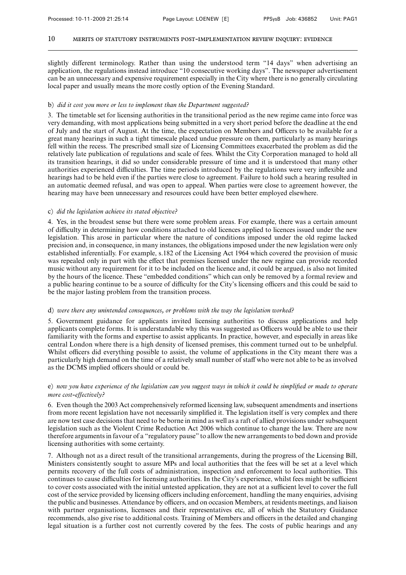slightly different terminology. Rather than using the understood term "14 days" when advertising an application, the regulations instead introduce "10 consecutive working days". The newspaper advertisement can be an unnecessary and expensive requirement especially in the City where there is no generally circulating local paper and usually means the more costly option of the Evening Standard.

### b) *did it cost you more or less to implement than the Department suggested?*

3. The timetable set for licensing authorities in the transitional period as the new regime came into force was very demanding, with most applications being submitted in a very short period before the deadline at the end of July and the start of August. At the time, the expectation on Members and Officers to be available for a great many hearings in such a tight timescale placed undue pressure on them, particularly as many hearings fell within the recess. The prescribed small size of Licensing Committees exacerbated the problem as did the relatively late publication of regulations and scale of fees. Whilst the City Corporation managed to hold all its transition hearings, it did so under considerable pressure of time and it is understood that many other authorities experienced difficulties. The time periods introduced by the regulations were very inflexible and hearings had to be held even if the parties were close to agreement. Failure to hold such a hearing resulted in an automatic deemed refusal, and was open to appeal. When parties were close to agreement however, the hearing may have been unnecessary and resources could have been better employed elsewhere.

### c) *did the legislation achieve its stated objective?*

4. Yes, in the broadest sense but there were some problem areas. For example, there was a certain amount of difficulty in determining how conditions attached to old licences applied to licences issued under the new legislation. This arose in particular where the nature of conditions imposed under the old regime lacked precision and, in consequence, in many instances, the obligations imposed under the new legislation were only established inferentially. For example, s.182 of the Licensing Act 1964 which covered the provision of music was repealed only in part with the effect that premises licensed under the new regime can provide recorded music without any requirement for it to be included on the licence and, it could be argued, is also not limited by the hours of the licence. These "embedded conditions" which can only be removed by a formal review and a public hearing continue to be a source of difficulty for the City's licensing officers and this could be said to be the major lasting problem from the transition process.

#### d) *were there any unintended consequences, or problems with the way the legislation worked?*

5. Government guidance for applicants invited licensing authorities to discuss applications and help applicants complete forms. It is understandable why this was suggested as Officers would be able to use their familiarity with the forms and expertise to assist applicants. In practice, however, and especially in areas like central London where there is a high density of licensed premises, this comment turned out to be unhelpful. Whilst officers did everything possible to assist, the volume of applications in the City meant there was a particularly high demand on the time of a relatively small number of staff who were not able to be as involved as the DCMS implied officers should or could be.

# e) *now you have experience of the legislation can you suggest ways in which it could be simplified or made to operate more cost-effectively?*

6. Even though the 2003 Act comprehensively reformed licensing law, subsequent amendments and insertions from more recent legislation have not necessarily simplified it. The legislation itself is very complex and there are now test case decisions that need to be borne in mind as well as a raft of allied provisions under subsequent legislation such as the Violent Crime Reduction Act 2006 which continue to change the law. There are now therefore arguments in favour of a "regulatory pause" to allow the new arrangements to bed down and provide licensing authorities with some certainty.

7. Although not as a direct result of the transitional arrangements, during the progress of the Licensing Bill, Ministers consistently sought to assure MPs and local authorities that the fees will be set at a level which permits recovery of the full costs of administration, inspection and enforcement to local authorities. This continues to cause difficulties for licensing authorities. In the City's experience, whilst fees might be sufficient to cover costs associated with the initial untested application, they are not at a sufficient level to cover the full cost of the service provided by licensing officers including enforcement, handling the many enquiries, advising the public and businesses. Attendance by officers, and on occasion Members, at residents meetings, and liaison with partner organisations, licensees and their representatives etc, all of which the Statutory Guidance recommends, also give rise to additional costs. Training of Members and officers in the detailed and changing legal situation is a further cost not currently covered by the fees. The costs of public hearings and any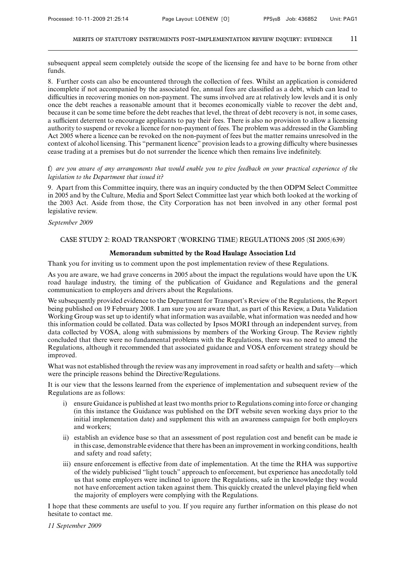subsequent appeal seem completely outside the scope of the licensing fee and have to be borne from other funds.

8. Further costs can also be encountered through the collection of fees. Whilst an application is considered incomplete if not accompanied by the associated fee, annual fees are classified as a debt, which can lead to difficulties in recovering monies on non-payment. The sums involved are at relatively low levels and it is only once the debt reaches a reasonable amount that it becomes economically viable to recover the debt and, because it can be some time before the debt reaches that level, the threat of debt recovery is not, in some cases, a sufficient deterrent to encourage applicants to pay their fees. There is also no provision to allow a licensing authority to suspend or revoke a licence for non-payment of fees. The problem was addressed in the Gambling Act 2005 where a licence can be revoked on the non-payment of fees but the matter remains unresolved in the context of alcohol licensing. This "permanent licence" provision leads to a growing difficulty where businesses cease trading at a premises but do not surrender the licence which then remains live indefinitely.

# f) *are you aware of any arrangements that would enable you to give feedback on your practical experience of the legislation to the Department that issued it?*

9. Apart from this Committee inquiry, there was an inquiry conducted by the then ODPM Select Committee in 2005 and by the Culture, Media and Sport Select Committee last year which both looked at the working of the 2003 Act. Aside from those, the City Corporation has not been involved in any other formal post legislative review.

### *September 2009*

# CASE STUDY 2: ROAD TRANSPORT (WORKING TIME) REGULATIONS 2005 (SI 2005/639)

### **Memorandum submitted by the Road Haulage Association Ltd**

Thank you for inviting us to comment upon the post implementation review of these Regulations.

As you are aware, we had grave concerns in 2005 about the impact the regulations would have upon the UK road haulage industry, the timing of the publication of Guidance and Regulations and the general communication to employers and drivers about the Regulations.

We subsequently provided evidence to the Department for Transport's Review of the Regulations, the Report being published on 19 February 2008. I am sure you are aware that, as part of this Review, a Data Validation Working Group was set up to identify what information was available, what information was needed and how this information could be collated. Data was collected by Ipsos MORI through an independent survey, from data collected by VOSA, along with submissions by members of the Working Group. The Review rightly concluded that there were no fundamental problems with the Regulations, there was no need to amend the Regulations, although it recommended that associated guidance and VOSA enforcement strategy should be improved.

What was not established through the review was any improvement in road safety or health and safety—which were the principle reasons behind the Directive/Regulations.

It is our view that the lessons learned from the experience of implementation and subsequent review of the Regulations are as follows:

- i) ensure Guidance is published at least two months prior to Regulations coming into force or changing (in this instance the Guidance was published on the DfT website seven working days prior to the initial implementation date) and supplement this with an awareness campaign for both employers and workers;
- ii) establish an evidence base so that an assessment of post regulation cost and benefit can be made ie in this case, demonstrable evidence that there has been an improvement in working conditions, health and safety and road safety;
- iii) ensure enforcement is effective from date of implementation. At the time the RHA was supportive of the widely publicised "light touch" approach to enforcement, but experience has anecdotally told us that some employers were inclined to ignore the Regulations, safe in the knowledge they would not have enforcement action taken against them. This quickly created the unlevel playing field when the majority of employers were complying with the Regulations.

I hope that these comments are useful to you. If you require any further information on this please do not hesitate to contact me.

*11 September 2009*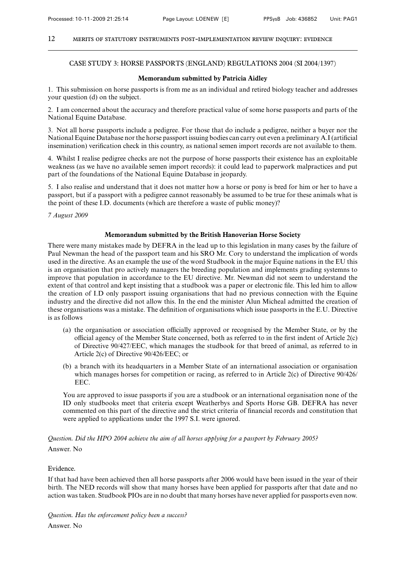# CASE STUDY 3: HORSE PASSPORTS (ENGLAND) REGULATIONS 2004 (SI 2004/1397)

# **Memorandum submitted by Patricia Aidley**

1. This submission on horse passports is from me as an individual and retired biology teacher and addresses your question (d) on the subject.

2. I am concerned about the accuracy and therefore practical value of some horse passports and parts of the National Equine Database.

3. Not all horse passports include a pedigree. For those that do include a pedigree, neither a buyer nor the National Equine Database nor the horse passport issuing bodies can carry out even a preliminary A.I (artificial insemination) verification check in this country, as national semen import records are not available to them.

4. Whilst I realise pedigree checks are not the purpose of horse passports their existence has an exploitable weakness (as we have no available semen import records): it could lead to paperwork malpractices and put part of the foundations of the National Equine Database in jeopardy.

5. I also realise and understand that it does not matter how a horse or pony is bred for him or her to have a passport, but if a passport with a pedigree cannot reasonably be assumed to be true for these animals what is the point of these I.D. documents (which are therefore a waste of public money)?

*7 August 2009*

### **Memorandum submitted by the British Hanoverian Horse Society**

There were many mistakes made by DEFRA in the lead up to this legislation in many cases by the failure of Paul Newman the head of the passport team and his SRO Mr. Cory to understand the implication of words used in the directive. As an example the use of the word Studbook in the major Equine nations in the EU this is an organisation that pro actively managers the breeding population and implements grading systemns to improve that population in accordance to the EU directive. Mr. Newman did not seem to understand the extent of that control and kept insisting that a studbook was a paper or electronic file. This led him to allow the creation of I.D only passport issuing organisations that had no previous connection with the Equine industry and the directive did not allow this. In the end the minister Alun Micheal admitted the creation of these organisations was a mistake. The definition of organisations which issue passports in the E.U. Directive is as follows

- (a) the organisation or association officially approved or recognised by the Member State, or by the official agency of the Member State concerned, both as referred to in the first indent of Article  $2(c)$ of Directive 90/427/EEC, which manages the studbook for that breed of animal, as referred to in Article 2(c) of Directive 90/426/EEC; or
- (b) a branch with its headquarters in a Member State of an international association or organisation which manages horses for competition or racing, as referred to in Article 2(c) of Directive 90/426/ EEC.

You are approved to issue passports if you are a studbook or an international organisation none of the ID only studbooks meet that criteria except Weatherbys and Sports Horse GB. DEFRA has never commented on this part of the directive and the strict criteria of financial records and constitution that were applied to applications under the 1997 S.I. were ignored.

*Question. Did the HPO 2004 achieve the aim of all horses applying for a passport by February 2005?* Answer. No

# Evidence.

If that had have been achieved then all horse passports after 2006 would have been issued in the year of their birth. The NED records will show that many horses have been applied for passports after that date and no action was taken. Studbook PIOs are in no doubt that many horses have never applied for passports even now.

*Question. Has the enforcement policy been a success?*

Answer. No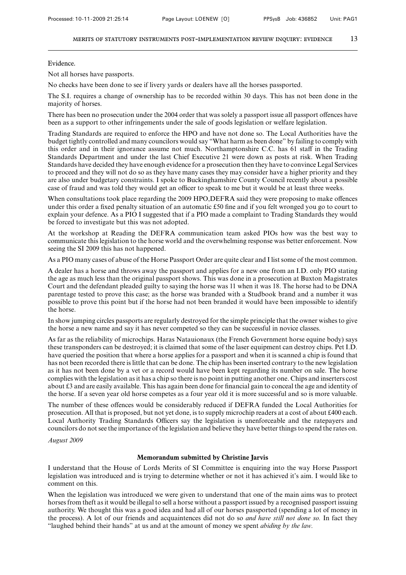Evidence.

Not all horses have passports.

No checks have been done to see if livery yards or dealers have all the horses passported.

The S.I. requires a change of ownership has to be recorded within 30 days. This has not been done in the majority of horses.

There has been no prosecution under the 2004 order that was solely a passport issue all passport offences have been as a support to other infringements under the sale of goods legislation or welfare legislation.

Trading Standards are required to enforce the HPO and have not done so. The Local Authorities have the budget tightly controlled and many councilors would say "What harm as been done" by failing to comply with this order and in their ignorance assume not much. Northamptonshire C.C. has 61 staff in the Trading Standards Department and under the last Chief Executive 21 were down as posts at risk. When Trading Standards have decided they have enough evidence for a prosecution then they have to convince Legal Services to proceed and they will not do so as they have many cases they may consider have a higher priority and they are also under budgetary constraints. I spoke to Buckinghamshire County Council recently about a possible case of fraud and was told they would get an officer to speak to me but it would be at least three weeks.

When consultations took place regarding the 2009 HPO, DEFRA said they were proposing to make offences under this order a fixed penalty situation of an automatic £50 fine and if you felt wronged you go to court to explain your defence. As a PIO I suggested that if a PIO made a complaint to Trading Standards they would be forced to investigate but this was not adopted.

At the workshop at Reading the DEFRA communication team asked PIOs how was the best way to communicate this legislation to the horse world and the overwhelming response was better enforcement. Now seeing the SI 2009 this has not happened.

As a PIO many cases of abuse of the Horse Passport Order are quite clear and I list some of the most common.

A dealer has a horse and throws away the passport and applies for a new one from an I.D. only PIO stating the age as much less than the original passport shows. This was done in a prosecution at Buxton Magistrates Court and the defendant pleaded guilty to saying the horse was 11 when it was 18. The horse had to be DNA parentage tested to prove this case; as the horse was branded with a Studbook brand and a number it was possible to prove this point but if the horse had not been branded it would have been impossible to identify the horse.

In show jumping circles passports are regularly destroyed for the simple principle that the owner wishes to give the horse a new name and say it has never competed so they can be successful in novice classes.

As far as the reliability of microchips. Haras Natauionaux (the French Government horse equine body) says these transponders can be destroyed; it is claimed that some of the laser equipment can destroy chips. Pet I.D. have queried the position that where a horse applies for a passport and when it is scanned a chip is found that has not been recorded there is little that can be done. The chip has been inserted contrary to the new legislation as it has not been done by a vet or a record would have been kept regarding its number on sale. The horse complies with the legislation as it has a chip so there is no point in putting another one. Chips and inserters cost about £3 and are easily available. This has again been done for financial gain to conceal the age and identity of the horse. If a seven year old horse competes as a four year old it is more successful and so is more valuable.

The number of these offences would be considerably reduced if DEFRA funded the Local Authorities for prosecution. All that is proposed, but not yet done, is to supply microchip readers at a cost of about £400 each. Local Authority Trading Standards Officers say the legislation is unenforceable and the ratepayers and councilors do not see the importance of the legislation and believe they have better things to spend the rates on.

*August 2009*

### **Memorandum submitted by Christine Jarvis**

I understand that the House of Lords Merits of SI Committee is enquiring into the way Horse Passport legislation was introduced and is trying to determine whether or not it has achieved it's aim. I would like to comment on this.

When the legislation was introduced we were given to understand that one of the main aims was to protect horses from theft as it would be illegal to sell a horse without a passport issued by a recognised passport issuing authority. We thought this was a good idea and had all of our horses passported (spending a lot of money in the process). A lot of our friends and acquaintences did not do so *and have still not done so.* In fact they "laughed behind their hands" at us and at the amount of money we spent *abiding by the law.*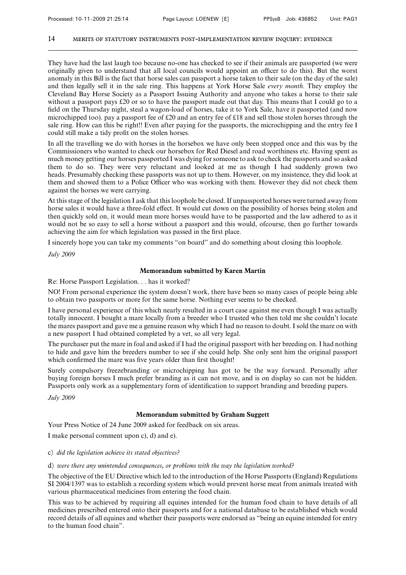They have had the last laugh too because no-one has checked to see if their animals are passported (we were originally given to understand that all local councils would appoint an officer to do this). But the worst anomaly in this Bill is the fact that horse sales can passport a horse taken to their sale (on the day of the sale) and then legally sell it in the sale ring. This happens at York Horse Sale *every month.* They employ the Cleveland Bay Horse Society as a Passport Issuing Authority and anyone who takes a horse to their sale without a passport pays £20 or so to have the passport made out that day. This means that I could go to a field on the Thursday night, steal a wagon-load of horses, take it to York Sale, have it passported (and now microchipped too). pay a passport fee of £20 and an entry fee of £18 and sell those stolen horses through the sale ring. How can this be right!! Even after paying for the passports, the microchipping and the entry fee I could still make a tidy profit on the stolen horses.

In all the travelling we do with horses in the horsebox we have only been stopped once and this was by the Commissioners who wanted to check our horsebox for Red Diesel and road worthiness etc. Having spent as much money getting our horses passported I was dying for someone to ask to check the passports and so asked them to do so. They were very reluctant and looked at me as though I had suddenly grown two heads. Presumably checking these passports was not up to them. However, on my insistence, they did look at them and showed them to a Police Officer who was working with them. However they did not check them against the horses we were carrying.

At this stage of the legislation I ask that this loophole be closed. If unpassported horses were turned away from horse sales it would have a three-fold effect. It would cut down on the possibility of horses being stolen and then quickly sold on, it would mean more horses would have to be passported and the law adhered to as it would not be so easy to sell a horse without a passport and this would, ofcourse, then go further towards achieving the aim for which legislation was passed in the first place.

I sincerely hope you can take my comments "on board" and do something about closing this loophole.

*July 2009*

### **Memorandum submitted by Karen Martin**

Re: Horse Passport Legislation. . . has it worked?

NO! From personal experience the system doesn't work, there have been so many cases of people being able to obtain two passports or more for the same horse. Nothing ever seems to be checked.

I have personal experience of this which nearly resulted in a court case against me even though I was actually totally innocent. I bought a mare locally from a breeder who I trusted who then told me she couldn't locate the mares passport and gave me a genuine reason why which I had no reason to doubt. I sold the mare on with a new passport I had obtained completed by a vet, so all very legal.

The purchaser put the mare in foal and asked if I had the original passport with her breeding on. I had nothing to hide and gave him the breeders number to see if she could help. She only sent him the original passport which confirmed the mare was five years older than first thought!

Surely compulsory freezebranding or microchipping has got to be the way forward. Personally after buying foreign horses I much prefer branding as it can not move, and is on display so can not be hidden. Passports only work as a supplementary form of identification to support branding and breeding papers.

*July 2009*

# **Memorandum submitted by Graham Suggett**

Your Press Notice of 24 June 2009 asked for feedback on six areas.

I make personal comment upon c), d) and e).

### c) *did the legislation achieve its stated objectives?*

#### d) *were there any unintended consequences, or problems with the way the legislation worked?*

The objective of the EU Directive which led to the introduction of the Horse Passports (England) Regulations SI 2004/1397 was to establish a recording system which would prevent horse meat from animals treated with various pharmaceutical medicines from entering the food chain.

This was to be achieved by requiring all equines intended for the human food chain to have details of all medicines prescribed entered onto their passports and for a national database to be established which would record details of all equines and whether their passports were endorsed as "being an equine intended for entry to the human food chain".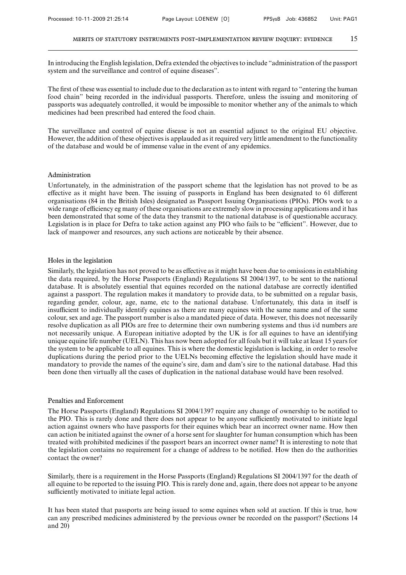In introducing the English legislation, Defra extended the objectives to include "administration of the passport system and the surveillance and control of equine diseases".

The first of these was essential to include due to the declaration as to intent with regard to "entering the human food chain" being recorded in the individual passports. Therefore, unless the issuing and monitoring of passports was adequately controlled, it would be impossible to monitor whether any of the animals to which medicines had been prescribed had entered the food chain.

The surveillance and control of equine disease is not an essential adjunct to the original EU objective. However, the addition of these objectives is applauded as it required very little amendment to the functionality of the database and would be of immense value in the event of any epidemics.

# Administration

Unfortunately, in the administration of the passport scheme that the legislation has not proved to be as effective as it might have been. The issuing of passports in England has been designated to 61 different organisations (84 in the British Isles) designated as Passport Issuing Organisations (PIOs). PIOs work to a wide range of efficiency eg many of these organisations are extremely slow in processing applications and it has been demonstrated that some of the data they transmit to the national database is of questionable accuracy. Legislation is in place for Defra to take action against any PIO who fails to be "efficient". However, due to lack of manpower and resources, any such actions are noticeable by their absence.

# Holes in the legislation

Similarly, the legislation has not proved to be as effective as it might have been due to omissions in establishing the data required, by the Horse Passports (England) Regulations SI 2004/1397, to be sent to the national database. It is absolutely essential that equines recorded on the national database are correctly identified against a passport. The regulation makes it mandatory to provide data, to be submitted on a regular basis, regarding gender, colour, age, name, etc to the national database. Unfortunately, this data in itself is insufficient to individually identify equines as there are many equines with the same name and of the same colour, sex and age. The passport number is also a mandated piece of data. However, this does not necessarily resolve duplication as all PIOs are free to determine their own numbering systems and thus i/d numbers are not necessarily unique. A European initiative adopted by the UK is for all equines to have an identifying unique equine life number (UELN). This has now been adopted for all foals but it will take at least 15 years for the system to be applicable to all equines. This is where the domestic legislation is lacking, in order to resolve duplications during the period prior to the UELNs becoming effective the legislation should have made it mandatory to provide the names of the equine's sire, dam and dam's sire to the national database. Had this been done then virtually all the cases of duplication in the national database would have been resolved.

### Penalties and Enforcement

The Horse Passports (England) Regulations SI 2004/1397 require any change of ownership to be notified to the PIO. This is rarely done and there does not appear to be anyone sufficiently motivated to initiate legal action against owners who have passports for their equines which bear an incorrect owner name. How then can action be initiated against the owner of a horse sent for slaughter for human consumption which has been treated with prohibited medicines if the passport bears an incorrect owner name? It is interesting to note that the legislation contains no requirement for a change of address to be notified. How then do the authorities contact the owner?

Similarly, there is a requirement in the Horse Passports (England) Regulations SI 2004/1397 for the death of all equine to be reported to the issuing PIO. This is rarely done and, again, there does not appear to be anyone sufficiently motivated to initiate legal action.

It has been stated that passports are being issued to some equines when sold at auction. If this is true, how can any prescribed medicines administered by the previous owner be recorded on the passport? (Sections 14 and 20)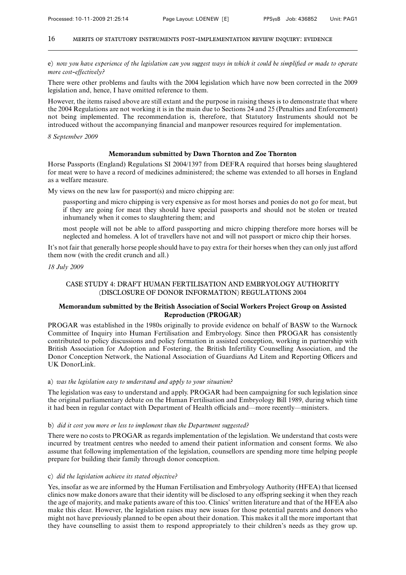e) *now you have experience of the legislation can you suggest ways in which it could be simplified or made to operate more cost-effectively?*

There were other problems and faults with the 2004 legislation which have now been corrected in the 2009 legislation and, hence, I have omitted reference to them.

However, the items raised above are still extant and the purpose in raising theses is to demonstrate that where the 2004 Regulations are not working it is in the main due to Sections 24 and 25 (Penalties and Enforcement) not being implemented. The recommendation is, therefore, that Statutory Instruments should not be introduced without the accompanying financial and manpower resources required for implementation.

*8 September 2009*

#### **Memorandum submitted by Dawn Thornton and Zoe Thornton**

Horse Passports (England) Regulations SI 2004/1397 from DEFRA required that horses being slaughtered for meat were to have a record of medicines administered; the scheme was extended to all horses in England as a welfare measure.

My views on the new law for passport(s) and micro chipping are:

passporting and micro chipping is very expensive as for most horses and ponies do not go for meat, but if they are going for meat they should have special passports and should not be stolen or treated inhumanely when it comes to slaughtering them; and

most people will not be able to afford passporting and micro chipping therefore more horses will be neglected and homeless. A lot of travellers have not and will not passport or micro chip their horses.

It's not fair that generally horse people should have to pay extra for their horses when they can only just afford them now (with the credit crunch and all.)

#### *18 July 2009*

# CASE STUDY 4: DRAFT HUMAN FERTILISATION AND EMBRYOLOGY AUTHORITY (DISCLOSURE OF DONOR INFORMATION) REGULATIONS 2004

# **Memorandum submitted by the British Association of Social Workers Project Group on Assisted Reproduction (PROGAR)**

PROGAR was established in the 1980s originally to provide evidence on behalf of BASW to the Warnock Committee of Inquiry into Human Fertilisation and Embryology. Since then PROGAR has consistently contributed to policy discussions and policy formation in assisted conception, working in partnership with British Association for Adoption and Fostering, the British Infertility Counselling Association, and the Donor Conception Network, the National Association of Guardians Ad Litem and Reporting Officers and UK DonorLink.

### a) *was the legislation easy to understand and apply to your situation?*

The legislation was easy to understand and apply. PROGAR had been campaigning for such legislation since the original parliamentary debate on the Human Fertilisation and Embryology Bill 1989, during which time it had been in regular contact with Department of Health officials and—more recently—ministers.

#### b) *did it cost you more or less to implement than the Department suggested?*

There were no costs to PROGAR as regards implementation of the legislation. We understand that costs were incurred by treatment centres who needed to amend their patient information and consent forms. We also assume that following implementation of the legislation, counsellors are spending more time helping people prepare for building their family through donor conception.

#### c) *did the legislation achieve its stated objective?*

Yes, insofar as we are informed by the Human Fertilisation and Embryology Authority (HFEA) that licensed clinics now make donors aware that their identity will be disclosed to any offspring seeking it when they reach the age of majority, and make patients aware of this too. Clinics' written literature and that of the HFEA also make this clear. However, the legislation raises may new issues for those potential parents and donors who might not have previously planned to be open about their donation. This makes it all the more important that they have counselling to assist them to respond appropriately to their children's needs as they grow up.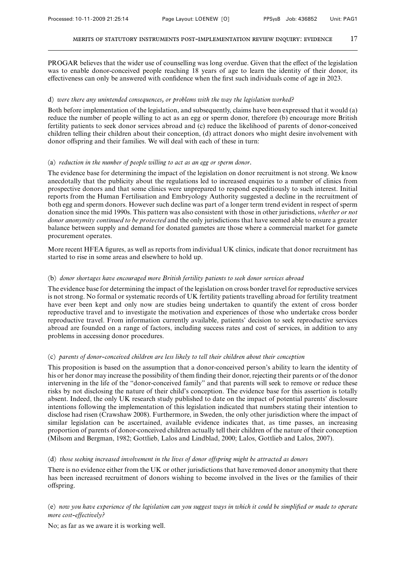PROGAR believes that the wider use of counselling was long overdue. Given that the effect of the legislation was to enable donor-conceived people reaching 18 years of age to learn the identity of their donor, its effectiveness can only be answered with confidence when the first such individuals come of age in 2023.

### d) *were there any unintended consequences, or problems with the way the legislation worked?*

Both before implementation of the legislation, and subsequently, claims have been expressed that it would (a) reduce the number of people willing to act as an egg or sperm donor, therefore (b) encourage more British fertility patients to seek donor services abroad and (c) reduce the likelihood of parents of donor-conceived children telling their children about their conception, (d) attract donors who might desire involvement with donor offspring and their families. We will deal with each of these in turn:

### (a) *reduction in the number of people willing to act as an egg or sperm donor.*

The evidence base for determining the impact of the legislation on donor recruitment is not strong. We know anecdotally that the publicity about the regulations led to increased enquiries to a number of clinics from prospective donors and that some clinics were unprepared to respond expeditiously to such interest. Initial reports from the Human Fertilisation and Embryology Authority suggested a decline in the recruitment of both egg and sperm donors. However such decline was part of a longer term trend evident in respect of sperm donation since the mid 1990s. This pattern was also consistent with those in other jurisdictions, *whether or not donor anonymity continued to be protected* and the only jurisdictions that have seemed able to ensure a greater balance between supply and demand for donated gametes are those where a commercial market for gamete procurement operates.

More recent HFEA figures, as well as reports from individual UK clinics, indicate that donor recruitment has started to rise in some areas and elsewhere to hold up.

# (b) *donor shortages have encouraged more British fertility patients to seek donor services abroad*

The evidence base for determining the impact of the legislation on cross border travel for reproductive services is not strong. No formal or systematic records of UK fertility patients travelling abroad for fertility treatment have ever been kept and only now are studies being undertaken to quantify the extent of cross border reproductive travel and to investigate the motivation and experiences of those who undertake cross border reproductive travel. From information currently available, patients' decision to seek reproductive services abroad are founded on a range of factors, including success rates and cost of services, in addition to any problems in accessing donor procedures.

# (c) *parents of donor-conceived children are less likely to tell their children about their conception*

This proposition is based on the assumption that a donor-conceived person's ability to learn the identity of his or her donor may increase the possibility of them finding their donor, rejecting their parents or of the donor intervening in the life of the "donor-conceived family" and that parents will seek to remove or reduce these risks by not disclosing the nature of their child's conception. The evidence base for this assertion is totally absent. Indeed, the only UK research study published to date on the impact of potential parents' disclosure intentions following the implementation of this legislation indicated that numbers stating their intention to disclose had risen (Crawshaw 2008). Furthermore, in Sweden, the only other jurisdiction where the impact of similar legislation can be ascertained, available evidence indicates that, as time passes, an increasing proportion of parents of donor-conceived children actually tell their children of the nature of their conception (Milsom and Bergman, 1982; Gottlieb, Lalos and Lindblad, 2000; Lalos, Gottlieb and Lalos, 2007).

# (d) *those seeking increased involvement in the lives of donor offspring might be attracted as donors*

There is no evidence either from the UK or other jurisdictions that have removed donor anonymity that there has been increased recruitment of donors wishing to become involved in the lives or the families of their offspring.

# (e) *now you have experience of the legislation can you suggest ways in which it could be simplified or made to operate more cost-effectively?*

No; as far as we aware it is working well.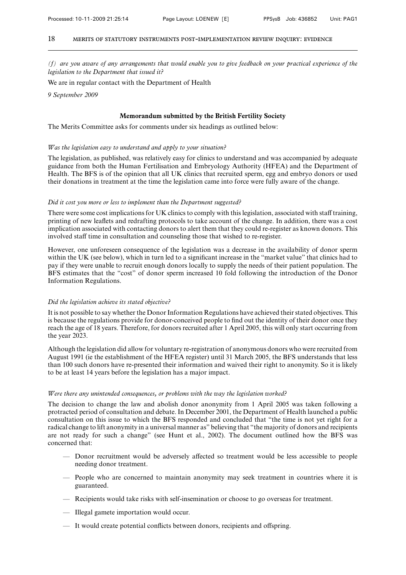*(f) are you aware of any arrangements that would enable you to give feedback on your practical experience of the legislation to the Department that issued it?*

We are in regular contact with the Department of Health

*9 September 2009*

### **Memorandum submitted by the British Fertility Society**

The Merits Committee asks for comments under six headings as outlined below:

### *Was the legislation easy to understand and apply to your situation?*

The legislation, as published, was relatively easy for clinics to understand and was accompanied by adequate guidance from both the Human Fertilisation and Embryology Authority (HFEA) and the Department of Health. The BFS is of the opinion that all UK clinics that recruited sperm, egg and embryo donors or used their donations in treatment at the time the legislation came into force were fully aware of the change.

#### *Did it cost you more or less to implement than the Department suggested?*

There were some cost implications for UK clinics to comply with this legislation, associated with staff training, printing of new leaflets and redrafting protocols to take account of the change. In addition, there was a cost implication associated with contacting donors to alert them that they could re-register as known donors. This involved staff time in consultation and counseling those that wished to re-register.

However, one unforeseen consequence of the legislation was a decrease in the availability of donor sperm within the UK (see below), which in turn led to a significant increase in the "market value" that clinics had to pay if they were unable to recruit enough donors locally to supply the needs of their patient population. The BFS estimates that the "cost" of donor sperm increased 10 fold following the introduction of the Donor Information Regulations.

#### *Did the legislation achieve its stated objective?*

It is not possible to say whether the Donor Information Regulations have achieved their stated objectives. This is because the regulations provide for donor-conceived people to find out the identity of their donor once they reach the age of 18 years. Therefore, for donors recruited after 1 April 2005, this will only start occurring from the year 2023.

Although the legislation did allow for voluntary re-registration of anonymous donors who were recruited from August 1991 (ie the establishment of the HFEA register) until 31 March 2005, the BFS understands that less than 100 such donors have re-presented their information and waived their right to anonymity. So it is likely to be at least 14 years before the legislation has a major impact.

### *Were there any unintended consequences, or problems with the way the legislation worked?*

The decision to change the law and abolish donor anonymity from 1 April 2005 was taken following a protracted period of consultation and debate. In December 2001, the Department of Health launched a public consultation on this issue to which the BFS responded and concluded that "the time is not yet right for a radical change to lift anonymity in a universal manner as" believing that "the majority of donors and recipients are not ready for such a change" (see Hunt et al., 2002). The document outlined how the BFS was concerned that:

- Donor recruitment would be adversely affected so treatment would be less accessible to people needing donor treatment.
- People who are concerned to maintain anonymity may seek treatment in countries where it is guaranteed.
- Recipients would take risks with self-insemination or choose to go overseas for treatment.
- Illegal gamete importation would occur.
- $-$  It would create potential conflicts between donors, recipients and offspring.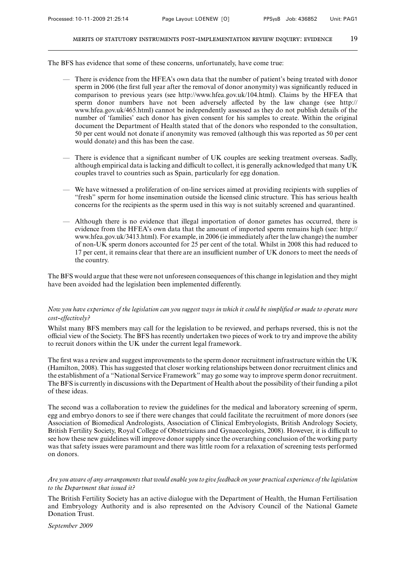The BFS has evidence that some of these concerns, unfortunately, have come true:

- There is evidence from the HFEA's own data that the number of patient's being treated with donor sperm in 2006 (the first full year after the removal of donor anonymity) was significantly reduced in comparison to previous years (see http://www.hfea.gov.uk/104.html). Claims by the HFEA that sperm donor numbers have not been adversely affected by the law change (see http:// www.hfea.gov.uk/465.html) cannot be independently assessed as they do not publish details of the number of 'families' each donor has given consent for his samples to create. Within the original document the Department of Health stated that of the donors who responded to the consultation, 50 per cent would not donate if anonymity was removed (although this was reported as 50 per cent would donate) and this has been the case.
- There is evidence that a significant number of UK couples are seeking treatment overseas. Sadly, although empirical data is lacking and difficult to collect, it is generally acknowledged that many UK couples travel to countries such as Spain, particularly for egg donation.
- We have witnessed a proliferation of on-line services aimed at providing recipients with supplies of "fresh" sperm for home insemination outside the licensed clinic structure. This has serious health concerns for the recipients as the sperm used in this way is not suitably screened and quarantined.
- Although there is no evidence that illegal importation of donor gametes has occurred, there is evidence from the HFEA's own data that the amount of imported sperm remains high (see: http:// www.hfea.gov.uk/3413.html). For example, in 2006 (ie immediately after the law change) the number of non-UK sperm donors accounted for 25 per cent of the total. Whilst in 2008 this had reduced to 17 per cent, it remains clear that there are an insufficient number of UK donors to meet the needs of the country.

The BFS would argue that these were not unforeseen consequences of this change in legislation and they might have been avoided had the legislation been implemented differently.

# *Now you have experience of the legislation can you suggest ways in which it could be simplified or made to operate more cost-effectively?*

Whilst many BFS members may call for the legislation to be reviewed, and perhaps reversed, this is not the official view of the Society. The BFS has recently undertaken two pieces of work to try and improve the ability to recruit donors within the UK under the current legal framework.

The first was a review and suggest improvements to the sperm donor recruitment infrastructure within the UK (Hamilton, 2008). This has suggested that closer working relationships between donor recruitment clinics and the establishment of a "National Service Framework" may go some way to improve sperm donor recruitment. The BFS is currently in discussions with the Department of Health about the possibility of their funding a pilot of these ideas.

The second was a collaboration to review the guidelines for the medical and laboratory screening of sperm, egg and embryo donors to see if there were changes that could facilitate the recruitment of more donors (see Association of Biomedical Andrologists, Association of Clinical Embryologists, British Andrology Society, British Fertility Society, Royal College of Obstetricians and Gynaecologists, 2008). However, it is difficult to see how these new guidelines will improve donor supply since the overarching conclusion of the working party was that safety issues were paramount and there was little room for a relaxation of screening tests performed on donors.

# *Are you aware of any arrangements that would enable you to give feedback on your practical experience of the legislation to the Department that issued it?*

The British Fertility Society has an active dialogue with the Department of Health, the Human Fertilisation and Embryology Authority and is also represented on the Advisory Council of the National Gamete Donation Trust.

*September 2009*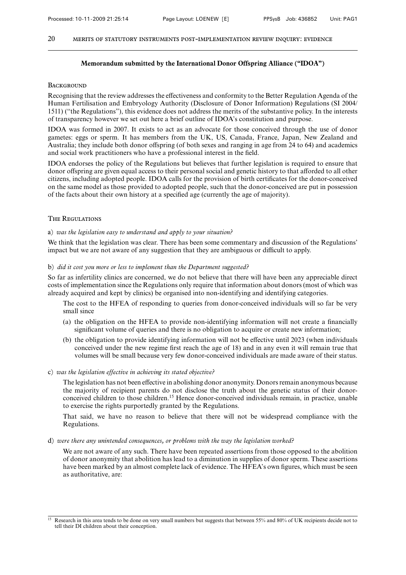### **Memorandum submitted by the International Donor Offspring Alliance ("IDOA")**

### **BACKGROUND**

Recognising that the review addresses the effectiveness and conformity to the Better Regulation Agenda of the Human Fertilisation and Embryology Authority (Disclosure of Donor Information) Regulations (SI 2004/ 1511) ("the Regulations"), this evidence does not address the merits of the substantive policy. In the interests of transparency however we set out here a brief outline of IDOA's constitution and purpose.

IDOA was formed in 2007. It exists to act as an advocate for those conceived through the use of donor gametes: eggs or sperm. It has members from the UK, US, Canada, France, Japan, New Zealand and Australia; they include both donor offspring (of both sexes and ranging in age from 24 to 64) and academics and social work practitioners who have a professional interest in the field.

IDOA endorses the policy of the Regulations but believes that further legislation is required to ensure that donor offspring are given equal access to their personal social and genetic history to that afforded to all other citizens, including adopted people. IDOA calls for the provision of birth certificates for the donor-conceived on the same model as those provided to adopted people, such that the donor-conceived are put in possession of the facts about their own history at a specified age (currently the age of majority).

# The Regulations

### a) *was the legislation easy to understand and apply to your situation?*

We think that the legislation was clear. There has been some commentary and discussion of the Regulations' impact but we are not aware of any suggestion that they are ambiguous or difficult to apply.

#### b) *did it cost you more or less to implement than the Department suggested?*

So far as infertility clinics are concerned, we do not believe that there will have been any appreciable direct costs of implementation since the Regulations only require that information about donors (most of which was already acquired and kept by clinics) be organised into non-identifying and identifying categories.

The cost to the HFEA of responding to queries from donor-conceived individuals will so far be very small since

- (a) the obligation on the HFEA to provide non-identifying information will not create a financially significant volume of queries and there is no obligation to acquire or create new information;
- (b) the obligation to provide identifying information will not be effective until 2023 (when individuals conceived under the new regime first reach the age of 18) and in any even it will remain true that volumes will be small because very few donor-conceived individuals are made aware of their status.

### c) *was the legislation effective in achieving its stated objective?*

The legislation has not been effective in abolishing donor anonymity. Donors remain anonymous because the majority of recipient parents do not disclose the truth about the genetic status of their donorconceived children to those children.<sup>15</sup> Hence donor-conceived individuals remain, in practice, unable to exercise the rights purportedly granted by the Regulations.

That said, we have no reason to believe that there will not be widespread compliance with the Regulations.

# d) *were there any unintended consequences, or problems with the way the legislation worked?*

We are not aware of any such. There have been repeated assertions from those opposed to the abolition of donor anonymity that abolition has lead to a diminution in supplies of donor sperm. These assertions have been marked by an almost complete lack of evidence. The HFEA's own figures, which must be seen as authoritative, are:

<sup>&</sup>lt;sup>15</sup> Research in this area tends to be done on very small numbers but suggests that between 55% and 80% of UK recipients decide not to tell their DI children about their conception.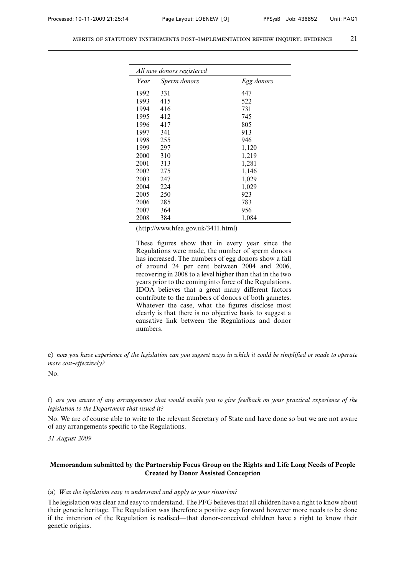| All new donors registered |              |            |
|---------------------------|--------------|------------|
| Year                      | Sperm donors | Egg donors |
| 1992                      | 331          | 447        |
| 1993                      | 415          | 522        |
| 1994                      | 416          | 731        |
| 1995                      | 412          | 745        |
| 1996                      | 417          | 805        |
| 1997                      | 341          | 913        |
| 1998                      | 255          | 946        |
| 1999                      | 297          | 1,120      |
| 2000                      | 310          | 1,219      |
| 2001                      | 313          | 1,281      |
| 2002                      | 275          | 1,146      |
| 2003                      | 247          | 1,029      |
| 2004                      | 224          | 1,029      |
| 2005                      | 250          | 923        |
| 2006                      | 285          | 783        |
| 2007                      | 364          | 956        |
| 2008                      | 384          | 1,084      |

(http://www.hfea.gov.uk/3411.html)

These figures show that in every year since the Regulations were made, the number of sperm donors has increased. The numbers of egg donors show a fall of around 24 per cent between 2004 and 2006, recovering in 2008 to a level higher than that in the two years prior to the coming into force of the Regulations. IDOA believes that a great many different factors contribute to the numbers of donors of both gametes. Whatever the case, what the figures disclose most clearly is that there is no objective basis to suggest a causative link between the Regulations and donor numbers.

e) *now you have experience of the legislation can you suggest ways in which it could be simplified or made to operate more cost-effectively?*

No.

f) *are you aware of any arrangements that would enable you to give feedback on your practical experience of the legislation to the Department that issued it?*

No. We are of course able to write to the relevant Secretary of State and have done so but we are not aware of any arrangements specific to the Regulations.

*31 August 2009*

# **Memorandum submitted by the Partnership Focus Group on the Rights and Life Long Needs of People Created by Donor Assisted Conception**

#### (a) *Was the legislation easy to understand and apply to your situation?*

The legislation was clear and easy to understand. The PFG believes that all children have a right to know about their genetic heritage. The Regulation was therefore a positive step forward however more needs to be done if the intention of the Regulation is realised—that donor-conceived children have a right to know their genetic origins.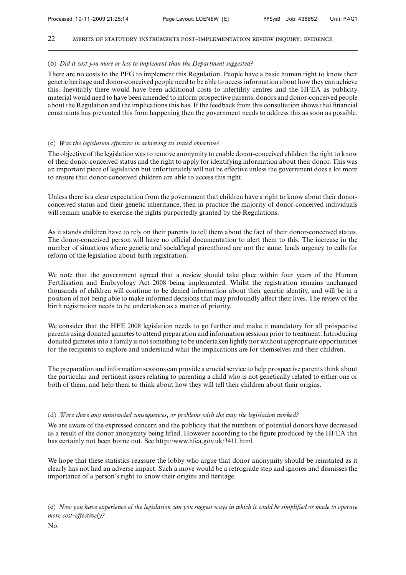### 22 merits of statutory instruments post-implementation review inquiry: evidence

# (b) *Did it cost you more or less to implement than the Department suggested?*

There are no costs to the PFG to implement this Regulation. People have a basic human right to know their genetic heritage and donor-conceived people need to be able to access information about how they can achieve this. Inevitably there would have been additional costs to infertility centres and the HFEA as publicity material would need to have been amended to inform prospective parents, donors and donor-conceived people about the Regulation and the implications this has. If the feedback from this consultation shows that financial constraints has prevented this from happening then the government needs to address this as soon as possible.

# (c) *Was the legislation effective in achieving its stated objective?*

The objective of the legislation was to remove anonymity to enable donor-conceived children the right to know of their donor-conceived status and the right to apply for identifying information about their donor. This was an important piece of legislation but unfortunately will not be effective unless the government does a lot more to ensure that donor-conceived children are able to access this right.

Unless there is a clear expectation from the government that children have a right to know about their donorconceived status and their genetic inheritance, then in practice the majority of donor-conceived individuals will remain unable to exercise the rights purportedly granted by the Regulations.

As it stands children have to rely on their parents to tell them about the fact of their donor-conceived status. The donor-conceived person will have no official documentation to alert them to this. The increase in the number of situations where genetic and social/legal parenthood are not the same, lends urgency to calls for reform of the legislation about birth registration.

We note that the government agreed that a review should take place within four years of the Human Fertilisation and Embryology Act 2008 being implemented. Whilst the registration remains unchanged thousands of children will continue to be denied information about their genetic identity, and will be in a position of not being able to make informed decisions that may profoundly affect their lives. The review of the birth registration needs to be undertaken as a matter of priority.

We consider that the HFE 2008 legislation needs to go further and make it mandatory for all prospective parents using donated gametes to attend preparation and information sessions prior to treatment. Introducing donated gametes into a family is not something to be undertaken lightly nor without appropriate opportunities for the recipients to explore and understand what the implications are for themselves and their children.

The preparation and information sessions can provide a crucial service to help prospective parents think about the particular and pertinent issues relating to parenting a child who is not genetically related to either one or both of them, and help them to think about how they will tell their children about their origins.

# (d) *Were there any unintended consequences, or problems with the way the legislation worked?*

We are aware of the expressed concern and the publicity that the numbers of potential donors have decreased as a result of the donor anonymity being lifted. However according to the figure produced by the HFEA this has certainly not been borne out. See http://www.hfea.gov.uk/3411.html

We hope that these statistics reassure the lobby who argue that donor anonymity should be reinstated as it clearly has not had an adverse impact. Such a move would be a retrograde step and ignores and dismisses the importance of a person's right to know their origins and heritage.

(e) *Now you have experience of the legislation can you suggest ways in which it could be simplified or made to operate more cost-effectively?*

No.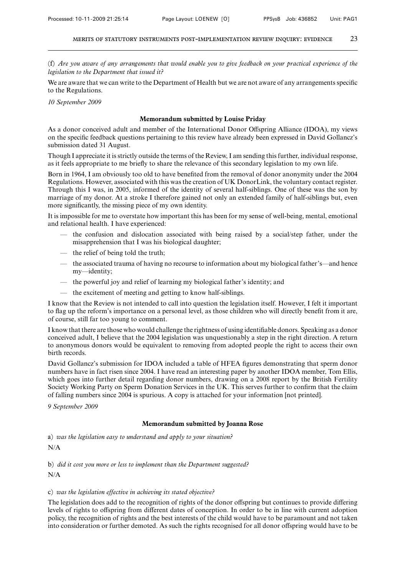(f) *Are you aware of any arrangements that would enable you to give feedback on your practical experience of the legislation to the Department that issued it?*

We are aware that we can write to the Department of Health but we are not aware of any arrangements specific to the Regulations.

*10 September 2009*

# **Memorandum submitted by Louise Priday**

As a donor conceived adult and member of the International Donor Offspring Alliance (IDOA), my views on the specific feedback questions pertaining to this review have already been expressed in David Gollancz's submission dated 31 August.

Though I appreciate it is strictly outside the terms of the Review, I am sending this further, individual response, as it feels appropriate to me briefly to share the relevance of this secondary legislation to my own life.

Born in 1964, I am obviously too old to have benefited from the removal of donor anonymity under the 2004 Regulations. However, associated with this was the creation of UK DonorLink, the voluntary contact register. Through this I was, in 2005, informed of the identity of several half-siblings. One of these was the son by marriage of my donor. At a stroke I therefore gained not only an extended family of half-siblings but, even more significantly, the missing piece of my own identity.

It is impossible for me to overstate how important this has been for my sense of well-being, mental, emotional and relational health. I have experienced:

- the confusion and dislocation associated with being raised by a social/step father, under the misapprehension that I was his biological daughter;
- the relief of being told the truth;
- the associated trauma of having no recourse to information about my biological father's—and hence my—identity;
- the powerful joy and relief of learning my biological father's identity; and
- the excitement of meeting and getting to know half-siblings.

I know that the Review is not intended to call into question the legislation itself. However, I felt it important to flag up the reform's importance on a personal level, as those children who will directly benefit from it are, of course, still far too young to comment.

I know that there are those who would challenge the rightness of using identifiable donors. Speaking as a donor conceived adult, I believe that the 2004 legislation was unquestionably a step in the right direction. A return to anonymous donors would be equivalent to removing from adopted people the right to access their own birth records.

David Gollancz's submission for IDOA included a table of HFEA figures demonstrating that sperm donor numbers have in fact risen since 2004. I have read an interesting paper by another IDOA member, Tom Ellis, which goes into further detail regarding donor numbers, drawing on a 2008 report by the British Fertility Society Working Party on Sperm Donation Services in the UK. This serves further to confirm that the claim of falling numbers since 2004 is spurious. A copy is attached for your information [not printed].

*9 September 2009*

# **Memorandum submitted by Joanna Rose**

a) *was the legislation easy to understand and apply to your situation?*

N/A

b) *did it cost you more or less to implement than the Department suggested?* N/A

# c) *was the legislation effective in achieving its stated objective?*

The legislation does add to the recognition of rights of the donor offspring but continues to provide differing levels of rights to offspring from different dates of conception. In order to be in line with current adoption policy, the recognition of rights and the best interests of the child would have to be paramount and not taken into consideration or further demoted. As such the rights recognised for all donor offspring would have to be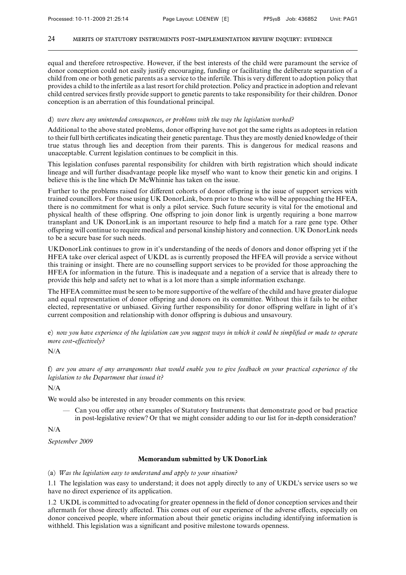equal and therefore retrospective. However, if the best interests of the child were paramount the service of donor conception could not easily justify encouraging, funding or facilitating the deliberate separation of a child from one or both genetic parents as a service to the infertile. This is very different to adoption policy that provides a child to the infertile as a last resort for child protection. Policy and practice in adoption and relevant child centred services firstly provide support to genetic parents to take responsibility for their children. Donor conception is an aberration of this foundational principal.

# d) *were there any unintended consequences, or problems with the way the legislation worked?*

Additional to the above stated problems, donor offspring have not got the same rights as adoptees in relation to their full birth certificates indicating their genetic parentage. Thus they are mostly denied knowledge of their true status through lies and deception from their parents. This is dangerous for medical reasons and unacceptable. Current legislation continues to be complicit in this.

This legislation confuses parental responsibility for children with birth registration which should indicate lineage and will further disadvantage people like myself who want to know their genetic kin and origins. I believe this is the line which Dr McWhinnie has taken on the issue.

Further to the problems raised for different cohorts of donor offspring is the issue of support services with trained councillors. For those using UK DonorLink, born prior to those who will be approaching the HFEA, there is no commitment for what is only a pilot service. Such future security is vital for the emotional and physical health of these offspring. One offspring to join donor link is urgently requiring a bone marrow transplant and UK DonorLink is an important resource to help find a match for a rare gene type. Other offspring will continue to require medical and personal kinship history and connection. UK DonorLink needs to be a secure base for such needs.

UKDonorLink continues to grow in it's understanding of the needs of donors and donor offspring yet if the HFEA take over clerical aspect of UKDL as is currently proposed the HFEA will provide a service without this training or insight. There are no counselling support services to be provided for those approaching the HFEA for information in the future. This is inadequate and a negation of a service that is already there to provide this help and safety net to what is a lot more than a simple information exchange.

The HFEA committee must be seen to be more supportive of the welfare of the child and have greater dialogue and equal representation of donor offspring and donors on its committee. Without this it fails to be either elected, representative or unbiased. Giving further responsibility for donor offspring welfare in light of it's current composition and relationship with donor offspring is dubious and unsavoury.

e) *now you have experience of the legislation can you suggest ways in which it could be simplified or made to operate more cost-effectively?*

N/A

f) *are you aware of any arrangements that would enable you to give feedback on your practical experience of the legislation to the Department that issued it?*

N/A

We would also be interested in any broader comments on this review.

 $\sim$  Can you offer any other examples of Statutory Instruments that demonstrate good or bad practice in post-legislative review? Or that we might consider adding to our list for in-depth consideration?

N/A

*September 2009*

# **Memorandum submitted by UK DonorLink**

(a) *Was the legislation easy to understand and apply to your situation?*

1.1 The legislation was easy to understand; it does not apply directly to any of UKDL's service users so we have no direct experience of its application.

1.2 UKDL is committed to advocating for greater openness in the field of donor conception services and their aftermath for those directly affected. This comes out of our experience of the adverse effects, especially on donor conceived people, where information about their genetic origins including identifying information is withheld. This legislation was a significant and positive milestone towards openness.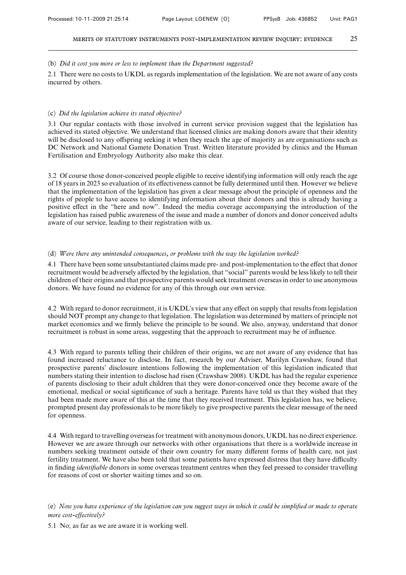### (b) *Did it cost you more or less to implement than the Department suggested?*

2.1 There were no costs to UKDL as regards implementation of the legislation. We are not aware of any costs incurred by others.

### (c) *Did the legislation achieve its stated objective?*

3.1 Our regular contacts with those involved in current service provision suggest that the legislation has achieved its stated objective. We understand that licensed clinics are making donors aware that their identity will be disclosed to any offspring seeking it when they reach the age of majority as are organisations such as DC Network and National Gamete Donation Trust. Written literature provided by clinics and the Human Fertilisation and Embryology Authority also make this clear.

3.2 Of course those donor-conceived people eligible to receive identifying information will only reach the age of 18 years in 2023 so evaluation of its effectiveness cannot be fully determined until then. However we believe that the implementation of the legislation has given a clear message about the principle of openness and the rights of people to have access to identifying information about their donors and this is already having a positive effect in the "here and now". Indeed the media coverage accompanying the introduction of the legislation has raised public awareness of the issue and made a number of donors and donor conceived adults aware of our service, leading to their registration with us.

### (d) *Were there any unintended consequences, or problems with the way the legislation worked?*

4.1 There have been some unsubstantiated claims made pre- and post-implementation to the effect that donor recruitment would be adversely affected by the legislation, that "social" parents would be less likely to tell their children of their origins and that prospective parents would seek treatment overseas in order to use anonymous donors. We have found no evidence for any of this through our own service.

4.2 With regard to donor recruitment, it is UKDL's view that any effect on supply that results from legislation should NOT prompt any change to that legislation. The legislation was determined by matters of principle not market economics and we firmly believe the principle to be sound. We also, anyway, understand that donor recruitment is robust in some areas, suggesting that the approach to recruitment may be of influence.

4.3 With regard to parents telling their children of their origins, we are not aware of any evidence that has found increased reluctance to disclose. In fact, research by our Adviser, Marilyn Crawshaw, found that prospective parents' disclosure intentions following the implementation of this legislation indicated that numbers stating their intention to disclose had risen (Crawshaw 2008). UKDL has had the regular experience of parents disclosing to their adult children that they were donor-conceived once they become aware of the emotional, medical or social significance of such a heritage. Parents have told us that they wished that they had been made more aware of this at the time that they received treatment. This legislation has, we believe, prompted present day professionals to be more likely to give prospective parents the clear message of the need for openness.

4.4 With regard to travelling overseas for treatment with anonymous donors, UKDL has no direct experience. However we are aware through our networks with other organisations that there is a worldwide increase in numbers seeking treatment outside of their own country for many different forms of health care, not just fertility treatment. We have also been told that some patients have expressed distress that they have difficulty in finding *identifiable* donors in some overseas treatment centres when they feel pressed to consider travelling for reasons of cost or shorter waiting times and so on.

(e) *Now you have experience of the legislation can you suggest ways in which it could be simplified or made to operate more cost-effectively?*

5.1 No; as far as we are aware it is working well.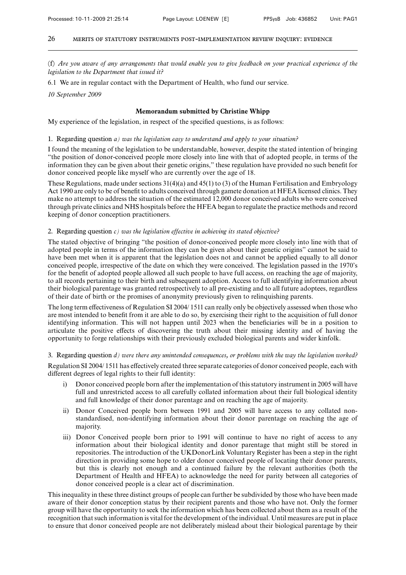(f) *Are you aware of any arrangements that would enable you to give feedback on your practical experience of the legislation to the Department that issued it?*

6.1 We are in regular contact with the Department of Health, who fund our service.

*10 September 2009*

# **Memorandum submitted by Christine Whipp**

My experience of the legislation, in respect of the specified questions, is as follows:

### 1. Regarding question *a) was the legislation easy to understand and apply to your situation?*

I found the meaning of the legislation to be understandable, however, despite the stated intention of bringing "the position of donor-conceived people more closely into line with that of adopted people, in terms of the information they can be given about their genetic origins," these regulation have provided no such benefit for donor conceived people like myself who are currently over the age of 18.

These Regulations, made under sections 31(4)(a) and 45(1) to (3) of the Human Fertilisation and Embryology Act 1990 are only to be of benefit to adults conceived through gamete donation at HFEA licensed clinics. They make no attempt to address the situation of the estimated 12,000 donor conceived adults who were conceived through private clinics and NHS hospitals before the HFEA began to regulate the practice methods and record keeping of donor conception practitioners.

# 2. Regarding question *c) was the legislation effective in achieving its stated objective?*

The stated objective of bringing "the position of donor-conceived people more closely into line with that of adopted people in terms of the information they can be given about their genetic origins" cannot be said to have been met when it is apparent that the legislation does not and cannot be applied equally to all donor conceived people, irrespective of the date on which they were conceived. The legislation passed in the 1970's for the benefit of adopted people allowed all such people to have full access, on reaching the age of majority, to all records pertaining to their birth and subsequent adoption. Access to full identifying information about their biological parentage was granted retrospectively to all pre-existing and to all future adoptees, regardless of their date of birth or the promises of anonymity previously given to relinquishing parents.

The long term effectiveness of Regulation SI 2004/1511 can really only be objectively assessed when those who are most intended to benefit from it are able to do so, by exercising their right to the acquisition of full donor identifying information. This will not happen until 2023 when the beneficiaries will be in a position to articulate the positive effects of discovering the truth about their missing identity and of having the opportunity to forge relationships with their previously excluded biological parents and wider kinfolk.

# 3. Regarding question *d) were there any unintended consequences, or problems with the way the legislation worked?*

Regulation SI 2004/1511 has effectively created three separate categories of donor conceived people, each with different degrees of legal rights to their full identity:

- i) Donor conceived people born after the implementation of this statutory instrument in 2005 will have full and unrestricted access to all carefully collated information about their full biological identity and full knowledge of their donor parentage and on reaching the age of majority.
- ii) Donor Conceived people born between 1991 and 2005 will have access to any collated nonstandardised, non-identifying information about their donor parentage on reaching the age of majority.
- iii) Donor Conceived people born prior to 1991 will continue to have no right of access to any information about their biological identity and donor parentage that might still be stored in repositories. The introduction of the UKDonorLink Voluntary Register has been a step in the right direction in providing some hope to older donor conceived people of locating their donor parents, but this is clearly not enough and a continued failure by the relevant authorities (both the Department of Health and HFEA) to acknowledge the need for parity between all categories of donor conceived people is a clear act of discrimination.

This inequality in these three distinct groups of people can further be subdivided by those who have been made aware of their donor conception status by their recipient parents and those who have not. Only the former group will have the opportunity to seek the information which has been collected about them as a result of the recognition that such information is vital for the development of the individual. Until measures are put in place to ensure that donor conceived people are not deliberately mislead about their biological parentage by their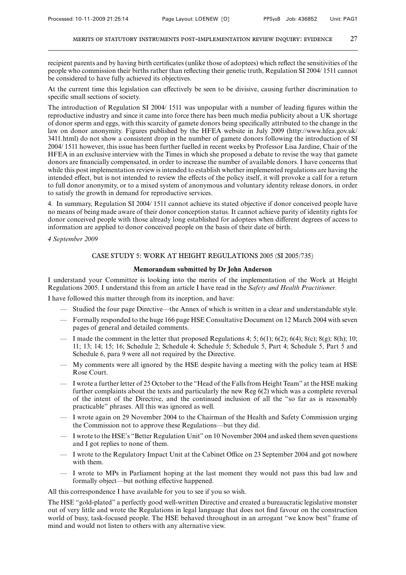recipient parents and by having birth certificates (unlike those of adoptees) which reflect the sensitivities of the people who commission their births rather than reflecting their genetic truth, Regulation SI 2004/ 1511 cannot be considered to have fully achieved its objectives.

At the current time this legislation can effectively be seen to be divisive, causing further discrimination to specific small sections of society.

The introduction of Regulation SI 2004/ 1511 was unpopular with a number of leading figures within the reproductive industry and since it came into force there has been much media publicity about a UK shortage of donor sperm and eggs, with this scarcity of gamete donors being specifically attributed to the change in the law on donor anonymity. Figures published by the HFEA website in July 2009 (http://www.hfea.gov.uk/ 3411.html) do not show a consistent drop in the number of gamete donors following the introduction of SI 2004/ 1511 however, this issue has been further fuelled in recent weeks by Professor Lisa Jardine, Chair of the HFEA in an exclusive interview with the Times in which she proposed a debate to revise the way that gamete donors are financially compensated, in order to increase the number of available donors. I have concerns that while this post implementation review is intended to establish whether implemented regulations are having the intended effect, but is not intended to review the effects of the policy itself, it will provoke a call for a return to full donor anonymity, or to a mixed system of anonymous and voluntary identity release donors, in order to satisfy the growth in demand for reproductive services.

4. In summary, Regulation SI 2004/ 1511 cannot achieve its stated objective if donor conceived people have no means of being made aware of their donor conception status. It cannot achieve parity of identity rights for donor conceived people with those already long established for adoptees when different degrees of access to information are applied to donor conceived people on the basis of their date of birth.

*4 September 2009*

# CASE STUDY 5: WORK AT HEIGHT REGULATIONS 2005 (SI 2005/735)

# **Memorandum submitted by Dr John Anderson**

I understand your Committee is looking into the merits of the implementation of the Work at Height Regulations 2005. I understand this from an article I have read in the *Safety and Health Practitioner.*

I have followed this matter through from its inception, and have:

- Studied the four page Directive—the Annex of which is written in a clear and understandable style.
- Formally responded to the huge 166 page HSE Consultative Document on 12 March 2004 with seven pages of general and detailed comments.
- I made the comment in the letter that proposed Regulations 4; 5; 6(1); 6(2); 6(4); 8(c); 8(g); 8(h); 10; 11; 13; 14; 15; 16; Schedule 2; Schedule 4; Schedule 5; Schedule 5, Part 4; Schedule 5, Part 5 and Schedule 6, para 9 were all not required by the Directive.
- My comments were all ignored by the HSE despite having a meeting with the policy team at HSE Rose Court.
- I wrote a further letter of 25 October to the "Head of the Falls from Height Team" at the HSE making further complaints about the texts and particularly the new Reg 6(2) which was a complete reversal of the intent of the Directive, and the continued inclusion of all the "so far as is reasonably practicable" phrases. All this was ignored as well.
- I wrote again on 29 November 2004 to the Chairman of the Health and Safety Commission urging the Commission not to approve these Regulations—but they did.
- I wrote to the HSE's "Better Regulation Unit" on 10 November 2004 and asked them seven questions and I got replies to none of them.
- I wrote to the Regulatory Impact Unit at the Cabinet Office on 23 September 2004 and got nowhere with them.
- I wrote to MPs in Parliament hoping at the last moment they would not pass this bad law and formally object—but nothing effective happened.

All this correspondence I have available for you to see if you so wish.

The HSE "gold-plated" a perfectly good well-written Directive and created a bureaucratic legislative monster out of very little and wrote the Regulations in legal language that does not find favour on the construction world of busy, task-focused people. The HSE behaved throughout in an arrogant "we know best" frame of mind and would not listen to others with any alternative view.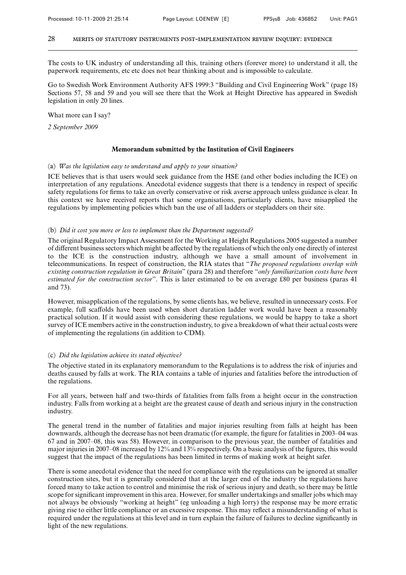The costs to UK industry of understanding all this, training others (forever more) to understand it all, the paperwork requirements, etc etc does not bear thinking about and is impossible to calculate.

Go to Swedish Work Environment Authority AFS 1999:3 "Building and Civil Engineering Work" (page 18) Sections 57, 58 and 59 and you will see there that the Work at Height Directive has appeared in Swedish legislation in only 20 lines.

What more can I say?

*2 September 2009*

### **Memorandum submitted by the Institution of Civil Engineers**

### (a) *Was the legislation easy to understand and apply to your situation?*

ICE believes that is that users would seek guidance from the HSE (and other bodies including the ICE) on interpretation of any regulations. Anecdotal evidence suggests that there is a tendency in respect of specific safety regulations for firms to take an overly conservative or risk averse approach unless guidance is clear. In this context we have received reports that some organisations, particularly clients, have misapplied the regulations by implementing policies which ban the use of all ladders or stepladders on their site.

#### (b) *Did it cost you more or less to implement than the Department suggested?*

The original Regulatory Impact Assessment for the Working at Height Regulations 2005 suggested a number of different business sectors which might be affected by the regulations of which the only one directly of interest to the ICE is the construction industry, although we have a small amount of involvement in telecommunications. In respect of construction, the RIA states that "*The proposed regulations overlap with existing construction regulation in Great Britain*" (para 28) and therefore "*only familiarization costs have been estimated for the construction sector*". This is later estimated to be on average £80 per business (paras 41 and 73).

However, misapplication of the regulations, by some clients has, we believe, resulted in unnecessary costs. For example, full scaffolds have been used when short duration ladder work would have been a reasonably practical solution. If it would assist with considering these regulations, we would be happy to take a short survey of ICE members active in the construction industry, to give a breakdown of what their actual costs were of implementing the regulations (in addition to CDM).

### (c) *Did the legislation achieve its stated objective?*

The objective stated in its explanatory memorandum to the Regulations is to address the risk of injuries and deaths caused by falls at work. The RIA contains a table of injuries and fatalities before the introduction of the regulations.

For all years, between half and two-thirds of fatalities from falls from a height occur in the construction industry. Falls from working at a height are the greatest cause of death and serious injury in the construction industry.

The general trend in the number of fatalities and major injuries resulting from falls at height has been downwards, although the decrease has not been dramatic (for example, the figure for fatalities in 2003–04 was 67 and in 2007–08, this was 58). However, in comparison to the previous year, the number of fatalities and major injuries in 2007–08 increased by 12% and 13% respectively. On a basic analysis of the figures, this would suggest that the impact of the regulations has been limited in terms of making work at height safer.

There is some anecdotal evidence that the need for compliance with the regulations can be ignored at smaller construction sites, but it is generally considered that at the larger end of the industry the regulations have forced many to take action to control and minimise the risk of serious injury and death, so there may be little scope for significant improvement in this area. However, for smaller undertakings and smaller jobs which may not always be obviously "working at height" (eg unloading a high lorry) the response may be more erratic giving rise to either little compliance or an excessive response. This may reflect a misunderstanding of what is required under the regulations at this level and in turn explain the failure of failures to decline significantly in light of the new regulations.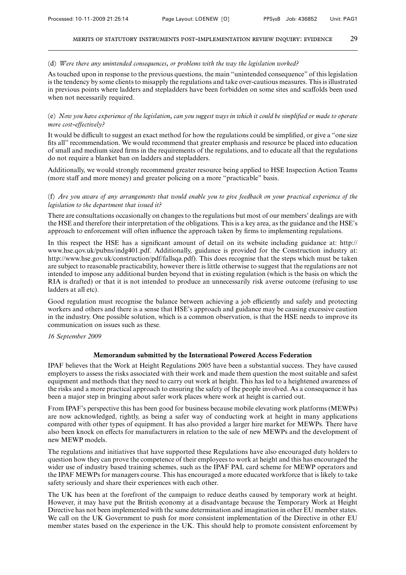### (d) *Were there any unintended consequences, or problems with the way the legislation worked?*

As touched upon in response to the previous questions, the main "unintended consequence" of this legislation is the tendency by some clients to misapply the regulations and take over-cautious measures. This is illustrated in previous points where ladders and stepladders have been forbidden on some sites and scaffolds been used when not necessarily required.

# (e) *Now you have experience of the legislation, can you suggest ways in which it could be simplified or made to operate more cost-effectively?*

It would be difficult to suggest an exact method for how the regulations could be simplified, or give a "one size" fits all" recommendation. We would recommend that greater emphasis and resource be placed into education of small and medium sized firms in the requirements of the regulations, and to educate all that the regulations do not require a blanket ban on ladders and stepladders.

Additionally, we would strongly recommend greater resource being applied to HSE Inspection Action Teams (more staff and more money) and greater policing on a more "practicable" basis.

# (f) *Are you aware of any arrangements that would enable you to give feedback on your practical experience of the legislation to the department that issued it?*

There are consultations occasionally on changes to the regulations but most of our members' dealings are with the HSE and therefore their interpretation of the obligations. This is a key area, as the guidance and the HSE's approach to enforcement will often influence the approach taken by firms to implementing regulations.

In this respect the HSE has a significant amount of detail on its website including guidance at: http:// www.hse.qov.uk/pubns/indg401.pdf. Additionally, guidance is provided for the Construction industry at: http://www.hse.gov.uk/construction/pdf/fallsqa.pdf). This does recognise that the steps which must be taken are subject to reasonable practicability, however there is little otherwise to suggest that the regulations are not intended to impose any additional burden beyond that in existing regulation (which is the basis on which the RIA is drafted) or that it is not intended to produce an unnecessarily risk averse outcome (refusing to use ladders at all etc).

Good regulation must recognise the balance between achieving a job efficiently and safely and protecting workers and others and there is a sense that HSE's approach and guidance may be causing excessive caution in the industry. One possible solution, which is a common observation, is that the HSE needs to improve its communication on issues such as these.

### *16 September 2009*

# **Memorandum submitted by the International Powered Access Federation**

IPAF believes that the Work at Height Regulations 2005 have been a substantial success. They have caused employers to assess the risks associated with their work and made them question the most suitable and safest equipment and methods that they need to carry out work at height. This has led to a heightened awareness of the risks and a more practical approach to ensuring the safety of the people involved. As a consequence it has been a major step in bringing about safer work places where work at height is carried out.

From IPAF's perspective this has been good for business because mobile elevating work platforms (MEWPs) are now acknowledged, rightly, as being a safer way of conducting work at height in many applications compared with other types of equipment. It has also provided a larger hire market for MEWPs. There have also been knock on effects for manufacturers in relation to the sale of new MEWPs and the development of new MEWP models.

The regulations and initiatives that have supported these Regulations have also encouraged duty holders to question how they can prove the competence of their employees to work at height and this has encouraged the wider use of industry based training schemes, such as the IPAF PAL card scheme for MEWP operators and the IPAF MEWPs for managers course. This has encouraged a more educated workforce that is likely to take safety seriously and share their experiences with each other.

The UK has been at the forefront of the campaign to reduce deaths caused by temporary work at height. However, it may have put the British economy at a disadvantage because the Temporary Work at Height Directive has not been implemented with the same determination and imagination in other EU member states. We call on the UK Government to push for more consistent implementation of the Directive in other EU member states based on the experience in the UK. This should help to promote consistent enforcement by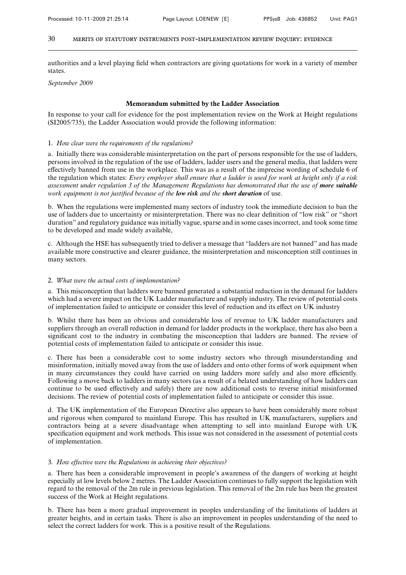authorities and a level playing field when contractors are giving quotations for work in a variety of member states.

*September 2009*

#### **Memorandum submitted by the Ladder Association**

In response to your call for evidence for the post implementation review on the Work at Height regulations (SI2005/735), the Ladder Association would provide the following information:

### 1. *How clear were the requirements of the regulations?*

a. Initially there was considerable misinterpretation on the part of persons responsible for the use of ladders, persons involved in the regulation of the use of ladders, ladder users and the general media, that ladders were effectively banned from use in the workplace. This was as a result of the imprecise wording of schedule 6 of the regulation which states: *Every employer shall ensure that a ladder is used for work at height only if a risk assessment under regulation 3 of the Management Regulations has demonstrated that the use of more suitable work equipment is not justified because of the low risk and the short duration* of use.

b. When the regulations were implemented many sectors of industry took the immediate decision to ban the use of ladders due to uncertainty or misinterpretation. There was no clear definition of "low risk" or "short duration" and regulatory guidance was initially vague, sparse and in some cases incorrect, and took some time to be developed and made widely available,

c. Although the HSE has subsequently tried to deliver a message that "ladders are not banned" and has made available more constructive and clearer guidance, the misinterpretation and misconception still continues in many sectors.

#### 2. *What were the actual costs of implementation?*

a. This misconception that ladders were banned generated a substantial reduction in the demand for ladders which had a severe impact on the UK Ladder manufacture and supply industry. The review of potential costs of implementation failed to anticipate or consider this level of reduction and its effect on UK industry

b. Whilst there has been an obvious and considerable loss of revenue to UK ladder manufacturers and suppliers through an overall reduction in demand for ladder products in the workplace, there has also been a significant cost to the industry in combating the misconception that ladders are banned. The review of potential costs of implementation failed to anticipate or consider this issue.

c. There has been a considerable cost to some industry sectors who through misunderstanding and misinformation, initially moved away from the use of ladders and onto other forms of work equipment when in many circumstances they could have carried on using ladders more safely and also more efficiently. Following a move back to ladders in many sectors (as a result of a belated understanding of how ladders can continue to be used effectively and safely) there are now additional costs to reverse initial misinformed decisions. The review of potential costs of implementation failed to anticipate or consider this issue.

d. The UK implementation of the European Directive also appears to have been considerably more robust and rigorous when compared to mainland Europe. This has resulted in UK manufacturers, suppliers and contractors being at a severe disadvantage when attempting to sell into mainland Europe with UK specification equipment and work methods. This issue was not considered in the assessment of potential costs of implementation.

#### 3. *How effective were the Regulations in achieving their objectives?*

a. There has been a considerable improvement in people's awareness of the dangers of working at height especially at low levels below 2 metres. The Ladder Association continues to fully support the legislation with regard to the removal of the 2m rule in previous legislation. This removal of the 2m rule has been the greatest success of the Work at Height regulations.

b. There has been a more gradual improvement in peoples understanding of the limitations of ladders at greater heights, and in certain tasks. There is also an improvement in peoples understanding of the need to select the correct ladders for work. This is a positive result of the Regulations.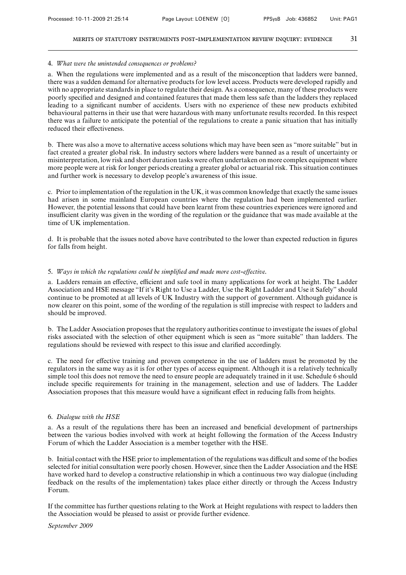### 4. *What were the unintended consequences or problems?*

a. When the regulations were implemented and as a result of the misconception that ladders were banned, there was a sudden demand for alternative products for low level access. Products were developed rapidly and with no appropriate standards in place to regulate their design. As a consequence, many of these products were poorly specified and designed and contained features that made them less safe than the ladders they replaced leading to a significant number of accidents. Users with no experience of these new products exhibited behavioural patterns in their use that were hazardous with many unfortunate results recorded. In this respect there was a failure to anticipate the potential of the regulations to create a panic situation that has initially reduced their effectiveness.

b. There was also a move to alternative access solutions which may have been seen as "more suitable" but in fact created a greater global risk. In industry sectors where ladders were banned as a result of uncertainty or misinterpretation, low risk and short duration tasks were often undertaken on more complex equipment where more people were at risk for longer periods creating a greater global or actuarial risk. This situation continues and further work is necessary to develop people's awareness of this issue.

c. Prior to implementation of the regulation in the UK, it was common knowledge that exactly the same issues had arisen in some mainland European countries where the regulation had been implemented earlier. However, the potential lessons that could have been learnt from these countries experiences were ignored and insufficient clarity was given in the wording of the regulation or the guidance that was made available at the time of UK implementation.

d. It is probable that the issues noted above have contributed to the lower than expected reduction in figures for falls from height.

## 5. *Ways in which the regulations could be simplified and made more cost-effective.*

a. Ladders remain an effective, efficient and safe tool in many applications for work at height. The Ladder Association and HSE message "If it's Right to Use a Ladder, Use the Right Ladder and Use it Safely" should continue to be promoted at all levels of UK Industry with the support of government. Although guidance is now clearer on this point, some of the wording of the regulation is still imprecise with respect to ladders and should be improved.

b. The Ladder Association proposes that the regulatory authorities continue to investigate the issues of global risks associated with the selection of other equipment which is seen as "more suitable" than ladders. The regulations should be reviewed with respect to this issue and clarified accordingly.

c. The need for effective training and proven competence in the use of ladders must be promoted by the regulators in the same way as it is for other types of access equipment. Although it is a relatively technically simple tool this does not remove the need to ensure people are adequately trained in it use. Schedule 6 should include specific requirements for training in the management, selection and use of ladders. The Ladder Association proposes that this measure would have a significant effect in reducing falls from heights.

### 6. *Dialogue with the HSE*

a. As a result of the regulations there has been an increased and beneficial development of partnerships between the various bodies involved with work at height following the formation of the Access Industry Forum of which the Ladder Association is a member together with the HSE.

b. Initial contact with the HSE prior to implementation of the regulations was difficult and some of the bodies selected for initial consultation were poorly chosen. However, since then the Ladder Association and the HSE have worked hard to develop a constructive relationship in which a continuous two way dialogue (including feedback on the results of the implementation) takes place either directly or through the Access Industry Forum.

If the committee has further questions relating to the Work at Height regulations with respect to ladders then the Association would be pleased to assist or provide further evidence.

*September 2009*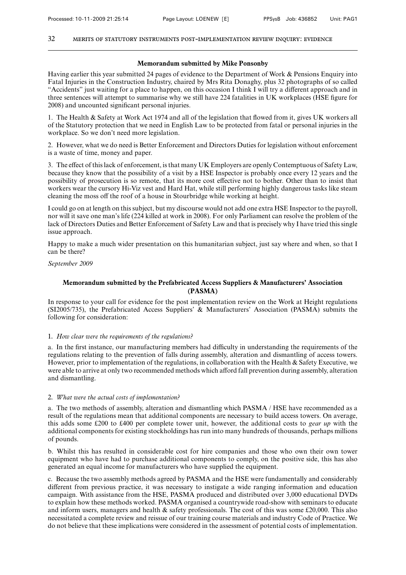#### **Memorandum submitted by Mike Ponsonby**

Having earlier this year submitted 24 pages of evidence to the Department of Work & Pensions Enquiry into Fatal Injuries in the Construction Industry, chaired by Mrs Rita Donaghy, plus 32 photographs of so called "Accidents" just waiting for a place to happen, on this occasion I think I will try a different approach and in three sentences will attempt to summarise why we still have 224 fatalities in UK workplaces (HSE figure for 2008) and uncounted significant personal injuries.

1. The Health & Safety at Work Act 1974 and all of the legislation that flowed from it, gives UK workers all of the Statutory protection that we need in English Law to be protected from fatal or personal injuries in the workplace. So we don't need more legislation.

2. However, what we do need is Better Enforcement and Directors Duties for legislation without enforcement is a waste of time, money and paper.

3. The effect of this lack of enforcement, is that many UK Employers are openly Contemptuous of Safety Law, because they know that the possibility of a visit by a HSE Inspector is probably once every 12 years and the possibility of prosecution is so remote, that its more cost effective not to bother. Other than to insist that workers wear the cursory Hi-Viz vest and Hard Hat, while still performing highly dangerous tasks like steam cleaning the moss off the roof of a house in Stourbridge while working at height.

I could go on at length on this subject, but my discourse would not add one extra HSE Inspector to the payroll, nor will it save one man's life (224 killed at work in 2008). For only Parliament can resolve the problem of the lack of Directors Duties and Better Enforcement of Safety Law and that is precisely why I have tried this single issue approach.

Happy to make a much wider presentation on this humanitarian subject, just say where and when, so that I can be there?

## *September 2009*

# **Memorandum submitted by the Prefabricated Access Suppliers & Manufacturers' Association (PASMA)**

In response to your call for evidence for the post implementation review on the Work at Height regulations (SI2005/735), the Prefabricated Access Suppliers' & Manufacturers' Association (PASMA) submits the following for consideration:

# 1. *How clear were the requirements of the regulations?*

a. In the first instance, our manufacturing members had difficulty in understanding the requirements of the regulations relating to the prevention of falls during assembly, alteration and dismantling of access towers. However, prior to implementation of the regulations, in collaboration with the Health & Safety Executive, we were able to arrive at only two recommended methods which afford fall prevention during assembly, alteration and dismantling.

## 2. *What were the actual costs of implementation?*

a. The two methods of assembly, alteration and dismantling which PASMA / HSE have recommended as a result of the regulations mean that additional components are necessary to build access towers. On average, this adds some £200 to £400 per complete tower unit, however, the additional costs to *gear up* with the additional components for existing stockholdings has run into many hundreds of thousands, perhaps millions of pounds.

b. Whilst this has resulted in considerable cost for hire companies and those who own their own tower equipment who have had to purchase additional components to comply, on the positive side, this has also generated an equal income for manufacturers who have supplied the equipment.

c. Because the two assembly methods agreed by PASMA and the HSE were fundamentally and considerably different from previous practice, it was necessary to instigate a wide ranging information and education campaign. With assistance from the HSE, PASMA produced and distributed over 3,000 educational DVDs to explain how these methods worked. PASMA organised a countrywide road-show with seminars to educate and inform users, managers and health & safety professionals. The cost of this was some £20,000. This also necessitated a complete review and reissue of our training course materials and industry Code of Practice. We do not believe that these implications were considered in the assessment of potential costs of implementation.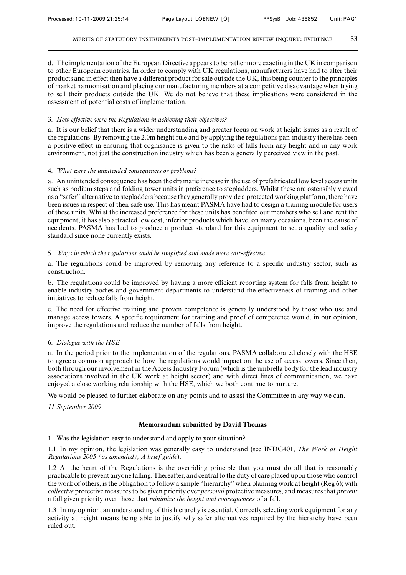d. The implementation of the European Directive appears to be rather more exacting in the UK in comparison to other European countries. In order to comply with UK regulations, manufacturers have had to alter their products and in effect then have a different product for sale outside the UK, this being counter to the principles of market harmonisation and placing our manufacturing members at a competitive disadvantage when trying to sell their products outside the UK. We do not believe that these implications were considered in the assessment of potential costs of implementation.

#### 3. *How effective were the Regulations in achieving their objectives?*

a. It is our belief that there is a wider understanding and greater focus on work at height issues as a result of the regulations. By removing the 2.0m height rule and by applying the regulations pan-industry there has been a positive effect in ensuring that cognisance is given to the risks of falls from any height and in any work environment, not just the construction industry which has been a generally perceived view in the past.

#### 4. *What were the unintended consequences or problems?*

a. An unintended consequence has been the dramatic increase in the use of prefabricated low level access units such as podium steps and folding tower units in preference to stepladders. Whilst these are ostensibly viewed as a "safer" alternative to stepladders because they generally provide a protected working platform, there have been issues in respect of their safe use. This has meant PASMA have had to design a training module for users of these units. Whilst the increased preference for these units has benefited our members who sell and rent the equipment, it has also attracted low cost, inferior products which have, on many occasions, been the cause of accidents. PASMA has had to produce a product standard for this equipment to set a quality and safety standard since none currently exists.

#### 5. *Ways in which the regulations could be simplified and made more cost-effective.*

a. The regulations could be improved by removing any reference to a specific industry sector, such as construction.

b. The regulations could be improved by having a more efficient reporting system for falls from height to enable industry bodies and government departments to understand the effectiveness of training and other initiatives to reduce falls from height.

c. The need for effective training and proven competence is generally understood by those who use and manage access towers. A specific requirement for training and proof of competence would, in our opinion, improve the regulations and reduce the number of falls from height.

#### 6. *Dialogue with the HSE*

a. In the period prior to the implementation of the regulations, PASMA collaborated closely with the HSE to agree a common approach to how the regulations would impact on the use of access towers. Since then, both through our involvement in the Access Industry Forum (which is the umbrella body for the lead industry associations involved in the UK work at height sector) and with direct lines of communication, we have enjoyed a close working relationship with the HSE, which we both continue to nurture.

We would be pleased to further elaborate on any points and to assist the Committee in any way we can.

*11 September 2009*

#### **Memorandum submitted by David Thomas**

1. Was the legislation easy to understand and apply to your situation?

1.1 In my opinion, the legislation was generally easy to understand (see INDG401, *The Work at Height Regulations 2005 (as amended), A brief guide*).

1.2 At the heart of the Regulations is the overriding principle that you must do all that is reasonably practicable to prevent anyone falling. Thereafter, and central to the duty of care placed upon those who control the work of others, is the obligation to follow a simple "hierarchy" when planning work at height (Reg 6); with *collective* protective measures to be given priority over *personal* protective measures, and measures that *prevent* a fall given priority over those that *minimize the height and consequences* of a fall.

1.3 In my opinion, an understanding of this hierarchy is essential. Correctly selecting work equipment for any activity at height means being able to justify why safer alternatives required by the hierarchy have been ruled out.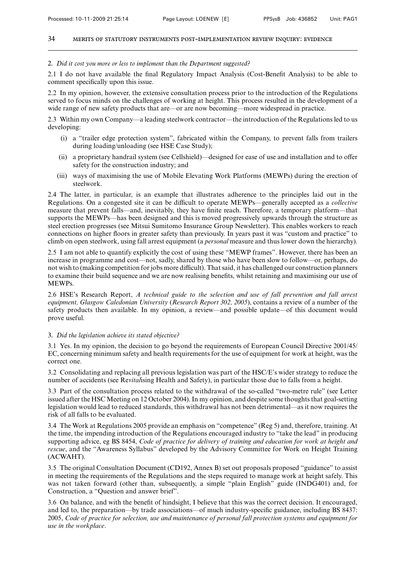#### 2. *Did it cost you more or less to implement than the Department suggested?*

2.1 I do not have available the final Regulatory Impact Analysis (Cost-Benefit Analysis) to be able to comment specifically upon this issue.

2.2 In my opinion, however, the extensive consultation process prior to the introduction of the Regulations served to focus minds on the challenges of working at height. This process resulted in the development of a wide range of new safety products that are—or are now becoming—more widespread in practice.

2.3 Within my own Company—a leading steelwork contractor—the introduction of the Regulations led to us developing:

- (i) a "trailer edge protection system", fabricated within the Company, to prevent falls from trailers during loading/unloading (see HSE Case Study);
- (ii) a proprietary handrail system (see Cellshield)—designed for ease of use and installation and to offer safety for the construction industry; and
- (iii) ways of maximising the use of Mobile Elevating Work Platforms (MEWPs) during the erection of steelwork.

2.4 The latter, in particular, is an example that illustrates adherence to the principles laid out in the Regulations. On a congested site it can be difficult to operate MEWPs—generally accepted as a *collective* measure that prevent falls—and, inevitably, they have finite reach. Therefore, a temporary platform—that supports the MEWPs—has been designed and this is moved progressively upwards through the structure as steel erection progresses (see Mitsui Sumitomo Insurance Group Newsletter). This enables workers to reach connections on higher floors in greater safety than previously. In years past it was "custom and practice" to climb on open steelwork, using fall arrest equipment (a *personal* measure and thus lower down the hierarchy).

2.5 I am not able to quantify explicitly the cost of using these "MEWP frames". However, there has been an increase in programme and cost—not, sadly, shared by those who have been slow to follow—or, perhaps, do not wish to (making competition for jobs more difficult). That said, it has challenged our construction planners to examine their build sequence and we are now realising benefits, whilst retaining and maximising our use of MEWPs.

2.6 HSE's Research Report, *A technical guide to the selection and use of fall prevention and fall arrest equipment, Glasgow Caledonian University* (*Research Report 302, 2005*), contains a review of a number of the safety products then available. In my opinion, a review—and possible update—of this document would prove useful.

# 3. *Did the legislation achieve its stated objective?*

3.1 Yes. In my opinion, the decision to go beyond the requirements of European Council Directive 2001/45/ EC, concerning minimum safety and health requirements for the use of equipment for work at height, was the correct one.

3.2 Consolidating and replacing all previous legislation was part of the HSC/E's wider strategy to reduce the number of accidents (see Re*vital*ising Health and Safety), in particular those due to falls from a height.

3.3 Part of the consultation process related to the withdrawal of the so-called "two-metre rule" (see Letter issued after the HSC Meeting on 12 October 2004). In my opinion, and despite some thoughts that goal-setting legislation would lead to reduced standards, this withdrawal has not been detrimental—as it now requires the risk of all falls to be evaluated.

3.4 The Work at Regulations 2005 provide an emphasis on "competence" (Reg 5) and, therefore, training. At the time, the impending introduction of the Regulations encouraged industry to "take the lead" in producing supporting advice, eg BS 8454, *Code of practice for delivery of training and education for work at height and rescue*, and the "Awareness Syllabus" developed by the Advisory Committee for Work on Height Training (ACWAHT).

3.5 The original Consultation Document (CD192, Annex B) set out proposals proposed "guidance" to assist in meeting the requirements of the Regulations and the steps required to manage work at height safely. This was not taken forward (other than, subsequently, a simple "plain English" guide (INDG401) and, for Construction, a "Question and answer brief".

3.6 On balance, and with the benefit of hindsight, I believe that this was the correct decision. It encouraged, and led to, the preparation—by trade associations—of much industry-specific guidance, including BS 8437: 2005, *Code of practice for selection, use and maintenance of personal fall protection systems and equipment for use in the workplace*.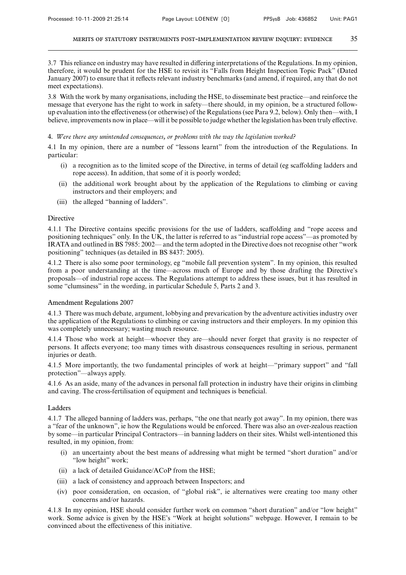3.7 This reliance on industry may have resulted in differing interpretations of the Regulations. In my opinion, therefore, it would be prudent for the HSE to revisit its "Falls from Height Inspection Topic Pack" (Dated January 2007) to ensure that it reflects relevant industry benchmarks (and amend, if required, any that do not meet expectations).

3.8 With the work by many organisations, including the HSE, to disseminate best practice—and reinforce the message that everyone has the right to work in safety—there should, in my opinion, be a structured followup evaluation into the effectiveness (or otherwise) of the Regulations (see Para 9.2, below). Only then—with, I believe, improvements now in place—will it be possible to judge whether the legislation has been truly effective.

#### 4. *Were there any unintended consequences, or problems with the way the legislation worked?*

4.1 In my opinion, there are a number of "lessons learnt" from the introduction of the Regulations. In particular:

- (i) a recognition as to the limited scope of the Directive, in terms of detail (eg scaffolding ladders and rope access). In addition, that some of it is poorly worded;
- (ii) the additional work brought about by the application of the Regulations to climbing or caving instructors and their employers; and
- (iii) the alleged "banning of ladders".

## Directive

4.1.1 The Directive contains specific provisions for the use of ladders, scaffolding and "rope access and positioning techniques" only. In the UK, the latter is referred to as "industrial rope access"—as promoted by IRATA and outlined in BS 7985: 2002— and the term adopted in the Directive does not recognise other "work positioning" techniques (as detailed in BS 8437: 2005).

4.1.2 There is also some poor terminology, eg "mobile fall prevention system". In my opinion, this resulted from a poor understanding at the time—across much of Europe and by those drafting the Directive's proposals—of industrial rope access. The Regulations attempt to address these issues, but it has resulted in some "clumsiness" in the wording, in particular Schedule 5, Parts 2 and 3.

## Amendment Regulations 2007

4.1.3 There was much debate, argument, lobbying and prevarication by the adventure activities industry over the application of the Regulations to climbing or caving instructors and their employers. In my opinion this was completely unnecessary; wasting much resource.

4.1.4 Those who work at height—whoever they are—should never forget that gravity is no respecter of persons. It affects everyone; too many times with disastrous consequences resulting in serious, permanent injuries or death.

4.1.5 More importantly, the two fundamental principles of work at height—"primary support" and "fall protection"—always apply.

4.1.6 As an aside, many of the advances in personal fall protection in industry have their origins in climbing and caving. The cross-fertilisation of equipment and techniques is beneficial.

## Ladders

4.1.7 The alleged banning of ladders was, perhaps, "the one that nearly got away". In my opinion, there was a "fear of the unknown", ie how the Regulations would be enforced. There was also an over-zealous reaction by some—in particular Principal Contractors—in banning ladders on their sites. Whilst well-intentioned this resulted, in my opinion, from:

- (i) an uncertainty about the best means of addressing what might be termed "short duration" and/or "low height" work;
- (ii) a lack of detailed Guidance/ACoP from the HSE;
- (iii) a lack of consistency and approach between Inspectors; and
- (iv) poor consideration, on occasion, of "global risk", ie alternatives were creating too many other concerns and/or hazards.

4.1.8 In my opinion, HSE should consider further work on common "short duration" and/or "low height" work. Some advice is given by the HSE's "Work at height solutions" webpage. However, I remain to be convinced about the effectiveness of this initiative.